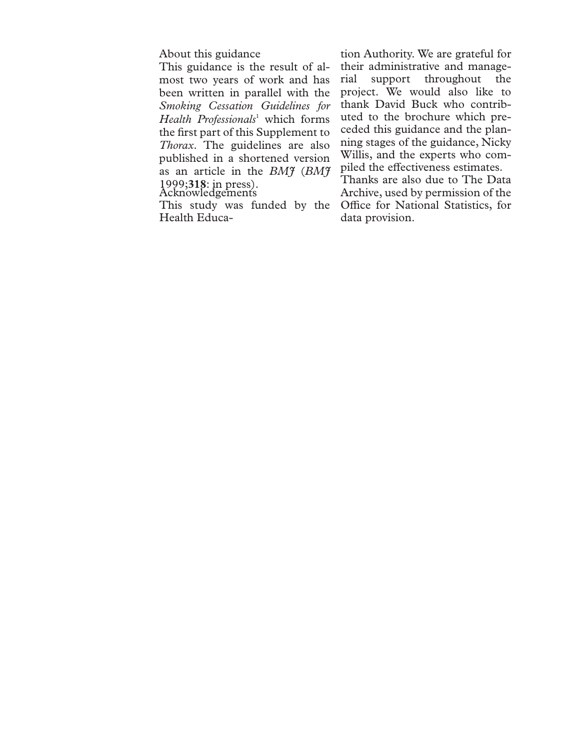About this guidance

This guidance is the result of almost two years of work and has been written in parallel with the *Smoking Cessation Guidelines for Health Professionals*<sup>1</sup> which forms the first part of this Supplement to *Thorax*. The guidelines are also published in a shortened version as an article in the *BMJ* (*BMJ* 1999;**318**: in press). Acknowledgements

This study was funded by the Health Educa-

tion Authority. We are grateful for their administrative and managerial support throughout the project. We would also like to thank David Buck who contributed to the brochure which preceded this guidance and the planning stages of the guidance, Nicky Willis, and the experts who compiled the effectiveness estimates.

Thanks are also due to The Data Archive, used by permission of the Office for National Statistics, for data provision.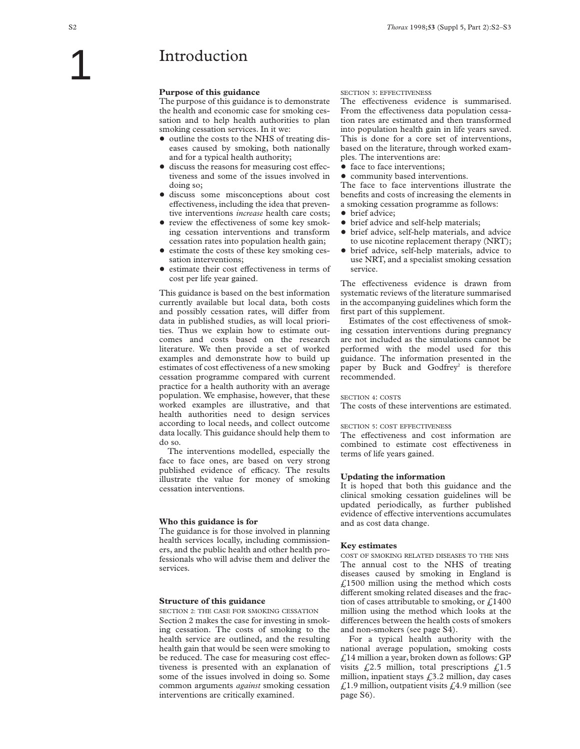### **Introduction**

#### **Purpose of this guidance**

The purpose of this guidance is to demonstrate the health and economic case for smoking cessation and to help health authorities to plan smoking cessation services. In it we:

- outline the costs to the NHS of treating diseases caused by smoking, both nationally and for a typical health authority;
- $\bullet$  discuss the reasons for measuring cost effectiveness and some of the issues involved in doing so;
- $\bullet$  discuss some misconceptions about cost effectiveness, including the idea that preventive interventions *increase* health care costs;
- $\bullet$  review the effectiveness of some key smoking cessation interventions and transform cessation rates into population health gain;
- estimate the costs of these key smoking cessation interventions;
- $\bullet$  estimate their cost effectiveness in terms of cost per life year gained.

This guidance is based on the best information currently available but local data, both costs and possibly cessation rates, will differ from data in published studies, as will local priorities. Thus we explain how to estimate outcomes and costs based on the research literature. We then provide a set of worked examples and demonstrate how to build up estimates of cost effectiveness of a new smoking cessation programme compared with current practice for a health authority with an average population. We emphasise, however, that these worked examples are illustrative, and that health authorities need to design services according to local needs, and collect outcome data locally. This guidance should help them to do so.

The interventions modelled, especially the face to face ones, are based on very strong published evidence of efficacy. The results illustrate the value for money of smoking cessation interventions.

#### **Who this guidance is for**

The guidance is for those involved in planning health services locally, including commissioners, and the public health and other health professionals who will advise them and deliver the services.

#### **Structure of this guidance**

SECTION 2: THE CASE FOR SMOKING CESSATION Section 2 makes the case for investing in smoking cessation. The costs of smoking to the health service are outlined, and the resulting health gain that would be seen were smoking to be reduced. The case for measuring cost effectiveness is presented with an explanation of some of the issues involved in doing so. Some common arguments *against* smoking cessation interventions are critically examined.

#### SECTION 3: EFFECTIVENESS

The effectiveness evidence is summarised. From the effectiveness data population cessation rates are estimated and then transformed into population health gain in life years saved. This is done for a core set of interventions, based on the literature, through worked examples. The interventions are:

- face to face interventions;
- community based interventions.

The face to face interventions illustrate the benefits and costs of increasing the elements in a smoking cessation programme as follows:

- brief advice;
- brief advice and self-help materials;
- brief advice, self-help materials, and advice to use nicotine replacement therapy (NRT);
- + brief advice, self-help materials, advice to use NRT, and a specialist smoking cessation service.

The effectiveness evidence is drawn from systematic reviews of the literature summarised in the accompanying guidelines which form the first part of this supplement.

Estimates of the cost effectiveness of smoking cessation interventions during pregnancy are not included as the simulations cannot be performed with the model used for this guidance. The information presented in the paper by Buck and Godfrey<sup>2</sup> is therefore recommended.

#### SECTION 4: COSTS

The costs of these interventions are estimated.

#### SECTION 5: COST EFFECTIVENESS

The effectiveness and cost information are combined to estimate cost effectiveness in terms of life years gained.

#### **Updating the information**

It is hoped that both this guidance and the clinical smoking cessation guidelines will be updated periodically, as further published evidence of effective interventions accumulates and as cost data change.

#### **Key estimates**

COST OF SMOKING RELATED DISEASES TO THE NHS The annual cost to the NHS of treating diseases caused by smoking in England is  $£1500$  million using the method which costs different smoking related diseases and the fraction of cases attributable to smoking, or  $f<sub>1400</sub>$ million using the method which looks at the differences between the health costs of smokers and non-smokers (see page S4).

For a typical health authority with the national average population, smoking costs  $\angle$ 14 million a year, broken down as follows: GP visits  $\sqrt{2.5}$  million, total prescriptions  $\sqrt{2.5}$ million, inpatient stays  $\text{\emph{f}}3.2$  million, day cases £1.9 million, outpatient visits £4.9 million (see page S6).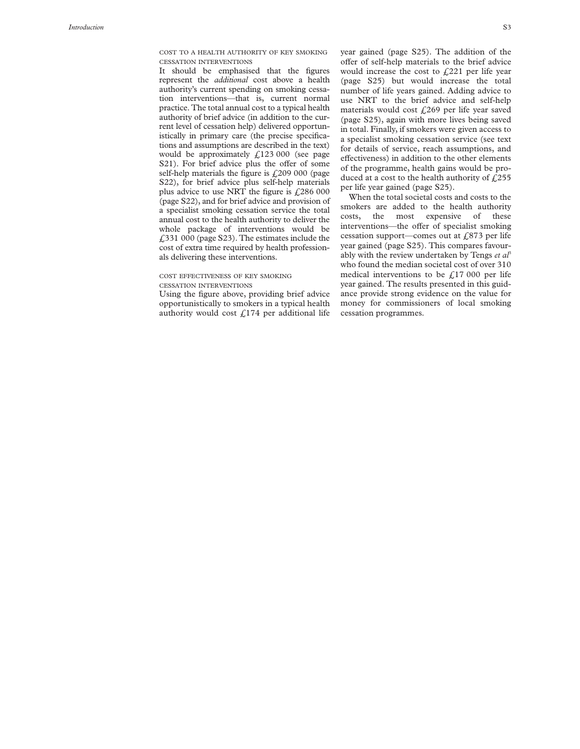COST TO A HEALTH AUTHORITY OF KEY SMOKING CESSATION INTERVENTIONS

It should be emphasised that the figures represent the *additional* cost above a health authority's current spending on smoking cessation interventions—that is, current normal practice. The total annual cost to a typical health authority of brief advice (in addition to the current level of cessation help) delivered opportunistically in primary care (the precise specifications and assumptions are described in the text) would be approximately  $\text{\textsterling}123\,000$  (see page S21). For brief advice plus the offer of some self-help materials the figure is  $f(209000)$  (page S22), for brief advice plus self-help materials plus advice to use NRT the figure is  $\text{\textsterling}286~000$ (page S22), and for brief advice and provision of a specialist smoking cessation service the total annual cost to the health authority to deliver the whole package of interventions would be £331 000 (page S23). The estimates include the cost of extra time required by health professionals delivering these interventions.

#### COST EFFECTIVENESS OF KEY SMOKING CESSATION INTERVENTIONS

Using the figure above, providing brief advice opportunistically to smokers in a typical health authority would cost  $\text{\textsterling}174$  per additional life year gained (page S25). The addition of the offer of self-help materials to the brief advice would increase the cost to  $f<sub>1</sub>221$  per life year (page S25) but would increase the total number of life years gained. Adding advice to use NRT to the brief advice and self-help materials would cost  $\text{\emph{L}}269$  per life year saved (page S25), again with more lives being saved in total. Finally, if smokers were given access to a specialist smoking cessation service (see text for details of service, reach assumptions, and effectiveness) in addition to the other elements of the programme, health gains would be produced at a cost to the health authority of  $f(255)$ per life year gained (page S25).

When the total societal costs and costs to the smokers are added to the health authority costs, the most expensive of these interventions—the offer of specialist smoking cessation support—comes out at  $\text{\textsterling}873$  per life year gained (page S25). This compares favourably with the review undertaken by Tengs et al<sup>3</sup> who found the median societal cost of over 310 medical interventions to be  $f<sub>1</sub>17000$  per life year gained. The results presented in this guidance provide strong evidence on the value for money for commissioners of local smoking cessation programmes.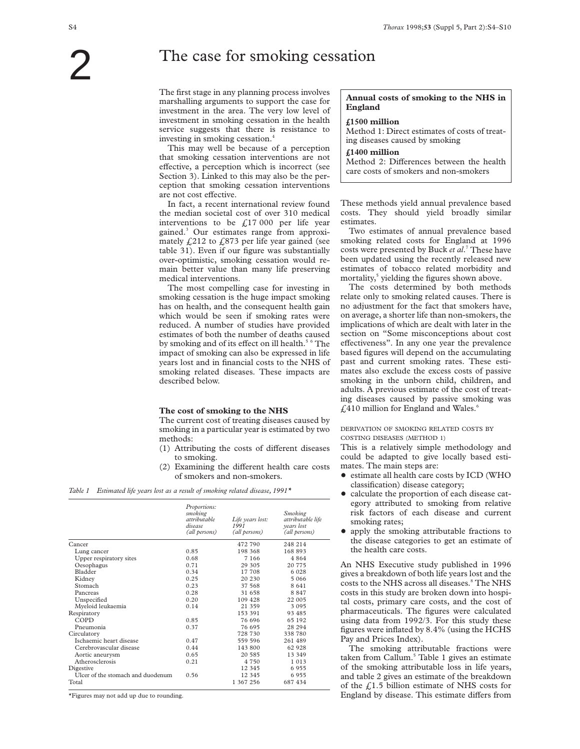### The case for smoking cessation

The first stage in any planning process involves marshalling arguments to support the case for investment in the area. The very low level of investment in smoking cessation in the health service suggests that there is resistance to investing in smoking cessation.4

This may well be because of a perception that smoking cessation interventions are not effective, a perception which is incorrect (see Section 3). Linked to this may also be the perception that smoking cessation interventions are not cost effective.

In fact, a recent international review found the median societal cost of over 310 medical interventions to be  $\text{\textsterling}17~000$  per life year gained.3 Our estimates range from approximately  $\text{\textsterling}212$  to  $\text{\textsterling}873$  per life year gained (see table 31). Even if our figure was substantially over-optimistic, smoking cessation would remain better value than many life preserving medical interventions.

The most compelling case for investing in smoking cessation is the huge impact smoking has on health, and the consequent health gain which would be seen if smoking rates were reduced. A number of studies have provided estimates of both the number of deaths caused by smoking and of its effect on ill health.<sup>5 6</sup> The impact of smoking can also be expressed in life years lost and in financial costs to the NHS of smoking related diseases. These impacts are described below.

#### **The cost of smoking to the NHS**

The current cost of treating diseases caused by smoking in a particular year is estimated by two methods:

- $(1)$  Attributing the costs of different diseases to smoking.
- $(2)$  Examining the different health care costs of smokers and non-smokers.

*Table 1 Estimated life years lost as a result of smoking related disease, 1991\**

|                                   | Proportions:<br>smoking<br>attributable<br>disease<br>(all persons) | Life years lost:<br>1991<br>(all persons) | <b>Smoking</b><br>attributable life<br>vears lost<br>(all persons) |
|-----------------------------------|---------------------------------------------------------------------|-------------------------------------------|--------------------------------------------------------------------|
| Cancer                            |                                                                     | 472 790                                   | 248 214                                                            |
| Lung cancer                       | 0.85                                                                | 198 368                                   | 168893                                                             |
| Upper respiratory sites           | 0.68                                                                | 7 1 6 6                                   | 4864                                                               |
| Oesophagus                        | 0.71                                                                | 29 305                                    | 20 775                                                             |
| Bladder                           | 0.34                                                                | 17 708                                    | 6 0 2 8                                                            |
| Kidney                            | 0.25                                                                | 20 230                                    | 5 066                                                              |
| Stomach                           | 0.23                                                                | 37 568                                    | 8641                                                               |
| Pancreas                          | 0.28                                                                | 31 658                                    | 8847                                                               |
| Unspecified                       | 0.20                                                                | 109 428                                   | 22 005                                                             |
| Myeloid leukaemia                 | 0.14                                                                | 21 359                                    | 3 0 9 5                                                            |
| Respiratory                       |                                                                     | 153 391                                   | 93 485                                                             |
| COPD                              | 0.85                                                                | 76 696                                    | 65 192                                                             |
| Pneumonia                         | 0.37                                                                | 76 695                                    | 28 29 4                                                            |
| Circulatory                       |                                                                     | 728 730                                   | 338 780                                                            |
| Ischaemic heart disease           | 0.47                                                                | 559 596                                   | 261 489                                                            |
| Cerebrovascular disease           | 0.44                                                                | 143 800                                   | 62 928                                                             |
| Aortic aneurysm                   | 0.65                                                                | 20 585                                    | 13 349                                                             |
| Atherosclerosis                   | 0.21                                                                | 4 7 5 0                                   | 1013                                                               |
| Digestive                         |                                                                     | 12 345                                    | 6955                                                               |
| Ulcer of the stomach and duodenum | 0.56                                                                | 12 345                                    | 6955                                                               |
| Total                             |                                                                     | 1 367 256                                 | 687 434                                                            |

\*Figures may not add up due to rounding.

### **Annual costs of smoking to the NHS in England**

**£1500 million**

Method 1: Direct estimates of costs of treating diseases caused by smoking

**£1400 million**

Method 2: Differences between the health care costs of smokers and non-smokers

These methods yield annual prevalence based costs. They should yield broadly similar estimates.

Two estimates of annual prevalence based smoking related costs for England at 1996 costs were presented by Buck *et al*. <sup>7</sup> These have been updated using the recently released new estimates of tobacco related morbidity and mortality,<sup>5</sup> yielding the figures shown above.

The costs determined by both methods relate only to smoking related causes. There is no adjustment for the fact that smokers have, on average, a shorter life than non-smokers, the implications of which are dealt with later in the section on "Some misconceptions about cost effectiveness". In any one year the prevalence based figures will depend on the accumulating past and current smoking rates. These estimates also exclude the excess costs of passive smoking in the unborn child, children, and adults. A previous estimate of the cost of treating diseases caused by passive smoking was  $£410$  million for England and Wales. $^{\circ}$ 

DERIVATION OF SMOKING RELATED COSTS BY COSTING DISEASES (METHOD 1)

This is a relatively simple methodology and could be adapted to give locally based estimates. The main steps are:

- $\bullet$  estimate all health care costs by ICD (WHO classification) disease category;
- + calculate the proportion of each disease category attributed to smoking from relative risk factors of each disease and current smoking rates;
- + apply the smoking attributable fractions to the disease categories to get an estimate of the health care costs.

An NHS Executive study published in 1996 gives a breakdown of both life years lost and the costs to the NHS across all diseases.<sup>8</sup> The NHS costs in this study are broken down into hospital costs, primary care costs, and the cost of pharmaceuticals. The figures were calculated using data from 1992/3. For this study these figures were inflated by 8.4% (using the HCHS Pay and Prices Index).

The smoking attributable fractions were taken from Callum.<sup>5</sup> Table 1 gives an estimate of the smoking attributable loss in life years, and table 2 gives an estimate of the breakdown of the  $\text{\textsterling}1.5$  billion estimate of NHS costs for England by disease. This estimate differs from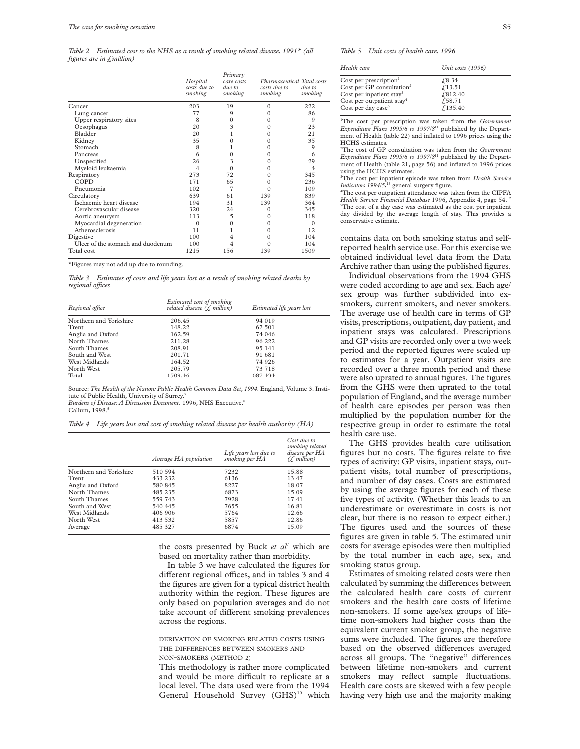*Table 2 Estimated cost to the NHS as a result of smoking related disease, 1991\* (all figures are in £million)*

|                                   | Hospital<br>costs due to<br>smoking | Primary<br>care costs<br>due to<br>smoking | Pharmaceutical Total costs<br>costs due to<br>smoking | due to<br>smoking |
|-----------------------------------|-------------------------------------|--------------------------------------------|-------------------------------------------------------|-------------------|
| Cancer                            | 203                                 | 19                                         | $\Omega$                                              | 222               |
| Lung cancer                       | 77                                  | 9                                          | 0                                                     | 86                |
| Upper respiratory sites           | 8                                   | $\Omega$                                   | 0                                                     | 9                 |
| Oesophagus                        | 20                                  | 3                                          | $\Omega$                                              | 23                |
| Bladder                           | 20                                  |                                            | 0                                                     | 21                |
| Kidney                            | 35                                  | 0                                          | 0                                                     | 35                |
| Stomach                           | 8                                   |                                            | 0                                                     | 9                 |
| Pancreas                          | 6                                   | $\Omega$                                   | 0                                                     | 6                 |
| Unspecified                       | 26                                  | 3                                          | 0                                                     | 29                |
| Myeloid leukaemia                 | $\overline{\mathcal{L}}$            | $\Omega$                                   | 0                                                     | 4                 |
| Respiratory                       | 273                                 | 72                                         | 0                                                     | 345               |
| COPD                              | 171                                 | 65                                         | 0                                                     | 236               |
| Pneumonia                         | 102                                 | 7                                          | $\Omega$                                              | 109               |
| Circulatory                       | 639                                 | 61                                         | 139                                                   | 839               |
| Ischaemic heart disease           | 194                                 | 31                                         | 139                                                   | 364               |
| Cerebrovascular disease           | 320                                 | 24                                         | 0                                                     | 345               |
| Aortic aneurysm                   | 113                                 | 5                                          | 0                                                     | 118               |
| Myocardial degeneration           | $\Omega$                            | $\Omega$                                   | 0                                                     | $\Omega$          |
| Atherosclerosis                   | 11                                  |                                            | 0                                                     | 12                |
| Digestive                         | 100                                 | 4                                          | $\Omega$                                              | 104               |
| Ulcer of the stomach and duodenum | 100                                 | 4                                          |                                                       | 104               |
| Total cost                        | 1215                                | 156                                        | 139                                                   | 1509              |

\*Figures may not add up due to rounding.

*Table 3 Estimates of costs and life years lost as a result of smoking related deaths by regional offices* 

| Regional office        | Estimated cost of smoking<br>related disease $(f.$ million) | Estimated life years lost |  |
|------------------------|-------------------------------------------------------------|---------------------------|--|
| Northern and Yorkshire | 206.45                                                      | 94 019                    |  |
| Trent                  | 148.22                                                      | 67 501                    |  |
| Anglia and Oxford      | 162.59                                                      | 74 046                    |  |
| North Thames           | 211.28                                                      | 96 222                    |  |
| South Thames           | 208.91                                                      | 95 141                    |  |
| South and West         | 201.71                                                      | 91 681                    |  |
| West Midlands          | 164.52                                                      | 74 926                    |  |
| North West             | 205.79                                                      | 73 718                    |  |
| Total                  | 1509.46                                                     | 687 434                   |  |

Source: *The Health of the Nation: Public Health Common Data Set, 1994*. England, Volume 3. Institute of Public Health, University of Surrey.

*Burdens of Disease: A Discussion Document.* 1996, NHS Executive.8 Callum, 1998.<sup>5</sup>

*Table 4 Life years lost and cost of smoking related disease per health authority (HA)*

|                        | Average HA population | Life years lost due to<br>smoking per HA | Cost due to<br>smoking related<br>disease per HA<br>(f. million) |
|------------------------|-----------------------|------------------------------------------|------------------------------------------------------------------|
| Northern and Yorkshire | 510 594               | 7232                                     | 15.88                                                            |
| Trent                  | 433 232               | 6136                                     | 13.47                                                            |
| Anglia and Oxford      | 580 845               | 8227                                     | 18.07                                                            |
| North Thames           | 485 235               | 6873                                     | 15.09                                                            |
| South Thames           | 559 743               | 7928                                     | 17.41                                                            |
| South and West         | 540 445               | 7655                                     | 16.81                                                            |
| West Midlands          | 406 906               | 5764                                     | 12.66                                                            |
| North West             | 413 532               | 5857                                     | 12.86                                                            |
| Average                | 485 327               | 6874                                     | 15.09                                                            |

the costs presented by Buck *et al*<sup>7</sup> which are based on mortality rather than morbidity.

In table 3 we have calculated the figures for different regional offices, and in tables 3 and 4 the figures are given for a typical district health authority within the region. These figures are only based on population averages and do not take account of different smoking prevalences across the regions.

DERIVATION OF SMOKING RELATED COSTS USING THE DIFFERENCES BETWEEN SMOKERS AND NON-SMOKERS (METHOD 2)

This methodology is rather more complicated and would be more difficult to replicate at a local level. The data used were from the 1994 General Household Survey (GHS)<sup>10</sup> which

*Table 5 Unit costs of health care, 1996*

| Health care                           | Unit costs (1996) |
|---------------------------------------|-------------------|
| Cost per prescription <sup>1</sup>    | £8.34             |
| Cost per GP consultation <sup>2</sup> | £13.51            |
| Cost per inpatient stay <sup>3</sup>  | £812.40           |
| Cost per outpatient stay <sup>4</sup> | $f$ , 58.71       |
| Cost per day case <sup>5</sup>        | f.135.40          |

1 The cost per prescription was taken from the *Government Expenditure Plans 1995/6 to 1997/8*<sup>11</sup> published by the Department of Health (table 22) and inflated to 1996 prices using the HCHS estimates.

2 The cost of GP consultation was taken from the *Government Expenditure Plans 1995/6 to 1997/8*<sup>11</sup> published by the Department of Health (table 21, page 56) and inflated to 1996 prices using the HCHS estimates.

3 The cost per inpatient episode was taken from *Health Service Indicators 1994/5*, <sup>13</sup> general surgery figure.

4 The cost per outpatient attendance was taken from the CIPFA *Health Service Financial Database* 1996, Appendix 4, page 54.<sup>12</sup> 5 The cost of a day case was estimated as the cost per inpatient day divided by the average length of stay. This provides a conservative estimate.

contains data on both smoking status and selfreported health service use. For this exercise we obtained individual level data from the Data Archive rather than using the published figures.

Individual observations from the 1994 GHS were coded according to age and sex. Each age/ sex group was further subdivided into exsmokers, current smokers, and never smokers. The average use of health care in terms of GP visits, prescriptions, outpatient, day patient, and inpatient stays was calculated. Prescriptions and GP visits are recorded only over a two week period and the reported figures were scaled up to estimates for a year. Outpatient visits are recorded over a three month period and these were also uprated to annual figures. The figures from the GHS were then uprated to the total population of England, and the average number of health care episodes per person was then multiplied by the population number for the respective group in order to estimate the total health care use.

The GHS provides health care utilisation figures but no costs. The figures relate to five types of activity: GP visits, inpatient stays, outpatient visits, total number of prescriptions, and number of day cases. Costs are estimated by using the average figures for each of these five types of activity. (Whether this leads to an underestimate or overestimate in costs is not clear, but there is no reason to expect either.) The figures used and the sources of these figures are given in table 5. The estimated unit costs for average episodes were then multiplied by the total number in each age, sex, and smoking status group.

Estimates of smoking related costs were then calculated by summing the differences between the calculated health care costs of current smokers and the health care costs of lifetime non-smokers. If some age/sex groups of lifetime non-smokers had higher costs than the equivalent current smoker group, the negative sums were included. The figures are therefore based on the observed differences averaged across all groups. The "negative" differences between lifetime non-smokers and current smokers may reflect sample fluctuations. Health care costs are skewed with a few people having very high use and the majority making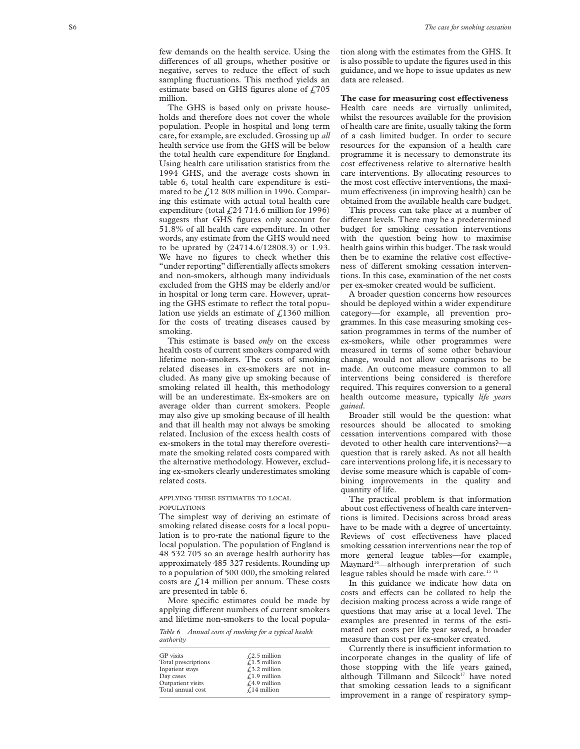few demands on the health service. Using the differences of all groups, whether positive or negative, serves to reduce the effect of such sampling fluctuations. This method yields an estimate based on GHS figures alone of  $£705$ million.

The GHS is based only on private households and therefore does not cover the whole population. People in hospital and long term care, for example, are excluded. Grossing up *all* health service use from the GHS will be below the total health care expenditure for England. Using health care utilisation statistics from the 1994 GHS, and the average costs shown in table 6, total health care expenditure is estimated to be £12 808 million in 1996. Comparing this estimate with actual total health care expenditure (total  $\text{\textsterling}24$  714.6 million for 1996) suggests that GHS figures only account for 51.8% of all health care expenditure. In other words, any estimate from the GHS would need to be uprated by (24714.6/12808.3) or 1.93. We have no figures to check whether this "under reporting" differentially affects smokers and non-smokers, although many individuals excluded from the GHS may be elderly and/or in hospital or long term care. However, uprating the GHS estimate to reflect the total population use yields an estimate of  $\text{\textsterling}1360$  million for the costs of treating diseases caused by smoking.

This estimate is based *only* on the excess health costs of current smokers compared with lifetime non-smokers. The costs of smoking related diseases in ex-smokers are not included. As many give up smoking because of smoking related ill health, this methodology will be an underestimate. Ex-smokers are on average older than current smokers. People may also give up smoking because of ill health and that ill health may not always be smoking related. Inclusion of the excess health costs of ex-smokers in the total may therefore overestimate the smoking related costs compared with the alternative methodology. However, excluding ex-smokers clearly underestimates smoking related costs.

#### APPLYING THESE ESTIMATES TO LOCAL POPULATIONS

The simplest way of deriving an estimate of smoking related disease costs for a local population is to pro-rate the national figure to the local population. The population of England is 48 532 705 so an average health authority has approximately 485 327 residents. Rounding up to a population of 500 000, the smoking related costs are  $f<sub>14</sub>$  million per annum. These costs are presented in table 6.

More specific estimates could be made by applying different numbers of current smokers and lifetime non-smokers to the local popula-

*Table 6 Annual costs of smoking for a typical health authority*

| <b>GP</b> visits    | $\sqrt{2.5}$ million  |
|---------------------|-----------------------|
| Total prescriptions | $\angle$ 1.5 million  |
| Inpatient stays     | $\sqrt{.3.2}$ million |
| Day cases           | $\angle$ 1.9 million  |
| Outpatient visits   | $f(4.9)$ million      |
| Total annual cost   | $\sqrt{14}$ million   |
|                     |                       |

tion along with the estimates from the GHS. It is also possible to update the figures used in this guidance, and we hope to issue updates as new data are released.

#### The case for measuring cost effectiveness

Health care needs are virtually unlimited, whilst the resources available for the provision of health care are finite, usually taking the form of a cash limited budget. In order to secure resources for the expansion of a health care programme it is necessary to demonstrate its cost effectiveness relative to alternative health care interventions. By allocating resources to the most cost effective interventions, the maximum effectiveness (in improving health) can be obtained from the available health care budget.

This process can take place at a number of different levels. There may be a predetermined budget for smoking cessation interventions with the question being how to maximise health gains within this budget. The task would then be to examine the relative cost effectiveness of different smoking cessation interventions. In this case, examination of the net costs per ex-smoker created would be sufficient.

A broader question concerns how resources should be deployed within a wider expenditure category—for example, all prevention programmes. In this case measuring smoking cessation programmes in terms of the number of ex-smokers, while other programmes were measured in terms of some other behaviour change, would not allow comparisons to be made. An outcome measure common to all interventions being considered is therefore required. This requires conversion to a general health outcome measure, typically *life years gained* .

Broader still would be the question: what resources should be allocated to smoking cessation interventions compared with those devoted to other health care interventions?—a question that is rarely asked. As not all health care interventions prolong life, it is necessary to devise some measure which is capable of combining improvements in the quality and quantity of life.

The practical problem is that information about cost effectiveness of health care interventions is limited. Decisions across broad areas have to be made with a degree of uncertainty. Reviews of cost effectiveness have placed smoking cessation interventions near the top of more general league tables—for example, Maynard<sup>14</sup>—although interpretation of such league tables should be made with care.<sup>15 16</sup>

In this guidance we indicate how data on costs and effects can be collated to help the decision making process across a wide range of questions that may arise at a local level. The examples are presented in terms of the estimated net costs per life year saved, a broader measure than cost per ex-smoker created.

Currently there is insufficient information to incorporate changes in the quality of life of those stopping with the life years gained, although Tillmann and Silcock<sup>17</sup> have noted that smoking cessation leads to a significant improvement in a range of respiratory symp-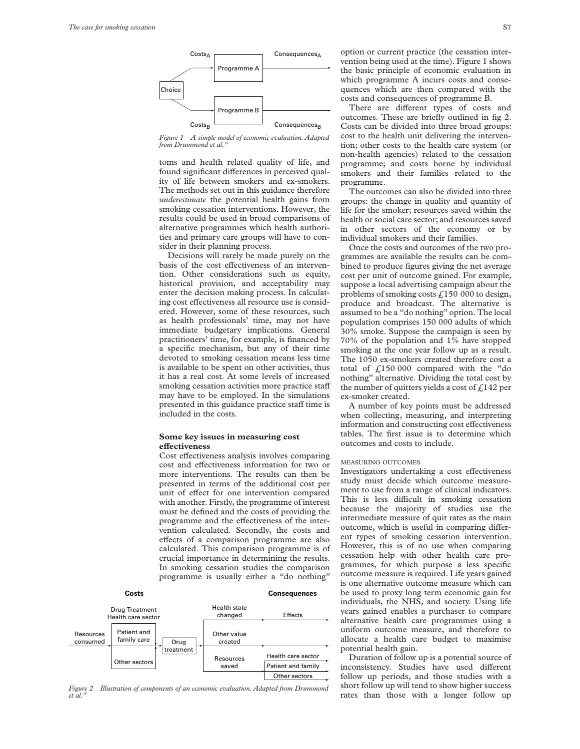

*Figure 1 A simple model of economic evaluation. Adapted from Drummond et al.* 

toms and health related quality of life, and found significant differences in perceived quality of life between smokers and ex-smokers. The methods set out in this guidance therefore *underestimate* the potential health gains from smoking cessation interventions. However, the results could be used in broad comparisons of alternative programmes which health authorities and primary care groups will have to consider in their planning process.

Decisions will rarely be made purely on the basis of the cost effectiveness of an intervention. Other considerations such as equity, historical provision, and acceptability may enter the decision making process. In calculating cost effectiveness all resource use is considered. However, some of these resources, such as health professionals' time, may not have immediate budgetary implications. General practitioners' time, for example, is financed by a specific mechanism, but any of their time devoted to smoking cessation means less time is available to be spent on other activities, thus it has a real cost. At some levels of increased smoking cessation activities more practice staff may have to be employed. In the simulations presented in this guidance practice staff time is included in the costs.

#### **Some key issues in measuring cost eVectiveness**

Cost effectiveness analysis involves comparing cost and effectiveness information for two or more interventions. The results can then be presented in terms of the additional cost per unit of effect for one intervention compared with another. Firstly, the programme of interest must be defined and the costs of providing the programme and the effectiveness of the intervention calculated. Secondly, the costs and effects of a comparison programme are also calculated. This comparison programme is of crucial importance in determining the results. In smoking cessation studies the comparison programme is usually either a "do nothing"



*Figure 2 Illustration of components of an economic evaluation. Adapted from Drummond et al.18*

option or current practice (the cessation intervention being used at the time). Figure 1 shows the basic principle of economic evaluation in which programme A incurs costs and consequences which are then compared with the costs and consequences of programme B.

There are different types of costs and outcomes. These are briefly outlined in fig 2. Costs can be divided into three broad groups: cost to the health unit delivering the intervention; other costs to the health care system (or non-health agencies) related to the cessation programme; and costs borne by individual smokers and their families related to the programme.

The outcomes can also be divided into three groups: the change in quality and quantity of life for the smoker; resources saved within the health or social care sector; and resources saved in other sectors of the economy or by individual smokers and their families.

Once the costs and outcomes of the two programmes are available the results can be combined to produce figures giving the net average cost per unit of outcome gained. For example, suppose a local advertising campaign about the problems of smoking costs  $\text{\textsterling}150000$  to design, produce and broadcast. The alternative is assumed to be a "do nothing" option. The local population comprises 150 000 adults of which 30% smoke. Suppose the campaign is seen by 70% of the population and 1% have stopped smoking at the one year follow up as a result. The 1050 ex-smokers created therefore cost a total of  $\frac{1}{2}$ 150 000 compared with the "do nothing" alternative. Dividing the total cost by the number of quitters yields a cost of  $f<sub>1</sub>142$  per ex-smoker created.

A number of key points must be addressed when collecting, measuring, and interpreting information and constructing cost effectiveness tables. The first issue is to determine which outcomes and costs to include.

#### MEASURING OUTCOMES

Investigators undertaking a cost effectiveness study must decide which outcome measurement to use from a range of clinical indicators. This is less difficult in smoking cessation because the majority of studies use the intermediate measure of quit rates as the main outcome, which is useful in comparing different types of smoking cessation intervention. However, this is of no use when comparing cessation help with other health care programmes, for which purpose a less specific outcome measure is required. Life years gained is one alternative outcome measure which can be used to proxy long term economic gain for individuals, the NHS, and society. Using life years gained enables a purchaser to compare alternative health care programmes using a uniform outcome measure, and therefore to allocate a health care budget to maximise potential health gain.

Duration of follow up is a potential source of inconsistency. Studies have used different follow up periods, and those studies with a short follow up will tend to show higher success rates than those with a longer follow up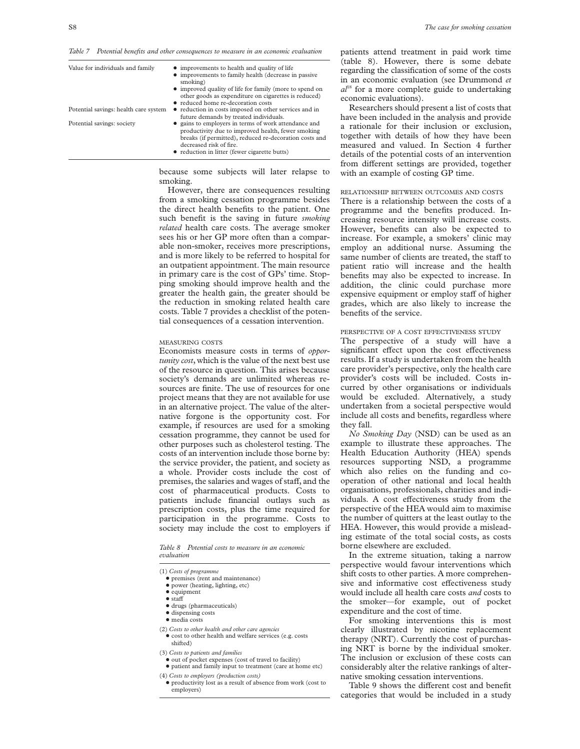| Value for individuals and family<br>Potential savings: health care system<br>Potential savings: society | • improvements to health and quality of life<br>• improvements to family health (decrease in passive<br>smoking)<br>• improved quality of life for family (more to spend on<br>other goods as expenditure on cigarettes is reduced)<br>• reduced home re-decoration costs<br>• reduction in costs imposed on other services and in<br>future demands by treated individuals.<br>• gains to employers in terms of work attendance and<br>productivity due to improved health, fewer smoking<br>breaks (if permitted), reduced re-decoration costs and<br>decreased risk of fire.<br>• reduction in litter (fewer cigarette butts) |
|---------------------------------------------------------------------------------------------------------|----------------------------------------------------------------------------------------------------------------------------------------------------------------------------------------------------------------------------------------------------------------------------------------------------------------------------------------------------------------------------------------------------------------------------------------------------------------------------------------------------------------------------------------------------------------------------------------------------------------------------------|
|---------------------------------------------------------------------------------------------------------|----------------------------------------------------------------------------------------------------------------------------------------------------------------------------------------------------------------------------------------------------------------------------------------------------------------------------------------------------------------------------------------------------------------------------------------------------------------------------------------------------------------------------------------------------------------------------------------------------------------------------------|

because some subjects will later relapse to smoking.

However, there are consequences resulting from a smoking cessation programme besides the direct health benefits to the patient. One such benefit is the saving in future *smoking related* health care costs. The average smoker sees his or her GP more often than a comparable non-smoker, receives more prescriptions, and is more likely to be referred to hospital for an outpatient appointment. The main resource in primary care is the cost of GPs' time. Stopping smoking should improve health and the greater the health gain, the greater should be the reduction in smoking related health care costs. Table 7 provides a checklist of the potential consequences of a cessation intervention.

#### MEASURING COSTS

Economists measure costs in terms of *opportunity cost*, which is the value of the next best use of the resource in question. This arises because society's demands are unlimited whereas resources are finite. The use of resources for one project means that they are not available for use in an alternative project. The value of the alternative forgone is the opportunity cost. For example, if resources are used for a smoking cessation programme, they cannot be used for other purposes such as cholesterol testing. The costs of an intervention include those borne by: the service provider, the patient, and society as a whole. Provider costs include the cost of premises, the salaries and wages of staff, and the cost of pharmaceutical products. Costs to patients include financial outlays such as prescription costs, plus the time required for participation in the programme. Costs to society may include the cost to employers if

*Table 8 Potential costs to measure in an economic evaluation*

(1) *Costs of programme*

- $\bullet$  premises (rent and maintenance)
- $\bullet$  power (heating, lighting, etc)
- $\bullet$  equipment
- $\bullet$  staff
- $\bullet$  drugs (pharmaceuticals)
- $\bullet$  dispensing costs
- media costs
- (2) *Costs to other health and other care agencies*  $\bullet$  cost to other health and welfare services (e.g. costs shifted)
- 
- (3) *Costs to patients and families*  $\bullet$  out of pocket expenses (cost of travel to facility)
- + patient and family input to treatment (care at home etc) (4) *Costs to employers (production costs)*
- + productivity lost as a result of absence from work (cost to employers)

patients attend treatment in paid work time (table 8). However, there is some debate regarding the classification of some of the costs in an economic evaluation (see Drummond *et al*<sup>18</sup> for a more complete guide to undertaking economic evaluations).

Researchers should present a list of costs that have been included in the analysis and provide a rationale for their inclusion or exclusion, together with details of how they have been measured and valued. In Section 4 further details of the potential costs of an intervention from different settings are provided, together with an example of costing GP time.

#### RELATIONSHIP BETWEEN OUTCOMES AND COSTS

There is a relationship between the costs of a programme and the benefits produced. Increasing resource intensity will increase costs. However, benefits can also be expected to increase. For example, a smokers' clinic may employ an additional nurse. Assuming the same number of clients are treated, the staff to patient ratio will increase and the health benefits may also be expected to increase. In addition, the clinic could purchase more expensive equipment or employ staff of higher grades, which are also likely to increase the benefits of the service.

#### PERSPECTIVE OF A COST EFFECTIVENESS STUDY

The perspective of a study will have a significant effect upon the cost effectiveness results. If a study is undertaken from the health care provider's perspective, only the health care provider's costs will be included. Costs incurred by other organisations or individuals would be excluded. Alternatively, a study undertaken from a societal perspective would include all costs and benefits, regardless where they fall.

*No Smoking Day* (NSD) can be used as an example to illustrate these approaches. The Health Education Authority (HEA) spends resources supporting NSD, a programme which also relies on the funding and cooperation of other national and local health organisations, professionals, charities and individuals. A cost effectiveness study from the perspective of the HEA would aim to maximise the number of quitters at the least outlay to the HEA. However, this would provide a misleading estimate of the total social costs, as costs borne elsewhere are excluded.

In the extreme situation, taking a narrow perspective would favour interventions which shift costs to other parties. A more comprehensive and informative cost effectiveness study would include all health care costs *and* costs to the smoker—for example, out of pocket expenditure and the cost of time.

For smoking interventions this is most clearly illustrated by nicotine replacement therapy (NRT). Currently the cost of purchasing NRT is borne by the individual smoker. The inclusion or exclusion of these costs can considerably alter the relative rankings of alternative smoking cessation interventions.

Table 9 shows the different cost and benefit categories that would be included in a study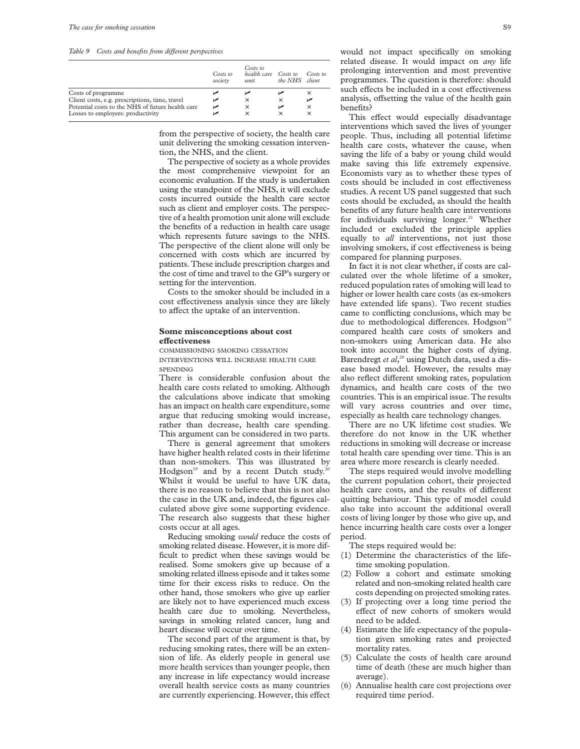*Table 9 Costs and benefits from diVerent perspectives*

|                                                  | Costs to<br>society | Costs to<br>health care Costs to<br>unit | the NHS  | Costs to<br><i>client</i> |
|--------------------------------------------------|---------------------|------------------------------------------|----------|---------------------------|
| Costs of programme                               |                     |                                          |          | ×                         |
| Client costs, e.g. prescriptions, time, travel   | مما                 | $\times$                                 | ×        |                           |
| Potential costs to the NHS of future health care | مرا                 | $\times$                                 |          | $\times$                  |
| Losses to employers: productivity                |                     | $\times$                                 | $\times$ | ×                         |

from the perspective of society, the health care unit delivering the smoking cessation intervention, the NHS, and the client.

The perspective of society as a whole provides the most comprehensive viewpoint for an economic evaluation. If the study is undertaken using the standpoint of the NHS, it will exclude costs incurred outside the health care sector such as client and employer costs. The perspective of a health promotion unit alone will exclude the benefits of a reduction in health care usage which represents future savings to the NHS. The perspective of the client alone will only be concerned with costs which are incurred by patients. These include prescription charges and the cost of time and travel to the GP's surgery or setting for the intervention.

Costs to the smoker should be included in a cost effectiveness analysis since they are likely to affect the uptake of an intervention.

#### **Some misconceptions about cost eVectiveness**

COMMISSIONING SMOKING CESSATION

INTERVENTIONS WILL INCREASE HEALTH CARE **SPENDING** 

There is considerable confusion about the health care costs related to smoking. Although the calculations above indicate that smoking has an impact on health care expenditure, some argue that reducing smoking would increase, rather than decrease, health care spending. This argument can be considered in two parts.

There is general agreement that smokers have higher health related costs in their lifetime than non-smokers. This was illustrated by Hodgson<sup>19</sup> and by a recent Dutch study.<sup>20</sup> Whilst it would be useful to have UK data, there is no reason to believe that this is not also the case in the UK and, indeed, the figures calculated above give some supporting evidence. The research also suggests that these higher costs occur at all ages.

Reducing smoking *would* reduce the costs of smoking related disease. However, it is more difficult to predict when these savings would be realised. Some smokers give up because of a smoking related illness episode and it takes some time for their excess risks to reduce. On the other hand, those smokers who give up earlier are likely not to have experienced much excess health care due to smoking. Nevertheless, savings in smoking related cancer, lung and heart disease will occur over time.

The second part of the argument is that, by reducing smoking rates, there will be an extension of life. As elderly people in general use more health services than younger people, then any increase in life expectancy would increase overall health service costs as many countries are currently experiencing. However, this effect would not impact specifically on smoking related disease. It would impact on *any* life prolonging intervention and most preventive programmes. The question is therefore: should such effects be included in a cost effectiveness analysis, offsetting the value of the health gain benefits?

This effect would especially disadvantage interventions which saved the lives of younger people. Thus, including all potential lifetime health care costs, whatever the cause, when saving the life of a baby or young child would make saving this life extremely expensive. Economists vary as to whether these types of costs should be included in cost effectiveness studies. A recent US panel suggested that such costs should be excluded, as should the health benefits of any future health care interventions for individuals surviving longer.<sup>21</sup> Whether included or excluded the principle applies equally to *all* interventions, not just those involving smokers, if cost effectiveness is being compared for planning purposes.

In fact it is not clear whether, if costs are calculated over the whole lifetime of a smoker, reduced population rates of smoking will lead to higher or lower health care costs (as ex-smokers have extended life spans). Two recent studies came to conflicting conclusions, which may be due to methodological differences. Hodgson<sup>19</sup> compared health care costs of smokers and non-smokers using American data. He also took into account the higher costs of dying. Barendregt *et al*, <sup>20</sup> using Dutch data, used a disease based model. However, the results may also reflect different smoking rates, population dynamics, and health care costs of the two countries. This is an empirical issue. The results will vary across countries and over time, especially as health care technology changes.

There are no UK lifetime cost studies. We therefore do not know in the UK whether reductions in smoking will decrease or increase total health care spending over time. This is an area where more research is clearly needed.

The steps required would involve modelling the current population cohort, their projected health care costs, and the results of different quitting behaviour. This type of model could also take into account the additional overall costs of living longer by those who give up, and hence incurring health care costs over a longer period.

The steps required would be:

- (1) Determine the characteristics of the lifetime smoking population.
- (2) Follow a cohort and estimate smoking related and non-smoking related health care costs depending on projected smoking rates.
- (3) If projecting over a long time period the effect of new cohorts of smokers would need to be added.
- (4) Estimate the life expectancy of the population given smoking rates and projected mortality rates.
- (5) Calculate the costs of health care around time of death (these are much higher than average).
- (6) Annualise health care cost projections over required time period.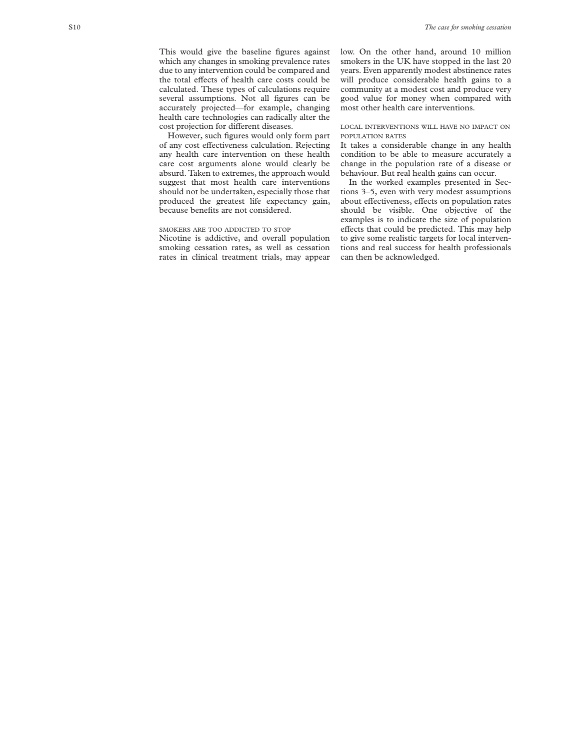This would give the baseline figures against which any changes in smoking prevalence rates due to any intervention could be compared and the total effects of health care costs could be calculated. These types of calculations require several assumptions. Not all figures can be accurately projected—for example, changing health care technologies can radically alter the cost projection for different diseases.

However, such figures would only form part of any cost effectiveness calculation. Rejecting any health care intervention on these health care cost arguments alone would clearly be absurd. Taken to extremes, the approach would suggest that most health care interventions should not be undertaken, especially those that produced the greatest life expectancy gain, because benefits are not considered.

#### SMOKERS ARE TOO ADDICTED TO STOP

Nicotine is addictive, and overall population smoking cessation rates, as well as cessation rates in clinical treatment trials, may appear

low. On the other hand, around 10 million smokers in the UK have stopped in the last 20 years. Even apparently modest abstinence rates will produce considerable health gains to a community at a modest cost and produce very good value for money when compared with most other health care interventions.

#### LOCAL INTERVENTIONS WILL HAVE NO IMPACT ON POPUL ATION RATES

It takes a considerable change in any health condition to be able to measure accurately a change in the population rate of a disease or behaviour. But real health gains can occur.

In the worked examples presented in Sections 3–5, even with very modest assumptions about effectiveness, effects on population rates should be visible. One objective of the examples is to indicate the size of population effects that could be predicted. This may help to give some realistic targets for local interventions and real success for health professionals can then be acknowledged.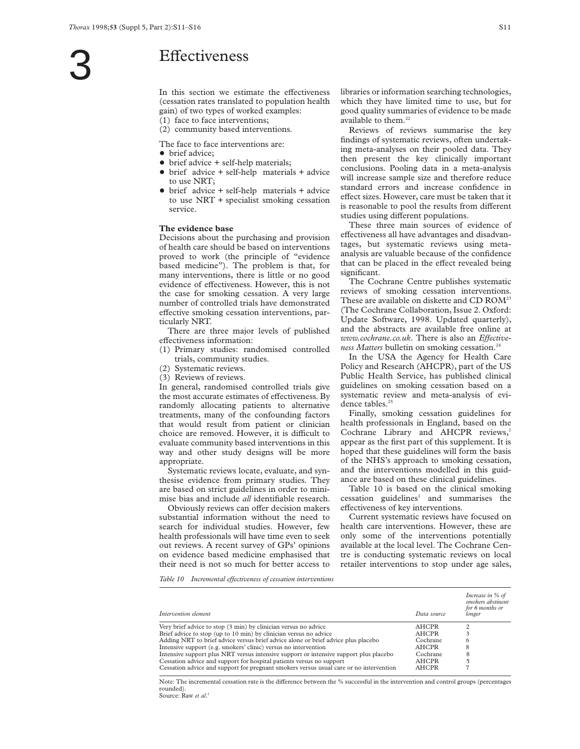# **Effectiveness**

In this section we estimate the effectiveness (cessation rates translated to population health gain) of two types of worked examples: (1) face to face interventions;

(2) community based interventions.

The face to face interventions are:

- $\bullet$  brief advice:
- $\bullet$  brief advice  $+$  self-help materials;
- $\bullet$  brief advice + self-help materials + advice to use NRT;
- brief advice + self-help materials + advice to use NRT + specialist smoking cessation service.

#### **The evidence base**

Decisions about the purchasing and provision of health care should be based on interventions proved to work (the principle of "evidence based medicine"). The problem is that, for many interventions, there is little or no good evidence of effectiveness. However, this is not the case for smoking cessation. A very large number of controlled trials have demonstrated effective smoking cessation interventions, particularly NRT.

There are three major levels of published effectiveness information:

- (1) Primary studies: randomised controlled trials, community studies.
- (2) Systematic reviews.
- (3) Reviews of reviews.

In general, randomised controlled trials give the most accurate estimates of effectiveness. By randomly allocating patients to alternative treatments, many of the confounding factors that would result from patient or clinician choice are removed. However, it is difficult to evaluate community based interventions in this way and other study designs will be more appropriate.

Systematic reviews locate, evaluate, and synthesise evidence from primary studies. They are based on strict guidelines in order to minimise bias and include *all* identifiable research.

Obviously reviews can offer decision makers substantial information without the need to search for individual studies. However, few health professionals will have time even to seek out reviews. A recent survey of GPs' opinions on evidence based medicine emphasised that their need is not so much for better access to

libraries or information searching technologies, which they have limited time to use, but for good quality summaries of evidence to be made available to them.<sup>22</sup>

Reviews of reviews summarise the key findings of systematic reviews, often undertaking meta-analyses on their pooled data. They then present the key clinically important conclusions. Pooling data in a meta-analysis will increase sample size and therefore reduce standard errors and increase confidence in effect sizes. However, care must be taken that it is reasonable to pool the results from different studies using different populations.

These three main sources of evidence of effectiveness all have advantages and disadvantages, but systematic reviews using metaanalysis are valuable because of the confidence that can be placed in the effect revealed being significant.

The Cochrane Centre publishes systematic reviews of smoking cessation interventions. These are available on diskette and CD ROM<sup>23</sup> (The Cochrane Collaboration, Issue 2. Oxford: Update Software, 1998. Updated quarterly), and the abstracts are available free online at  $www.cochrane.co.uk. There is also an *Effective*$ *ness Matters* bulletin on smoking cessation.<sup>24</sup>

In the USA the Agency for Health Care Policy and Research (AHCPR), part of the US Public Health Service, has published clinical guidelines on smoking cessation based on a systematic review and meta-analysis of evidence tables.<sup>25</sup>

Finally, smoking cessation guidelines for health professionals in England, based on the Cochrane Library and AHCPR reviews,<sup>1</sup> appear as the first part of this supplement. It is hoped that these guidelines will form the basis of the NHS's approach to smoking cessation, and the interventions modelled in this guidance are based on these clinical guidelines.

Table 10 is based on the clinical smoking cessation guidelines<sup>1</sup> and summarises the effectiveness of key interventions.

Current systematic reviews have focused on health care interventions. However, these are only some of the interventions potentially available at the local level. The Cochrane Centre is conducting systematic reviews on local retailer interventions to stop under age sales,

*Table 10 Incremental effectiveness of cessation interventions* 

| Intervention element                                                                   | Data source  | Increase in % of<br>smokers abstinent<br>for 6 months or<br>longer |
|----------------------------------------------------------------------------------------|--------------|--------------------------------------------------------------------|
| Very brief advice to stop (3 min) by clinician versus no advice                        | <b>AHCPR</b> |                                                                    |
| Brief advice to stop (up to 10 min) by clinician versus no advice                      | <b>AHCPR</b> |                                                                    |
| Adding NRT to brief advice versus brief advice alone or brief advice plus placebo      | Cochrane     |                                                                    |
| Intensive support (e.g. smokers' clinic) versus no intervention                        | <b>AHCPR</b> | 8                                                                  |
| Intensive support plus NRT versus intensive support or intensive support plus placebo  | Cochrane     |                                                                    |
| Cessation advice and support for hospital patients versus no support                   | <b>AHCPR</b> |                                                                    |
| Cessation advice and support for pregnant smokers versus usual care or no intervention | <b>AHCPR</b> |                                                                    |

Note: The incremental cessation rate is the difference between the % successful in the intervention and control groups (percentages rounded). Source: Raw et al.<sup>1</sup>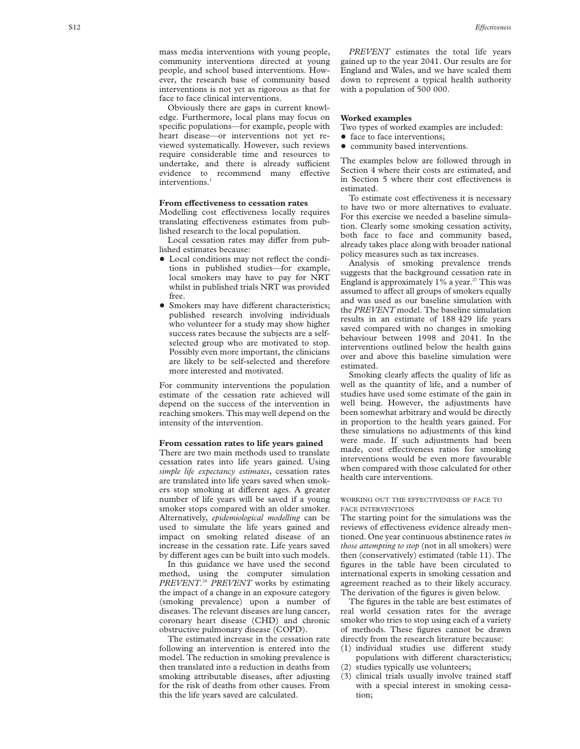mass media interventions with young people, community interventions directed at young people, and school based interventions. However, the research base of community based interventions is not yet as rigorous as that for face to face clinical interventions.

Obviously there are gaps in current knowledge. Furthermore, local plans may focus on specific populations—for example, people with heart disease—or interventions not yet reviewed systematically. However, such reviews require considerable time and resources to undertake, and there is already sufficient evidence to recommend many effective interventions. 1

#### From effectiveness to cessation rates

Modelling cost effectiveness locally requires translating effectiveness estimates from published research to the local population.

Local cessation rates may differ from published estimates because:

- $\bullet$  Local conditions may not reflect the conditions in published studies—for example, local smokers may have to pay for NRT whilst in published trials NRT was provided free.
- Smokers may have different characteristics; published research involving individuals who volunteer for a study may show higher success rates because the subjects are a selfselected group who are motivated to stop. Possibly even more important, the clinicians are likely to be self-selected and therefore more interested and motivated.

For community interventions the population estimate of the cessation rate achieved will depend on the success of the intervention in reaching smokers. This may well depend on the intensity of the intervention.

#### **From cessation rates to life years gained**

There are two main methods used to translate cessation rates into life years gained. Using *simple life expectancy estimates*, cessation rates are translated into life years saved when smokers stop smoking at different ages. A greater number of life years will be saved if a young smoker stops compared with an older smoker. Alternatively, *epidemiological modelling* can be used to simulate the life years gained and impact on smoking related disease of an increase in the cessation rate. Life years saved by different ages can be built into such models.

In this guidance we have used the second method, using the computer simulation *PREVENT*. <sup>26</sup> *PREVENT* works by estimating the impact of a change in an exposure category (smoking prevalence) upon a number of diseases. The relevant diseases are lung cancer, coronary heart disease (CHD) and chronic obstructive pulmonary disease (COPD).

The estimated increase in the cessation rate following an intervention is entered into the model. The reduction in smoking prevalence is then translated into a reduction in deaths from smoking attributable diseases, after adjusting for the risk of deaths from other causes. From this the life years saved are calculated.

*PREVENT* estimates the total life years gained up to the year 2041. Our results are for England and Wales, and we have scaled them down to represent a typical health authority with a population of 500 000.

#### **Worked examples**

Two types of worked examples are included:

- face to face interventions;
- community based interventions.

The examples below are followed through in Section 4 where their costs are estimated, and in Section 5 where their cost effectiveness is estimated.

To estimate cost effectiveness it is necessary to have two or more alternatives to evaluate. For this exercise we needed a baseline simulation. Clearly some smoking cessation activity, both face to face and community based, already takes place along with broader national policy measures such as tax increases.

Analysis of smoking prevalence trends suggests that the background cessation rate in England is approximately  $1\%$  a year.<sup>27</sup> This was assumed to affect all groups of smokers equally and was used as our baseline simulation with the *PREVENT* model. The baseline simulation results in an estimate of 188 429 life years saved compared with no changes in smoking behaviour between 1998 and 2041. In the interventions outlined below the health gains over and above this baseline simulation were estimated.

Smoking clearly affects the quality of life as well as the quantity of life, and a number of studies have used some estimate of the gain in well being. However, the adjustments have been somewhat arbitrary and would be directly in proportion to the health years gained. For these simulations no adjustments of this kind were made. If such adjustments had been made, cost effectiveness ratios for smoking interventions would be even more favourable when compared with those calculated for other health care interventions.

#### WORKING OUT THE EFFECTIVENESS OF FACE TO FACE INTERVENTIONS

The starting point for the simulations was the reviews of effectiveness evidence already mentioned. One year continuous abstinence rates *in those attempting to stop* (not in all smokers) were then (conservatively) estimated (table 11). The figures in the table have been circulated to international experts in smoking cessation and agreement reached as to their likely accuracy. The derivation of the figures is given below.

The figures in the table are best estimates of real world cessation rates for the average smoker who tries to stop using each of a variety of methods. These figures cannot be drawn directly from the research literature because: (1) individual studies use different study

- populations with different characteristics; (2) studies typically use volunteers;
- (3) clinical trials usually involve trained staff with a special interest in smoking cessation;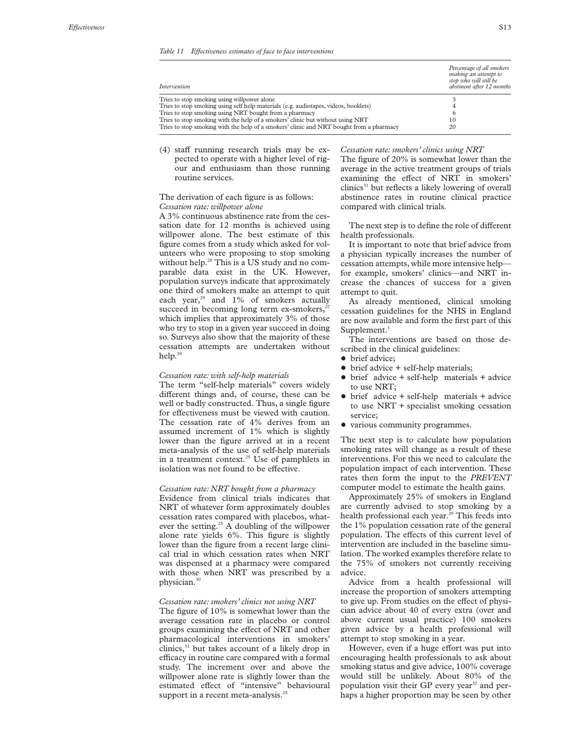| Intervention                                                                            | Percentage of all smokers<br>making an attempt to<br>stop who will still be<br>abstinent after 12 months |
|-----------------------------------------------------------------------------------------|----------------------------------------------------------------------------------------------------------|
| Tries to stop smoking using willpower alone                                             |                                                                                                          |
| Tries to stop smoking using self help materials (e.g. audiotapes, videos, booklets)     |                                                                                                          |
| Tries to stop smoking using NRT bought from a pharmacy                                  | 6                                                                                                        |
| Tries to stop smoking with the help of a smokers' clinic but without using NRT          | 10                                                                                                       |
| Tries to stop smoking with the help of a smokers' clinic and NRT bought from a pharmacy | 20                                                                                                       |

 $(4)$  staff running research trials may be expected to operate with a higher level of rigour and enthusiasm than those running routine services.

#### The derivation of each figure is as follows: *Cessation rate: willpower alone*

A 3% continuous abstinence rate from the cessation date for 12 months is achieved using willpower alone. The best estimate of this figure comes from a study which asked for volunteers who were proposing to stop smoking without help.<sup>28</sup> This is a US study and no comparable data exist in the UK. However, population surveys indicate that approximately one third of smokers make an attempt to quit each year, $29$  and  $1\%$  of smokers actually succeed in becoming long term  $ex\text{-smokes}$ ,<sup>2</sup> which implies that approximately 3% of those who try to stop in a given year succeed in doing so. Surveys also show that the majority of these cessation attempts are undertaken without help.<sup>29</sup>

#### *Cessation rate: with self-help materials*

The term "self-help materials" covers widely different things and, of course, these can be well or badly constructed. Thus, a single figure for effectiveness must be viewed with caution. The cessation rate of 4% derives from an assumed increment of 1% which is slightly lower than the figure arrived at in a recent meta-analysis of the use of self-help materials in a treatment context.<sup>25</sup> Use of pamphlets in isolation was not found to be effective.

#### *Cessation rate: NRT bought from a pharmacy*

Evidence from clinical trials indicates that NRT of whatever form approximately doubles cessation rates compared with placebos, whatever the setting.<sup>25</sup> A doubling of the willpower alone rate yields 6%. This figure is slightly lower than the figure from a recent large clinical trial in which cessation rates when NRT was dispensed at a pharmacy were compared with those when NRT was prescribed by a physician.30

#### *Cessation rate: smokers' clinics not using NRT*

The figure of 10% is somewhat lower than the average cessation rate in placebo or control groups examining the effect of NRT and other pharmacological interventions in smokers' clinics,<sup>31</sup> but takes account of a likely drop in efficacy in routine care compared with a formal study. The increment over and above the willpower alone rate is slightly lower than the estimated effect of "intensive" behavioural support in a recent meta-analysis.<sup>25</sup>

*Cessation rate: smokers' clinics using NRT* The figure of 20% is somewhat lower than the average in the active treatment groups of trials examining the effect of NRT in smokers'  $clinics<sup>31</sup>$  but reflects a likely lowering of overall

abstinence rates in routine clinical practice

compared with clinical trials.

The next step is to define the role of different health professionals.

It is important to note that brief advice from a physician typically increases the number of cessation attempts, while more intensive help for example, smokers' clinics—and NRT increase the chances of success for a given attempt to quit.

As already mentioned, clinical smoking cessation guidelines for the NHS in England are now available and form the first part of this Supplement. $1$ 

The interventions are based on those described in the clinical guidelines:

- brief advice:
- $\bullet$  brief advice  $+$  self-help materials;
- $\bullet$  brief advice + self-help materials + advice to use NRT;
- $\bullet$  brief advice + self-help materials + advice to use NRT + specialist smoking cessation service;
- various community programmes.

The next step is to calculate how population smoking rates will change as a result of these interventions. For this we need to calculate the population impact of each intervention. These rates then form the input to the *PREVENT* computer model to estimate the health gains.

Approximately 25% of smokers in England are currently advised to stop smoking by a health professional each year.<sup>29</sup> This feeds into the 1% population cessation rate of the general population. The effects of this current level of intervention are included in the baseline simulation. The worked examples therefore relate to the 75% of smokers not currently receiving advice.

Advice from a health professional will increase the proportion of smokers attempting to give up. From studies on the effect of physician advice about 40 of every extra (over and above current usual practice) 100 smokers given advice by a health professional will attempt to stop smoking in a year.

However, even if a huge effort was put into encouraging health professionals to ask about smoking status and give advice, 100% coverage would still be unlikely. About 80% of the population visit their GP every year<sup>32</sup> and perhaps a higher proportion may be seen by other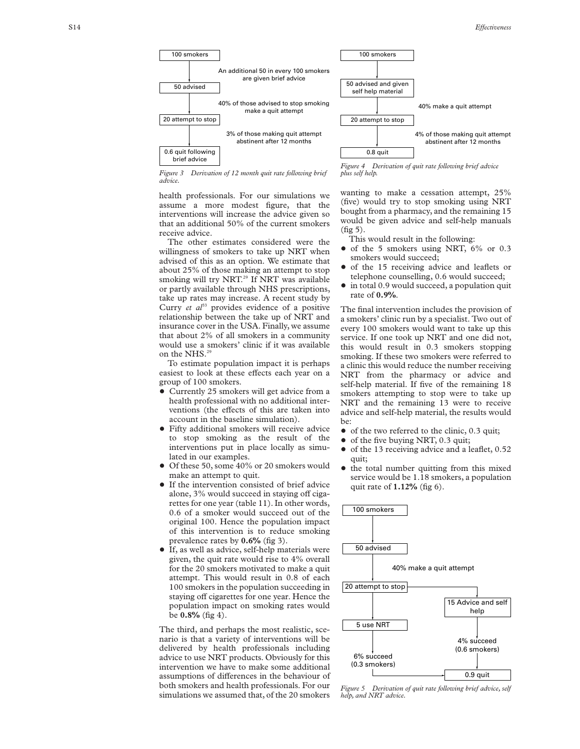

*Figure 3 Derivation of 12 month quit rate following brief advice.*

health professionals. For our simulations we assume a more modest figure, that the interventions will increase the advice given so that an additional 50% of the current smokers receive advice.

The other estimates considered were the willingness of smokers to take up NRT when advised of this as an option. We estimate that about 25% of those making an attempt to stop smoking will try NRT.<sup>29</sup> If NRT was available or partly available through NHS prescriptions, take up rates may increase. A recent study by Curry *et al*<sup>33</sup> provides evidence of a positive relationship between the take up of NRT and insurance cover in the USA. Finally, we assume that about 2% of all smokers in a community would use a smokers' clinic if it was available on the NHS.<sup>29</sup>

To estimate population impact it is perhaps easiest to look at these effects each year on a group of 100 smokers.

- Currently 25 smokers will get advice from a health professional with no additional interventions (the effects of this are taken into account in the baseline simulation).
- Fifty additional smokers will receive advice to stop smoking as the result of the interventions put in place locally as simulated in our examples.
- Of these 50, some 40% or 20 smokers would make an attempt to quit.
- If the intervention consisted of brief advice alone, 3% would succeed in staying off cigarettes for one year (table 11). In other words, 0.6 of a smoker would succeed out of the original 100. Hence the population impact of this intervention is to reduce smoking prevalence rates by **0.6%** (fig 3).
- If, as well as advice, self-help materials were given, the quit rate would rise to 4% overall for the 20 smokers motivated to make a quit attempt. This would result in 0.8 of each 100 smokers in the population succeeding in staying off cigarettes for one year. Hence the population impact on smoking rates would be **0.8%** (fig 4).

The third, and perhaps the most realistic, scenario is that a variety of interventions will be delivered by health professionals including advice to use NRT products. Obviously for this intervention we have to make some additional assumptions of differences in the behaviour of both smokers and health professionals. For our simulations we assumed that, of the 20 smokers

*Figure 4 Derivation of quit rate following brief advice plus self help.*

wanting to make a cessation attempt, 25% (five) would try to stop smoking using NRT bought from a pharmacy, and the remaining 15 would be given advice and self-help manuals  $(fig 5)$ .

- This would result in the following:
- $\bullet$  of the 5 smokers using NRT, 6% or 0.3 smokers would succeed;
- of the 15 receiving advice and leaflets or telephone counselling, 0.6 would succeed;
- in total 0.9 would succeed, a population quit rate of **0.9%** .

The final intervention includes the provision of a smokers' clinic run by a specialist. Two out of every 100 smokers would want to take up this service. If one took up NRT and one did not, this would result in 0.3 smokers stopping smoking. If these two smokers were referred to a clinic this would reduce the number receiving NRT from the pharmacy or advice and self-help material. If five of the remaining 18 smokers attempting to stop were to take up NRT and the remaining 13 were to receive advice and self-help material, the results would be:

- $\bullet$  of the two referred to the clinic, 0.3 quit;
- of the five buying NRT, 0.3 quit;
- $\bullet$  of the 13 receiving advice and a leaflet, 0.52 quit;
- the total number quitting from this mixed service would be 1.18 smokers, a population quit rate of **1.12%** (fig 6).



*Figure 5 Derivation of quit rate following brief advice, self help, and NRT advice.*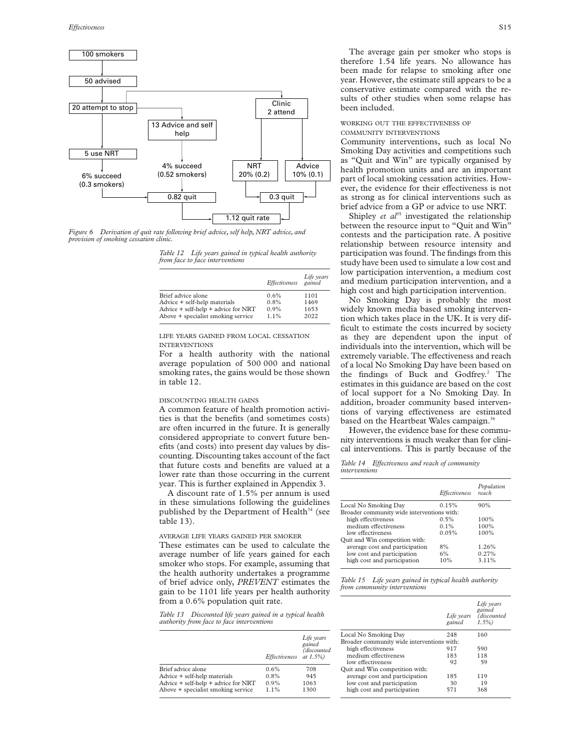

*Figure 6 Derivation of quit rate following brief advice, self help, NRT advice, and provision of smoking cessation clinic.*

*Table 12 Life years gained in typical health authority from face to face interventions*

|                                         | Effectiveness | Life years<br>gained |
|-----------------------------------------|---------------|----------------------|
| Brief advice alone                      | 0.6%          | 1101                 |
| Advice + self-help materials            | 0.8%          | 1469                 |
| Advice $+$ self-help $+$ advice for NRT | 0.9%          | 1653                 |
| Above + specialist smoking service      | $1.1\%$       | 2022                 |

LIFE YEARS GAINED FROM LOCAL CESSATION INTERVENTIONS

For a health authority with the national average population of 500 000 and national smoking rates, the gains would be those shown in table 12.

#### DISCOUNTING HEALTH GAINS

A common feature of health promotion activities is that the benefits (and sometimes costs) are often incurred in the future. It is generally considered appropriate to convert future benefits (and costs) into present day values by discounting. Discounting takes account of the fact that future costs and benefits are valued at a lower rate than those occurring in the current year. This is further explained in Appendix 3.

A discount rate of 1.5% per annum is used in these simulations following the guidelines published by the Department of Health $34$  (see table 13).

AVERAGE LIFE YEARS GAINED PER SMOKER These estimates can be used to calculate the average number of life years gained for each smoker who stops. For example, assuming that the health authority undertakes a programme of brief advice only, *PREVENT* estimates the gain to be 1101 life years per health authority from a 0.6% population quit rate.

*Table 13 Discounted life years gained in a typical health authority from face to face interventions*

|                                     | Effectiveness | Life years<br>gained<br>(discounted<br>at $1.5\%$ ) | Local No S<br>Broader cor<br>high effe<br>medium<br>low effec |
|-------------------------------------|---------------|-----------------------------------------------------|---------------------------------------------------------------|
| Brief advice alone                  | 0.6%          | 708                                                 | Quit and W                                                    |
| Advice + self-help materials        | 0.8%          | 945                                                 | average o                                                     |
| Advice + self-help + advice for NRT | $0.9\%$       | 1063                                                | low cost                                                      |
| Above + specialist smoking service  | 1.1%          | 1300                                                | high cost                                                     |

The average gain per smoker who stops is therefore 1.54 life years. No allowance has been made for relapse to smoking after one year. However, the estimate still appears to be a conservative estimate compared with the results of other studies when some relapse has been included.

#### WORKING OUT THE EFFECTIVENESS OF COMMUNITY INTERVENTIONS

Community interventions, such as local No Smoking Day activities and competitions such as "Quit and Win" are typically organised by health promotion units and are an important part of local smoking cessation activities. However, the evidence for their effectiveness is not as strong as for clinical interventions such as brief advice from a GP or advice to use NRT.

Shipley *et*  $a^{35}$  investigated the relationship between the resource input to "Quit and Win" contests and the participation rate. A positive relationship between resource intensity and participation was found. The findings from this study have been used to simulate a low cost and low participation intervention, a medium cost and medium participation intervention, and a high cost and high participation intervention.

No Smoking Day is probably the most widely known media based smoking intervention which takes place in the UK. It is very difficult to estimate the costs incurred by society as they are dependent upon the input of individuals into the intervention, which will be extremely variable. The effectiveness and reach of a local No Smoking Day have been based on the findings of Buck and Godfrey.<sup>2</sup> The estimates in this guidance are based on the cost of local support for a No Smoking Day. In addition, broader community based interventions of varying effectiveness are estimated based on the Heartbeat Wales campaign.<sup>36</sup>

However, the evidence base for these community interventions is much weaker than for clinical interventions. This is partly because of the

Table 14 Effectiveness and reach of community *interventions*

|                                            |               | Population |
|--------------------------------------------|---------------|------------|
|                                            | Effectiveness | reach      |
| Local No Smoking Day                       | 0.15%         | 90%        |
| Broader community wide interventions with: |               |            |
| high effectiveness                         | 0.5%          | 100%       |
| medium effectiveness                       | $0.1\%$       | 100%       |
| low effectiveness                          | 0.05%         | 100%       |
| Quit and Win competition with:             |               |            |
| average cost and participation             | 8%            | 1.26%      |
| low cost and participation                 | 6%            | 0.27%      |
| high cost and participation                | 10%           | 3.11%      |

*Table 15 Life years gained in typical health authority from community interventions*

|                                            | Life years<br>gained | Life years<br>gained<br>(discounted<br>$1.5\%$ |
|--------------------------------------------|----------------------|------------------------------------------------|
| Local No Smoking Day                       | 248                  | 160                                            |
| Broader community wide interventions with: |                      |                                                |
| high effectiveness                         | 917                  | 590                                            |
| medium effectiveness                       | 183                  | 118                                            |
| low effectiveness                          | 92                   | 59                                             |
| Quit and Win competition with:             |                      |                                                |
| average cost and participation             | 185                  | 119                                            |
| low cost and participation                 | 30                   | 19                                             |
| high cost and participation                | 571                  | 368                                            |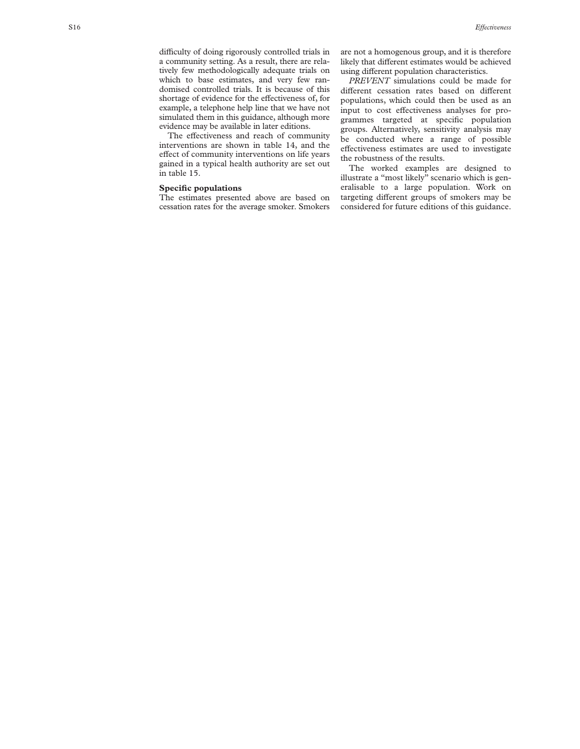difficulty of doing rigorously controlled trials in a community setting. As a result, there are relatively few methodologically adequate trials on which to base estimates, and very few randomised controlled trials. It is because of this shortage of evidence for the effectiveness of, for example, a telephone help line that we have not simulated them in this guidance, although more evidence may be available in later editions.

The effectiveness and reach of community interventions are shown in table 14, and the effect of community interventions on life years gained in a typical health authority are set out in table 15.

#### **Specific populations**

The estimates presented above are based on cessation rates for the average smoker. Smokers are not a homogenous group, and it is therefore likely that different estimates would be achieved using different population characteristics.

*PREVENT* simulations could be made for different cessation rates based on different populations, which could then be used as an input to cost effectiveness analyses for programmes targeted at specific population groups. Alternatively, sensitivity analysis may be conducted where a range of possible effectiveness estimates are used to investigate the robustness of the results.

The worked examples are designed to illustrate a "most likely" scenario which is generalisable to a large population. Work on targeting different groups of smokers may be considered for future editions of this guidance.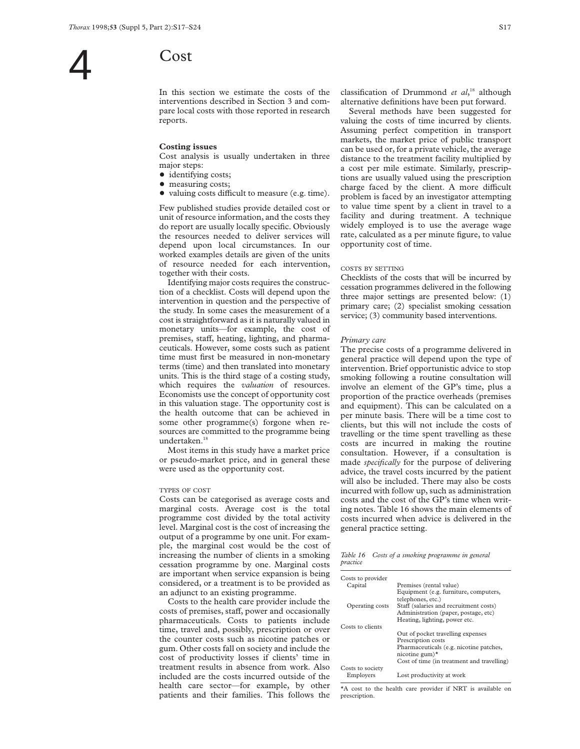In this section we estimate the costs of the interventions described in Section 3 and compare local costs with those reported in research reports.

#### **Costing issues**

Cost analysis is usually undertaken in three major steps:

- identifying costs;
- measuring costs;
- valuing costs difficult to measure (e.g. time).

Few published studies provide detailed cost or unit of resource information, and the costs they do report are usually locally specific. Obviously the resources needed to deliver services will depend upon local circumstances. In our worked examples details are given of the units of resource needed for each intervention, together with their costs.

Identifying major costs requires the construction of a checklist. Costs will depend upon the intervention in question and the perspective of the study. In some cases the measurement of a cost is straightforward as it is naturally valued in monetary units—for example, the cost of premises, staff, heating, lighting, and pharmaceuticals. However, some costs such as patient time must first be measured in non-monetary terms (time) and then translated into monetary units. This is the third stage of a costing study, which requires the *valuation* of resources. Economists use the concept of opportunity cost in this valuation stage. The opportunity cost is the health outcome that can be achieved in some other programme(s) forgone when resources are committed to the programme being undertaken.<sup>18</sup>

Most items in this study have a market price or pseudo-market price, and in general these were used as the opportunity cost.

#### TYPES OF COST

Costs can be categorised as average costs and marginal costs. Average cost is the total programme cost divided by the total activity level. Marginal cost is the cost of increasing the output of a programme by one unit. For example, the marginal cost would be the cost of increasing the number of clients in a smoking cessation programme by one. Marginal costs are important when service expansion is being considered, or a treatment is to be provided as an adjunct to an existing programme.

Costs to the health care provider include the costs of premises, staff, power and occasionally pharmaceuticals. Costs to patients include time, travel and, possibly, prescription or over the counter costs such as nicotine patches or gum. Other costs fall on society and include the cost of productivity losses if clients' time in treatment results in absence from work. Also included are the costs incurred outside of the health care sector—for example, by other patients and their families. This follows the

classification of Drummond *et al*, <sup>18</sup> although alternative definitions have been put forward.

Several methods have been suggested for valuing the costs of time incurred by clients. Assuming perfect competition in transport markets, the market price of public transport can be used or, for a private vehicle, the average distance to the treatment facility multiplied by a cost per mile estimate. Similarly, prescriptions are usually valued using the prescription charge faced by the client. A more difficult problem is faced by an investigator attempting to value time spent by a client in travel to a facility and during treatment. A technique widely employed is to use the average wage rate, calculated as a per minute figure, to value opportunity cost of time.

#### COSTS BY SETTING

Checklists of the costs that will be incurred by cessation programmes delivered in the following three major settings are presented below: (1) primary care; (2) specialist smoking cessation service; (3) community based interventions.

#### *Primary care*

The precise costs of a programme delivered in general practice will depend upon the type of intervention. Brief opportunistic advice to stop smoking following a routine consultation will involve an element of the GP's time, plus a proportion of the practice overheads (premises and equipment). This can be calculated on a per minute basis. There will be a time cost to clients, but this will not include the costs of travelling or the time spent travelling as these costs are incurred in making the routine consultation. However, if a consultation is made *specifically* for the purpose of delivering advice, the travel costs incurred by the patient will also be included. There may also be costs incurred with follow up, such as administration costs and the cost of the GP's time when writing notes. Table 16 shows the main elements of costs incurred when advice is delivered in the general practice setting.

*Table 16 Costs of a smoking programme in general practice*

| Costs to provider |                                            |
|-------------------|--------------------------------------------|
| Capital           | Premises (rental value)                    |
|                   | Equipment (e.g. furniture, computers,      |
|                   | telephones, etc.)                          |
| Operating costs   | Staff (salaries and recruitment costs)     |
|                   | Administration (paper, postage, etc)       |
|                   | Heating, lighting, power etc.              |
| Costs to clients  |                                            |
|                   | Out of pocket travelling expenses          |
|                   | Prescription costs                         |
|                   | Pharmaceuticals (e.g. nicotine patches,    |
|                   | nicotine gum) $*$                          |
|                   | Cost of time (in treatment and travelling) |
| Costs to society  |                                            |
| Employers         | Lost productivity at work                  |

\*A cost to the health care provider if NRT is available on prescription.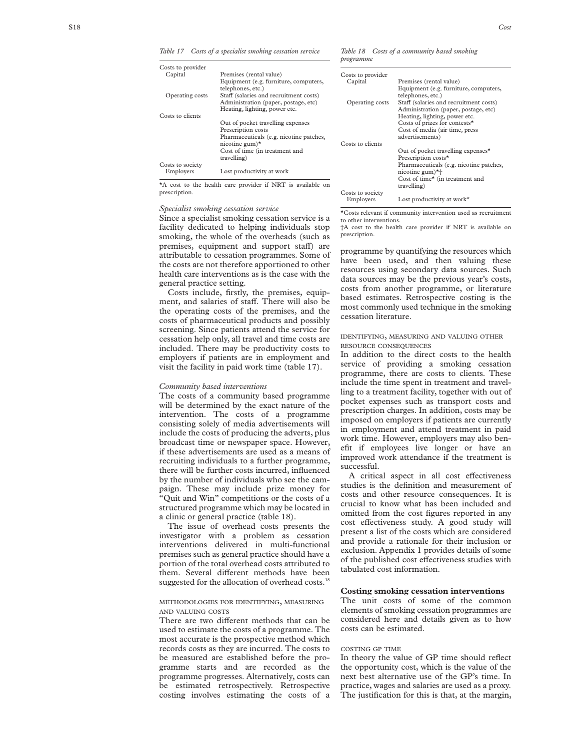*Table 17 Costs of a specialist smoking cessation service*

|           |  | Table 18 Costs of a community based smoking |  |
|-----------|--|---------------------------------------------|--|
| programme |  |                                             |  |

| Costs to provider |                                                                       |                   |                                        |
|-------------------|-----------------------------------------------------------------------|-------------------|----------------------------------------|
| Capital           | Premises (rental value)                                               | Costs to provider |                                        |
|                   | Equipment (e.g. furniture, computers,                                 | Capital           | Premises (rental value)                |
|                   | telephones, etc.)                                                     |                   | Equipment (e.g. furniture, computers,  |
| Operating costs   | Staff (salaries and recruitment costs)                                |                   | telephones, etc.)                      |
|                   | Administration (paper, postage, etc)                                  | Operating costs   | Staff (salaries and recruitment costs) |
|                   | Heating, lighting, power etc.                                         |                   | Administration (paper, postage, etc)   |
| Costs to clients  |                                                                       |                   | Heating, lighting, power etc.          |
|                   | Out of pocket travelling expenses                                     |                   | Costs of prizes for contests*          |
|                   | Prescription costs                                                    |                   | Cost of media (air time, press         |
|                   | Pharmaceuticals (e.g. nicotine patches,                               |                   | advertisements)                        |
|                   | nicotine gum $)^{\star}$                                              | Costs to clients  |                                        |
|                   | Cost of time (in treatment and                                        |                   | Out of pocket travelling expenses*     |
|                   | travelling)                                                           |                   | Prescription costs*                    |
| Costs to society  |                                                                       |                   | Pharmaceuticals (e.g. nicotine patches |
| Employers         | Lost productivity at work                                             |                   | nicotine gum $*$ <sup>+</sup>          |
|                   |                                                                       |                   | Cost of time* (in treatment and        |
|                   | $\star\Lambda$ cost to the health case provides if NDT is evolable on |                   |                                        |

\*A cost to the health care provider if NRT is available on prescription.

#### *Specialist smoking cessation service*

Since a specialist smoking cessation service is a facility dedicated to helping individuals stop smoking, the whole of the overheads (such as premises, equipment and support staff) are attributable to cessation programmes. Some of the costs are not therefore apportioned to other health care interventions as is the case with the general practice setting.

Costs include, firstly, the premises, equipment, and salaries of staff. There will also be the operating costs of the premises, and the costs of pharmaceutical products and possibly screening. Since patients attend the service for cessation help only, all travel and time costs are included. There may be productivity costs to employers if patients are in employment and visit the facility in paid work time (table 17).

#### *Community based interventions*

The costs of a community based programme will be determined by the exact nature of the intervention. The costs of a programme consisting solely of media advertisements will include the costs of producing the adverts, plus broadcast time or newspaper space. However, if these advertisements are used as a means of recruiting individuals to a further programme, there will be further costs incurred, influenced by the number of individuals who see the campaign. These may include prize money for "Quit and Win" competitions or the costs of a structured programme which may be located in a clinic or general practice (table 18).

The issue of overhead costs presents the investigator with a problem as cessation interventions delivered in multi-functional premises such as general practice should have a portion of the total overhead costs attributed to them. Several different methods have been suggested for the allocation of overhead costs.<sup>18</sup>

#### METHODOLOGIES FOR IDENTIFYING , MEASURING AND VALUING COSTS

There are two different methods that can be used to estimate the costs of a programme. The most accurate is the prospective method which records costs as they are incurred. The costs to be measured are established before the programme starts and are recorded as the programme progresses. Alternatively, costs can be estimated retrospectively. Retrospective costing involves estimating the costs of a

 (salaries and recruitment costs) Pharmaceuticals (e.g. nicotine patches, travelling) Costs to society<br>Employers Lost productivity at work $*$ 

\*Costs relevant if community intervention used as recruitment to other interventions.

†A cost to the health care provider if NRT is available on prescription.

programme by quantifying the resources which have been used, and then valuing these resources using secondary data sources. Such data sources may be the previous year's costs, costs from another programme, or literature based estimates. Retrospective costing is the most commonly used technique in the smoking cessation literature.

#### IDENTIFYING , MEASURING AND VALUING OTHER RESOURCE CONSEQUENCES

In addition to the direct costs to the health service of providing a smoking cessation programme, there are costs to clients. These include the time spent in treatment and travelling to a treatment facility, together with out of pocket expenses such as transport costs and prescription charges. In addition, costs may be imposed on employers if patients are currently in employment and attend treatment in paid work time. However, employers may also benefit if employees live longer or have an improved work attendance if the treatment is successful.

A critical aspect in all cost effectiveness studies is the definition and measurement of costs and other resource consequences. It is crucial to know what has been included and omitted from the cost figures reported in any cost effectiveness study. A good study will present a list of the costs which are considered and provide a rationale for their inclusion or exclusion. Appendix 1 provides details of some of the published cost effectiveness studies with tabulated cost information.

#### **Costing smoking cessation interventions**

The unit costs of some of the common elements of smoking cessation programmes are considered here and details given as to how costs can be estimated.

#### COSTING GP TIME

In theory the value of GP time should reflect the opportunity cost, which is the value of the next best alternative use of the GP's time. In practice, wages and salaries are used as a proxy. The justification for this is that, at the margin,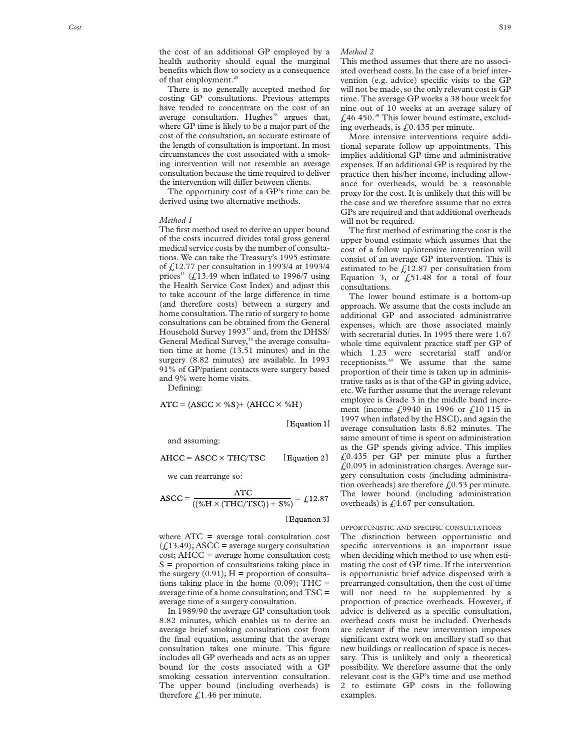the cost of an additional GP employed by a health authority should equal the marginal benefits which flow to society as a consequence of that employment.<sup>28</sup>

There is no generally accepted method for costing GP consultations. Previous attempts have tended to concentrate on the cost of an average consultation. Hughes<sup>28</sup> argues that, where GP time is likely to be a major part of the cost of the consultation, an accurate estimate of the length of consultation is important. In most circumstances the cost associated with a smoking intervention will not resemble an average consultation because the time required to deliver the intervention will differ between clients.

The opportunity cost of a GP's time can be derived using two alternative methods.

#### *Method 1*

The first method used to derive an upper bound of the costs incurred divides total gross general medical service costs by the number of consultations. We can take the Treasury's 1995 estimate of £12.77 per consultation in 1993/4 at 1993/4 prices<sup>11</sup> ( $\widehat{L}$ 13.49 when inflated to 1996/7 using the Health Service Cost Index) and adjust this to take account of the large difference in time (and therefore costs) between a surgery and home consultation. The ratio of surgery to home consultations can be obtained from the General Household Survey 1993<sup>37</sup> and, from the DHSS/ General Medical Survey,<sup>38</sup> the average consultation time at home (13.51 minutes) and in the surgery (8.82 minutes) are available. In 1993 91% of GP/patient contacts were surgery based and 9% were home visits.

Defining:

$$
ATC = (ASCC \times \%S) + (AHCC \times \%H)
$$

[Equation 1]

and assuming:

$$
AHCC = ASCC \times THC/TSC \qquad [Equation 2]
$$

we can rearrange so:

$$
ASCC = \frac{ATC}{((\%H \times (THC/TSC)) + S\%)} = \pounds12.87
$$

[Equation 3]

where ATC = average total consultation cost  $($ 213.49); ASCC = average surgery consultation cost; AHCC = average home consultation cost;  $S =$  proportion of consultations taking place in the surgery  $(0.91)$ ; H = proportion of consultations taking place in the home  $(0.09)$ ; THC = average time of a home consultation; and TSC = average time of a surgery consultation.

In 1989/90 the average GP consultation took 8.82 minutes, which enables us to derive an average brief smoking consultation cost from the final equation, assuming that the average consultation takes one minute. This figure includes all GP overheads and acts as an upper bound for the costs associated with a GP smoking cessation intervention consultation. The upper bound (including overheads) is therefore  $\text{\textsterling}1.46$  per minute.

#### *Method 2*

This method assumes that there are no associated overhead costs. In the case of a brief intervention (e.g. advice) specific visits to the GP will not be made, so the only relevant cost is GP time. The average GP works a 38 hour week for nine out of 10 weeks at an average salary of  $\text{\emph{f}}$ ,46 450.<sup>39</sup> This lower bound estimate, excluding overheads, is £0.435 per minute.

More intensive interventions require additional separate follow up appointments. This implies additional GP time and administrative expenses. If an additional GP is required by the practice then his/her income, including allowance for overheads, would be a reasonable proxy for the cost. It is unlikely that this will be the case and we therefore assume that no extra GPs are required and that additional overheads will not be required.

The first method of estimating the cost is the upper bound estimate which assumes that the cost of a follow up/intensive intervention will consist of an average GP intervention. This is estimated to be  $\text{\textsterling}12.87$  per consultation from Equation 3, or  $\text{\emph{f}}51.48$  for a total of four consultations.

The lower bound estimate is a bottom-up approach. We assume that the costs include an additional GP and associated administrative expenses, which are those associated mainly with secretarial duties. In 1995 there were 1.67 whole time equivalent practice staff per GP of which 1.23 were secretarial staff and/or receptionists.40 We assume that the same proportion of their time is taken up in administrative tasks as is that of the GP in giving advice, etc. We further assume that the average relevant employee is Grade 3 in the middle band increment (income £9940 in 1996 or £10 115 in 1997 when inflated by the HSCI), and again the average consultation lasts 8.82 minutes. The same amount of time is spent on administration as the GP spends giving advice. This implies £0.435 per GP per minute plus a further £0.095 in administration charges. Average surgery consultation costs (including administration overheads) are therefore  $f<sub>0.53</sub>$  per minute. The lower bound (including administration overheads) is  $\text{\textsterling}4.67$  per consultation.

#### OPPORTUNISTIC AND SPECIFIC CONSULTATIONS

The distinction between opportunistic and specific interventions is an important issue when deciding which method to use when estimating the cost of GP time. If the intervention is opportunistic brief advice dispensed with a prearranged consultation, then the cost of time will not need to be supplemented by a proportion of practice overheads. However, if advice is delivered as a specific consultation, overhead costs must be included. Overheads are relevant if the new intervention imposes significant extra work on ancillary staff so that new buildings or reallocation of space is necessary. This is unlikely and only a theoretical possibility. We therefore assume that the only relevant cost is the GP's time and use method 2 to estimate GP costs in the following examples.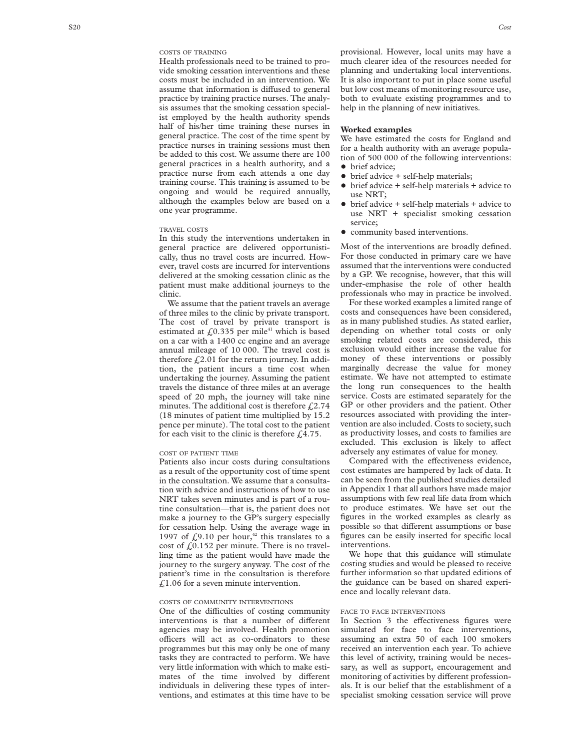Health professionals need to be trained to provide smoking cessation interventions and these costs must be included in an intervention. We assume that information is diffused to general practice by training practice nurses. The analysis assumes that the smoking cessation specialist employed by the health authority spends half of his/her time training these nurses in general practice. The cost of the time spent by practice nurses in training sessions must then be added to this cost. We assume there are 100 general practices in a health authority, and a practice nurse from each attends a one day training course. This training is assumed to be ongoing and would be required annually, although the examples below are based on a one year programme.

#### TRAVEL COSTS

In this study the interventions undertaken in general practice are delivered opportunistically, thus no travel costs are incurred. However, travel costs are incurred for interventions delivered at the smoking cessation clinic as the patient must make additional journeys to the clinic.

We assume that the patient travels an average of three miles to the clinic by private transport. The cost of travel by private transport is estimated at  $f(0.335)$  per mile<sup>41</sup> which is based on a car with a 1400 cc engine and an average annual mileage of 10 000. The travel cost is therefore  $\text{\emph{L}}2.01$  for the return journey. In addition, the patient incurs a time cost when undertaking the journey. Assuming the patient travels the distance of three miles at an average speed of 20 mph, the journey will take nine minutes. The additional cost is therefore  $f(2.74)$ (18 minutes of patient time multiplied by 15.2 pence per minute). The total cost to the patient for each visit to the clinic is therefore  $f(4.75)$ .

#### COST OF PATIENT TIME

Patients also incur costs during consultations as a result of the opportunity cost of time spent in the consultation. We assume that a consultation with advice and instructions of how to use NRT takes seven minutes and is part of a routine consultation—that is, the patient does not make a journey to the GP's surgery especially for cessation help. Using the average wage in 1997 of  $\zeta$ 9.10 per hour,<sup>42</sup> this translates to a cost of  $\text{\textsterling}0.152$  per minute. There is no travelling time as the patient would have made the journey to the surgery anyway. The cost of the patient's time in the consultation is therefore  $£1.06$  for a seven minute intervention.

#### COSTS OF COMMUNITY INTERVENTIONS

One of the difficulties of costing community interventions is that a number of different agencies may be involved. Health promotion officers will act as co-ordinators to these programmes but this may only be one of many tasks they are contracted to perform. We have very little information with which to make estimates of the time involved by different individuals in delivering these types of interventions, and estimates at this time have to be

provisional. However, local units may have a much clearer idea of the resources needed for planning and undertaking local interventions. It is also important to put in place some useful but low cost means of monitoring resource use, both to evaluate existing programmes and to help in the planning of new initiatives.

#### **Worked examples**

We have estimated the costs for England and for a health authority with an average population of 500 000 of the following interventions: • brief advice;

- $\bullet$  brief advice  $+$  self-help materials;
- $\bullet$  brief advice  $+$  self-help materials  $+$  advice to use NRT;
- $\bullet$  brief advice  $+$  self-help materials  $+$  advice to use NRT + specialist smoking cessation service;
- $\bullet$  community based interventions.

Most of the interventions are broadly defined. For those conducted in primary care we have assumed that the interventions were conducted by a GP. We recognise, however, that this will under-emphasise the role of other health professionals who may in practice be involved.

For these worked examples a limited range of costs and consequences have been considered, as in many published studies. As stated earlier, depending on whether total costs or only smoking related costs are considered, this exclusion would either increase the value for money of these interventions or possibly marginally decrease the value for money estimate. We have not attempted to estimate the long run consequences to the health service. Costs are estimated separately for the GP or other providers and the patient. Other resources associated with providing the intervention are also included. Costs to society, such as productivity losses, and costs to families are excluded. This exclusion is likely to affect adversely any estimates of value for money.

Compared with the effectiveness evidence, cost estimates are hampered by lack of data. It can be seen from the published studies detailed in Appendix 1 that all authors have made major assumptions with few real life data from which to produce estimates. We have set out the figures in the worked examples as clearly as possible so that different assumptions or base figures can be easily inserted for specific local interventions.

We hope that this guidance will stimulate costing studies and would be pleased to receive further information so that updated editions of the guidance can be based on shared experience and locally relevant data.

#### FACE TO FACE INTERVENTIONS

In Section 3 the effectiveness figures were simulated for face to face interventions, assuming an extra 50 of each 100 smokers received an intervention each year. To achieve this level of activity, training would be necessary, as well as support, encouragement and monitoring of activities by different professionals. It is our belief that the establishment of a specialist smoking cessation service will prove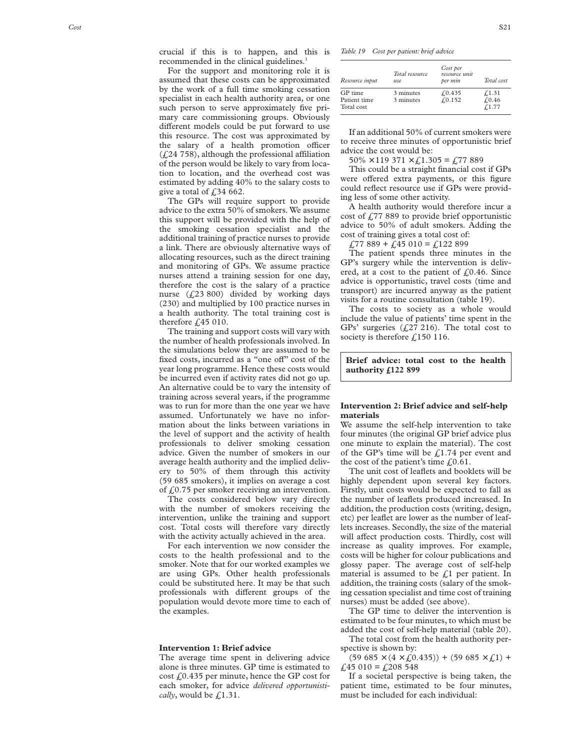For the support and monitoring role it is assumed that these costs can be approximated by the work of a full time smoking cessation specialist in each health authority area, or one such person to serve approximately five primary care commissioning groups. Obviously different models could be put forward to use this resource. The cost was approximated by the salary of a health promotion officer  $(f<sub>i</sub>, 24758)$ , although the professional affiliation of the person would be likely to vary from location to location, and the overhead cost was estimated by adding 40% to the salary costs to give a total of  $\text{\textsterling}34$  662.

The GPs will require support to provide advice to the extra 50% of smokers. We assume this support will be provided with the help of the smoking cessation specialist and the additional training of practice nurses to provide a link. There are obviously alternative ways of allocating resources, such as the direct training and monitoring of GPs. We assume practice nurses attend a training session for one day, therefore the cost is the salary of a practice nurse (£23 800) divided by working days (230) and multiplied by 100 practice nurses in a health authority. The total training cost is therefore  $f<sub>1</sub>45010$ .

The training and support costs will vary with the number of health professionals involved. In the simulations below they are assumed to be fixed costs, incurred as a "one off" cost of the year long programme. Hence these costs would be incurred even if activity rates did not go up. An alternative could be to vary the intensity of training across several years, if the programme was to run for more than the one year we have assumed. Unfortunately we have no information about the links between variations in the level of support and the activity of health professionals to deliver smoking cessation advice. Given the number of smokers in our average health authority and the implied delivery to 50% of them through this activity (59 685 smokers), it implies on average a cost of  $f(0.75)$  per smoker receiving an intervention.

The costs considered below vary directly with the number of smokers receiving the intervention, unlike the training and support cost. Total costs will therefore vary directly with the activity actually achieved in the area.

For each intervention we now consider the costs to the health professional and to the smoker. Note that for our worked examples we are using GPs. Other health professionals could be substituted here. It may be that such professionals with different groups of the population would devote more time to each of the examples.

#### **Intervention 1: Brief advice**

The average time spent in delivering advice alone is three minutes. GP time is estimated to cost £0.435 per minute, hence the GP cost for each smoker, for advice *delivered opportunistically*, would be  $\text{\textsterling}1.31$ .

*Table 19 Cost per patient: brief advice*

| Resource input                        | Total resource<br>use  | Cost per<br>resource unit<br>per min | Total cost                  |
|---------------------------------------|------------------------|--------------------------------------|-----------------------------|
| GP time<br>Patient time<br>Total cost | 3 minutes<br>3 minutes | f(0.435)<br>f(0.152)                 | £,1.31<br>f(0.46)<br>f.1.77 |

If an additional 50% of current smokers were to receive three minutes of opportunistic brief advice the cost would be:

 $50\% \times 119\,371 \times \text{{f}}$ , 1.305 =  $\text{{f}}$ , 77 889

This could be a straight financial cost if GPs were offered extra payments, or this figure could reflect resource use if GPs were providing less of some other activity.

A health authority would therefore incur a cost of  $\frac{277}{889}$  to provide brief opportunistic advice to 50% of adult smokers. Adding the cost of training gives a total cost of:

 $£77889 + £45010 = £122899$ 

The patient spends three minutes in the GP's surgery while the intervention is delivered, at a cost to the patient of  $f(0.46)$ . Since advice is opportunistic, travel costs (time and transport) are incurred anyway as the patient visits for a routine consultation (table 19).

The costs to society as a whole would include the value of patients' time spent in the GPs' surgeries (£27 216). The total cost to society is therefore £150 116.

**Brief advice: total cost to the health authority £122 899**

#### **Intervention 2: Brief advice and self-help materials**

We assume the self-help intervention to take four minutes (the original GP brief advice plus one minute to explain the material). The cost of the GP's time will be  $\text{\textsterling}1.74$  per event and the cost of the patient's time  $f(0.61)$ .

The unit cost of leaflets and booklets will be highly dependent upon several key factors. Firstly, unit costs would be expected to fall as the number of leaflets produced increased. In addition, the production costs (writing, design, etc) per leaflet are lower as the number of leaflets increases. Secondly, the size of the material will affect production costs. Thirdly, cost will increase as quality improves. For example, costs will be higher for colour publications and glossy paper. The average cost of self-help material is assumed to be  $f<sub>i</sub>$  per patient. In addition, the training costs (salary of the smoking cessation specialist and time cost of training nurses) must be added (see above).

The GP time to deliver the intervention is estimated to be four minutes, to which must be added the cost of self-help material (table 20).

The total cost from the health authority perspective is shown by:

 $(59 685 \times (4 \times \text{\textsterling}0.435))$  +  $(59 685 \times \text{\textsterling}1)$  + £45 010 = £208 548

If a societal perspective is being taken, the patient time, estimated to be four minutes, must be included for each individual: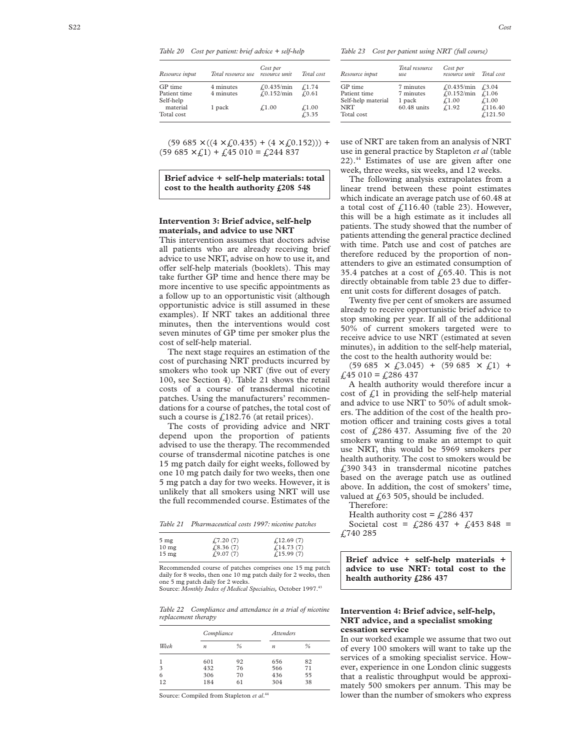*Table 20 Cost per patient: brief advice + self-help*

| Resource input                       | Total resource use     | Cost per<br>resource unit                      | Total cost              |
|--------------------------------------|------------------------|------------------------------------------------|-------------------------|
| GP time<br>Patient time<br>Self-help | 4 minutes<br>4 minutes | $f(0.435/\text{min})$<br>$f(0.152/\text{min})$ | £1.74<br>f(0.61)        |
| material<br>Total cost               | 1 pack                 | f.1.00                                         | $\pounds$ 1.00<br>f3.35 |

 $(59\;685\times((4\times\text{{\textsterling}}0.435)+(4\times\text{{\textsterling}}0.152)))$  +  $(59 685 \times \text{{\sterling}}1) + \text{{\sterling}}45 010 = \text{{\sterling}}244 837$ 

**Brief advice + self-help materials: total cost to the health authority £208 548**

#### **Intervention 3: Brief advice, self-help materials, and advice to use NRT**

This intervention assumes that doctors advise all patients who are already receiving brief advice to use NRT, advise on how to use it, and offer self-help materials (booklets). This may take further GP time and hence there may be more incentive to use specific appointments as a follow up to an opportunistic visit (although opportunistic advice is still assumed in these examples). If NRT takes an additional three minutes, then the interventions would cost seven minutes of GP time per smoker plus the cost of self-help material.

The next stage requires an estimation of the cost of purchasing NRT products incurred by smokers who took up NRT (five out of every 100, see Section 4). Table 21 shows the retail costs of a course of transdermal nicotine patches. Using the manufacturers' recommendations for a course of patches, the total cost of such a course is  $\text{\textsterling}182.76$  (at retail prices).

The costs of providing advice and NRT depend upon the proportion of patients advised to use the therapy. The recommended course of transdermal nicotine patches is one 15 mg patch daily for eight weeks, followed by one 10 mg patch daily for two weeks, then one 5 mg patch a day for two weeks. However, it is unlikely that all smokers using NRT will use the full recommended course. Estimates of the

| Table 21 | Pharmaceutical costs 1997: nicotine patches |  |  |  |  |  |
|----------|---------------------------------------------|--|--|--|--|--|
|----------|---------------------------------------------|--|--|--|--|--|

| $5 \text{ mg}$  | f(7.20(7)) | f(12.69(7)) |
|-----------------|------------|-------------|
| $10 \text{ mg}$ | £8.36(7)   | f(14.73(7)) |
| $15 \text{ mg}$ | f(9.07(7)) | £15.99(7)   |

Recommended course of patches comprises one 15 mg patch daily for 8 weeks, then one 10 mg patch daily for 2 weeks, then one 5 mg patch daily for 2 weeks. Source: *Monthly Index of Medical Specialties,* October 1997.43

*Table 22 Compliance and attendance in a trial of nicotine replacement therapy*

|      | Compliance |               | <i>Attenders</i> |      |
|------|------------|---------------|------------------|------|
| Week | n          | $\frac{0}{0}$ | n                | $\%$ |
|      | 601        | 92            | 656              | 82   |
| 3    | 432        | 76            | 566              | 71   |
| 6    | 306        | 70            | 436              | 55   |
| 12   | 184        | 61            | 304              | 38   |

Source: Compiled from Stapleton et al.<sup>44</sup>

*Table 23 Cost per patient using NRT (full course)*

| Resource input                                                            | Total resource<br>use                             | Cost per<br>resource unit                                 | Total cost                                                |
|---------------------------------------------------------------------------|---------------------------------------------------|-----------------------------------------------------------|-----------------------------------------------------------|
| GP time<br>Patient time<br>Self-help material<br><b>NRT</b><br>Total cost | 7 minutes<br>7 minutes<br>1 pack<br>$60.48$ units | $f(0.435/\text{min})$<br>£,0.152/min<br>f.1.00<br>f(1.92) | $\sqrt{3.04}$<br>f.1.06<br>f.1.00<br>£116.40<br>f(121.50) |

use of NRT are taken from an analysis of NRT use in general practice by Stapleton *et al* (table 22).44 Estimates of use are given after one week, three weeks, six weeks, and 12 weeks.

The following analysis extrapolates from a linear trend between these point estimates which indicate an average patch use of 60.48 at a total cost of  $f<sub>116.40</sub>$  (table 23). However, this will be a high estimate as it includes all patients. The study showed that the number of patients attending the general practice declined with time. Patch use and cost of patches are therefore reduced by the proportion of nonattenders to give an estimated consumption of 35.4 patches at a cost of  $\ell$  65.40. This is not directly obtainable from table 23 due to different unit costs for different dosages of patch.

Twenty five per cent of smokers are assumed already to receive opportunistic brief advice to stop smoking per year. If all of the additional 50% of current smokers targeted were to receive advice to use NRT (estimated at seven minutes), in addition to the self-help material, the cost to the health authority would be:

 $(59\;685\;\times\;\text{\textsterling}3.045)\;+\; (59\;685\;\times\;\text{\textsterling}1)\;\;+\;$  $£45010 = £286437$ 

A health authority would therefore incur a cost of  $\mathcal{L}$ 1 in providing the self-help material and advice to use NRT to 50% of adult smokers. The addition of the cost of the health promotion officer and training costs gives a total cost of  $\text{\emph{£}}286\text{ }437$ . Assuming five of the 20 smokers wanting to make an attempt to quit use NRT, this would be 5969 smokers per health authority. The cost to smokers would be £390 343 in transdermal nicotine patches based on the average patch use as outlined above. In addition, the cost of smokers' time, valued at  $f(63 505,$  should be included.

Therefore:

Health authority cost =  $\text{\textsterling}286\,437$ Societal cost =  $f(286\ 437 + f(453\ 848 =$ £740 285

**Brief advice + self-help materials + advice to use NRT: total cost to the health authority £286 437**

#### **Intervention 4: Brief advice, self-help, NRT advice, and a specialist smoking cessation service**

In our worked example we assume that two out of every 100 smokers will want to take up the services of a smoking specialist service. However, experience in one London clinic suggests that a realistic throughput would be approximately 500 smokers per annum. This may be lower than the number of smokers who express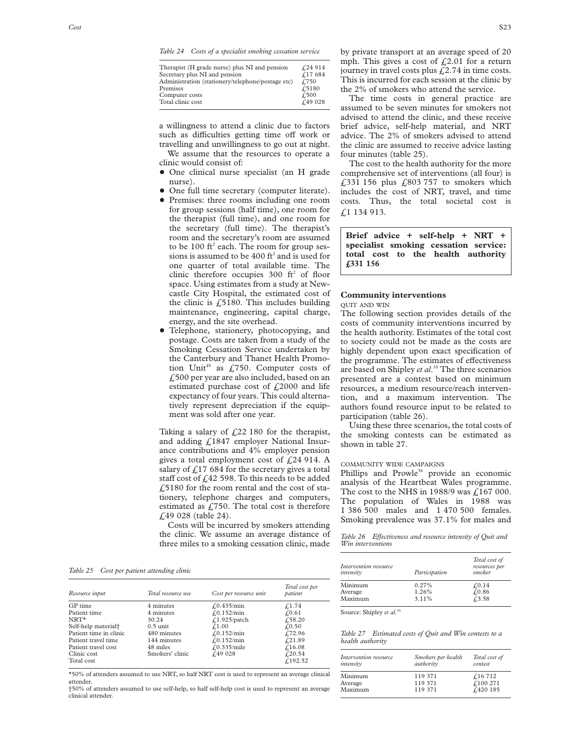*Table 24 Costs of a specialist smoking cessation service*

| Therapist (H grade nurse) plus NI and pension     | £,24 914      |
|---------------------------------------------------|---------------|
| Secretary plus NI and pension                     | f17684        |
| Administration (stationery/telephone/postage etc) | £750          |
| Premises                                          | £5180         |
| Computer costs                                    | $\sqrt{.500}$ |
| Total clinic cost                                 | f49028        |
|                                                   |               |

a willingness to attend a clinic due to factors such as difficulties getting time off work or travelling and unwillingness to go out at night.

We assume that the resources to operate a clinic would consist of:

- One clinical nurse specialist (an H grade nurse).
- One full time secretary (computer literate).
- Premises: three rooms including one room for group sessions (half time), one room for the therapist (full time), and one room for the secretary (full time). The therapist's room and the secretary's room are assumed to be 100 ft<sup>2</sup> each. The room for group sessions is assumed to be  $400 \text{ ft}^2$  and is used for one quarter of total available time. The clinic therefore occupies  $300 \text{ ft}^2$  of floor space. Using estimates from a study at Newcastle City Hospital, the estimated cost of the clinic is  $\sqrt{5180}$ . This includes building maintenance, engineering, capital charge, energy, and the site overhead.
- Telephone, stationery, photocopying, and postage. Costs are taken from a study of the Smoking Cessation Service undertaken by the Canterbury and Thanet Health Promotion Unit<sup>45</sup> as £750. Computer costs of £500 per year are also included, based on an estimated purchase cost of  $f_{12}$  (2000 and life expectancy of four years. This could alternatively represent depreciation if the equipment was sold after one year.

Taking a salary of  $f(22)$  180 for the therapist, and adding £1847 employer National Insurance contributions and 4% employer pension gives a total employment cost of  $\text{\emph{L}}24914$ . A salary of  $\frac{1}{2}$  17 684 for the secretary gives a total staff cost of  $f(42)$  598. To this needs to be added  $£5180$  for the room rental and the cost of stationery, telephone charges and computers, estimated as  $f(750)$ . The total cost is therefore £49 028 (table 24).

Costs will be incurred by smokers attending the clinic. We assume an average distance of three miles to a smoking cessation clinic, made

*Table 25 Cost per patient attending clinic*

| Resource input                  | Total resource use | Cost per resource unit | Total cost per<br>patient |
|---------------------------------|--------------------|------------------------|---------------------------|
| GP time                         | 4 minutes          | $f(0.435/\text{min})$  | $\sqrt{1.74}$             |
| Patient time                    | 4 minutes          | $f(0.152/\text{min})$  | f(0.61)                   |
| $NRT*$                          | 30.24              | $f.1.925$ /patch       | £58.20                    |
| Self-help material <sup>+</sup> | $0.5 \text{ unit}$ | f1.00                  | £0.50                     |
| Patient time in clinic          | 480 minutes        | $f(0.152/\text{min})$  | £72.96                    |
| Patient travel time             | 144 minutes        | $f(0.152/\text{min})$  | f(21.89)                  |
| Patient travel cost             | 48 miles           | f(0.335/mile)          | £16.08                    |
| Clinic cost<br>Total cost       | Smokers' clinic    | f49028                 | f(20.54)<br>f.192.52      |

\*50% of attenders assumed to use NRT, so half NRT cost is used to represent an average clinical attender.

†50% of attenders assumed to use self-help, so half self-help cost is used to represent an average clinical attender.

by private transport at an average speed of 20 mph. This gives a cost of  $\text{\emph{f}}2.01$  for a return journey in travel costs plus  $\text{\emph{f}}2.74$  in time costs. This is incurred for each session at the clinic by the 2% of smokers who attend the service.

The time costs in general practice are assumed to be seven minutes for smokers not advised to attend the clinic, and these receive brief advice, self-help material, and NRT advice. The 2% of smokers advised to attend the clinic are assumed to receive advice lasting four minutes (table 25).

The cost to the health authority for the more comprehensive set of interventions (all four) is £331 156 plus  $£803 757$  to smokers which includes the cost of NRT, travel, and time costs. Thus, the total societal cost is £1 134 913.

**Brief advice + self-help + NRT + specialist smoking cessation service: total cost to the health authority £331 156**

### **Community interventions**

### QUIT AND WIN

The following section provides details of the costs of community interventions incurred by the health authority. Estimates of the total cost to society could not be made as the costs are highly dependent upon exact specification of the programme. The estimates of effectiveness are based on Shipley *et al*. <sup>35</sup> The three scenarios presented are a contest based on minimum resources, a medium resource/reach intervention, and a maximum intervention. The authors found resource input to be related to participation (table 26).

Using these three scenarios, the total costs of the smoking contests can be estimated as shown in table 27.

#### COMMUNITY WIDE CAMPAIGNS

Phillips and Prowle<sup>36</sup> provide an economic analysis of the Heartbeat Wales programme. The cost to the NHS in 1988/9 was  $\text{\emph{f}}$ , 167 000. The population of Wales in 1988 was 1 386 500 males and 1 470 500 females. Smoking prevalence was 37.1% for males and

Table 26 Effectiveness and resource intensity of Quit and *Win interventions*

| Intervention resource<br>intensity | Participation | Total cost of<br>resources per<br>smoker |
|------------------------------------|---------------|------------------------------------------|
| Minimum                            | 0.27%         | f(0.14)                                  |
| Average                            | 1.26%         | f(0.86)                                  |
| Maximum                            | 3.11%         | £3.58                                    |

Source: Shipley *et al*. 35

*Table 27 Estimated costs of Quit and Win contests to a health authority*

| Intervention resource<br>intensity | Smokers per health<br>authority | Total cost of<br>contest |
|------------------------------------|---------------------------------|--------------------------|
| Minimum                            | 119 371                         | $\sqrt{16712}$           |
| Average                            | 119 371                         | £100 271                 |
| Maximum                            | 119 371                         | £420 185                 |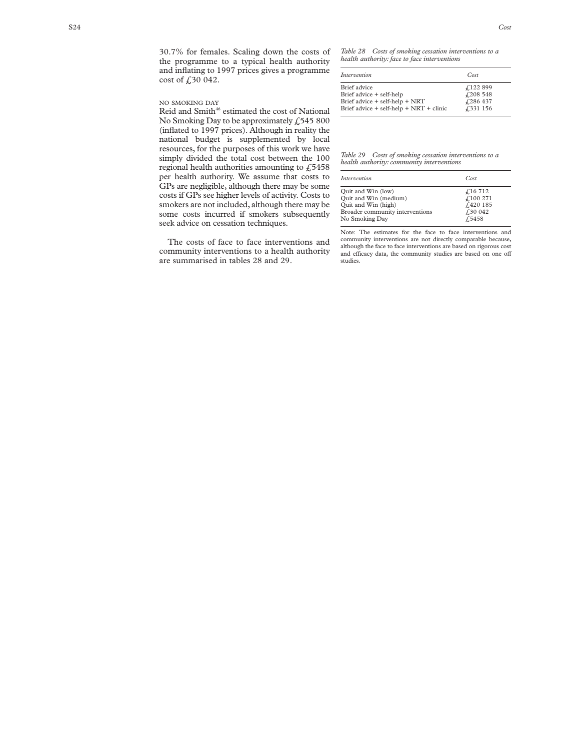30.7% for females. Scaling down the costs of the programme to a typical health authority and inflating to 1997 prices gives a programme cost of £30 042.

#### NO SMOKING DAY

Reid and Smith<sup>46</sup> estimated the cost of National No Smoking Day to be approximately  $£545800$ (inflated to 1997 prices). Although in reality the national budget is supplemented by local resources, for the purposes of this work we have simply divided the total cost between the 100 regional health authorities amounting to  $\sqrt{5458}$ per health authority. We assume that costs to GPs are negligible, although there may be some costs if GPs see higher levels of activity. Costs to smokers are not included, although there may be some costs incurred if smokers subsequently seek advice on cessation techniques.

The costs of face to face interventions and community interventions to a health authority are summarised in tables 28 and 29.

*Table 28 Costs of smoking cessation interventions to a health authority: face to face interventions*

| Intervention                            | Cost     |
|-----------------------------------------|----------|
| Brief advice                            | £122 899 |
| Brief advice + self-help                | £208548  |
| Brief advice + self-help + NRT          | £286437  |
| Brief advice + self-help + NRT + clinic | £331 156 |

*Table 29 Costs of smoking cessation interventions to a health authority: community interventions*

| Intervention                    | Cost     |
|---------------------------------|----------|
| Quit and Win (low)              | £16 712  |
| Quit and Win (medium)           | £100 271 |
| Quit and Win (high)             | £420 185 |
| Broader community interventions | £30 042  |
| No Smoking Day                  | £5458    |

Note: The estimates for the face to face interventions and community interventions are not directly comparable because, although the face to face interventions are based on rigorous cost and efficacy data, the community studies are based on one off studies.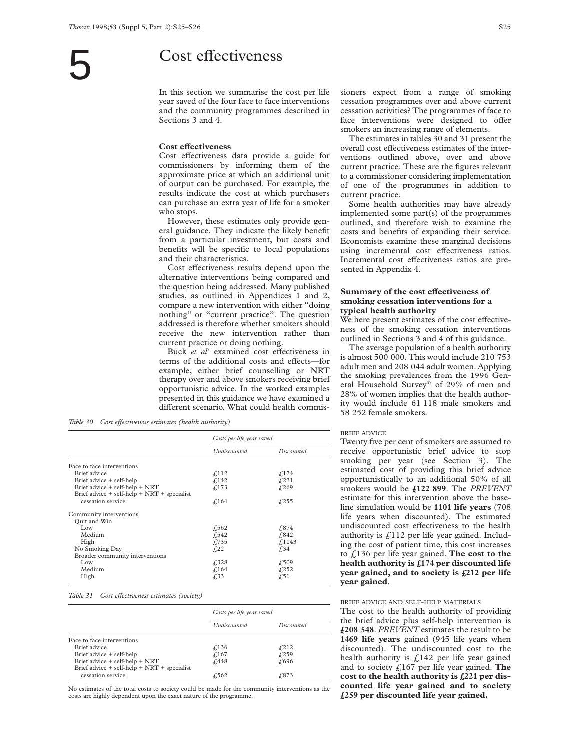### Cost effectiveness

In this section we summarise the cost per life year saved of the four face to face interventions and the community programmes described in Sections 3 and 4.

#### **Cost effectiveness**

Cost effectiveness data provide a guide for commissioners by informing them of the approximate price at which an additional unit of output can be purchased. For example, the results indicate the cost at which purchasers can purchase an extra year of life for a smoker who stops.

However, these estimates only provide general guidance. They indicate the likely benefit from a particular investment, but costs and benefits will be specific to local populations and their characteristics.

Cost effectiveness results depend upon the alternative interventions being compared and the question being addressed. Many published studies, as outlined in Appendices 1 and 2, compare a new intervention with either "doing nothing" or "current practice". The question addressed is therefore whether smokers should receive the new intervention rather than current practice or doing nothing.

Buck *et al<sup>7</sup>* examined cost effectiveness in terms of the additional costs and effects—for example, either brief counselling or NRT therapy over and above smokers receiving brief opportunistic advice. In the worked examples presented in this guidance we have examined a different scenario. What could health commis-

*Table 30 Cost effectiveness estimates (health authority)* 

|                                                   | Costs per life year saved |                    |  |
|---------------------------------------------------|---------------------------|--------------------|--|
|                                                   | <b>Undiscounted</b>       | Discounted         |  |
| Face to face interventions                        |                           |                    |  |
| Brief advice                                      | f <sub>112</sub>          | f.174              |  |
| Brief advice + self-help                          | f.142                     | f <sub>1</sub> 221 |  |
| Brief advice + self-help + NRT                    | f.173                     | £269               |  |
| Brief advice $+$ self-help $+$ NRT $+$ specialist |                           |                    |  |
| cessation service                                 | f.164                     | f <sub>255</sub>   |  |
| Community interventions                           |                           |                    |  |
| Quit and Win                                      |                           |                    |  |
| L <sub>ow</sub>                                   | $\sqrt{.562}$             | £874               |  |
| Medium                                            | f.542                     | £842               |  |
| High                                              | £735                      | f.1143             |  |
| No Smoking Day                                    | f <sub>1</sub> 22         | £34                |  |
| Broader community interventions                   |                           |                    |  |
| L <sub>ow</sub>                                   | £328                      | £509               |  |
| Medium                                            | f.164                     | f <sub>252</sub>   |  |
| High                                              | £33                       | f <sub>0</sub> 51  |  |

*Table 31 Cost effectiveness estimates (society)* 

|                                                   | Costs per life year saved |                   |  |
|---------------------------------------------------|---------------------------|-------------------|--|
|                                                   | <b>Undiscounted</b>       | <i>Discounted</i> |  |
| Face to face interventions                        |                           |                   |  |
| Brief advice                                      | f.136                     | f <sub>212</sub>  |  |
| Brief advice + self-help                          | f.167                     | f(259)            |  |
| Brief advice + self-help + NRT                    | £448                      | £696              |  |
| Brief advice $+$ self-help $+$ NRT $+$ specialist |                           |                   |  |
| cessation service                                 | $\sqrt{.562}$             | £873              |  |

No estimates of the total costs to society could be made for the community interventions as the costs are highly dependent upon the exact nature of the programme.

sioners expect from a range of smoking cessation programmes over and above current cessation activities? The programmes of face to face interventions were designed to offer smokers an increasing range of elements.

The estimates in tables 30 and 31 present the overall cost effectiveness estimates of the interventions outlined above, over and above current practice. These are the figures relevant to a commissioner considering implementation of one of the programmes in addition to current practice.

Some health authorities may have already implemented some part(s) of the programmes outlined, and therefore wish to examine the costs and benefits of expanding their service. Economists examine these marginal decisions using incremental cost effectiveness ratios. Incremental cost effectiveness ratios are presented in Appendix 4.

#### **Summary of the cost effectiveness of smoking cessation interventions for a typical health authority**

We here present estimates of the cost effectiveness of the smoking cessation interventions outlined in Sections 3 and 4 of this guidance.

The average population of a health authority is almost 500 000. This would include 210 753 adult men and 208 044 adult women. Applying the smoking prevalences from the 1996 General Household Survey<sup>47</sup> of 29% of men and 28% of women implies that the health authority would include 61 118 male smokers and 58 252 female smokers.

#### BRIEF ADVICE

Twenty five per cent of smokers are assumed to receive opportunistic brief advice to stop smoking per year (see Section 3). The estimated cost of providing this brief advice opportunistically to an additional 50% of all smokers would be **£122 899**. The *PREVENT* estimate for this intervention above the baseline simulation would be **1101 life years** (708 life years when discounted). The estimated undiscounted cost effectiveness to the health authority is  $\text{\textsterling}112$  per life year gained. Including the cost of patient time, this cost increases to £136 per life year gained. **The cost to the health authority is £174 per discounted life year gained, and to society is £212 per life year gained**.

#### BRIEF ADVICE AND SELF-HELP MATERIALS

The cost to the health authority of providing the brief advice plus self-help intervention is **£208 548**. *PREVENT* estimates the result to be **1469 life years** gained (945 life years when discounted). The undiscounted cost to the health authority is  $\angle$ 142 per life year gained and to society £167 per life year gained. **The cost to the health authority is £221 per discounted life year gained and to society £259 per discounted life year gained.**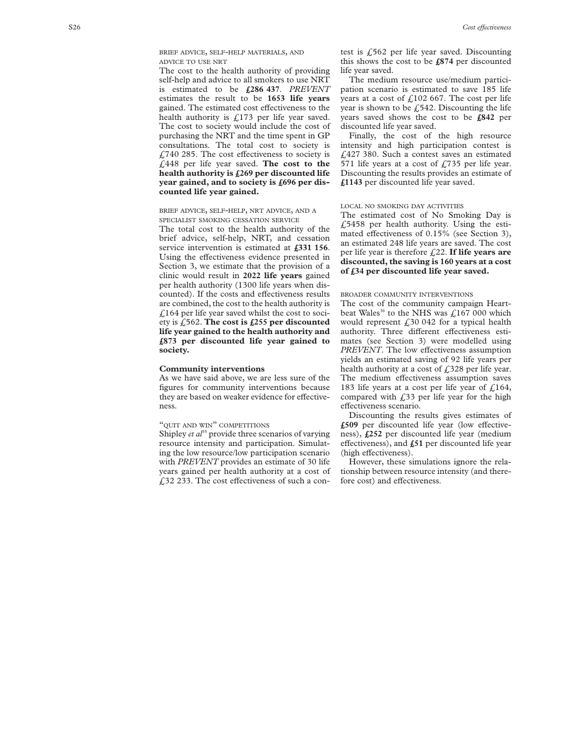BRIEF ADVICE, SELF-HELP MATERIALS, AND ADVICE TO USE NRT

The cost to the health authority of providing self-help and advice to all smokers to use NRT is estimated to be **£286 437**. *PREVENT* estimates the result to be **1653 life years** gained. The estimated cost effectiveness to the health authority is  $f<sub>i</sub>173$  per life year saved. The cost to society would include the cost of purchasing the NRT and the time spent in GP consultations. The total cost to society is  $£740$  285. The cost effectiveness to society is £448 per life year saved. **The cost to the health authority is £269 per discounted life year gained, and to society is £696 per discounted life year gained.**

BRIEF ADVICE, SELF-HELP, NRT ADVICE, AND A SPECIALIST SMOKING CESSATION SERVICE

The total cost to the health authority of the brief advice, self-help, NRT, and cessation service intervention is estimated at **£331 156**. Using the effectiveness evidence presented in Section 3, we estimate that the provision of a clinic would result in **2022 life years** gained per health authority (1300 life years when discounted). If the costs and effectiveness results are combined, the cost to the health authority is  $\text{\textsterling}164$  per life year saved whilst the cost to society is £562. **The cost is £255 per discounted life year gained to the health authority and £873 per discounted life year gained to society.**

#### **Community interventions**

As we have said above, we are less sure of the figures for community interventions because they are based on weaker evidence for effectiveness.

#### "QUIT AND WIN" COMPETITIONS

Shipley *et al*<sup>35</sup> provide three scenarios of varying resource intensity and participation. Simulating the low resource/low participation scenario with *PREVENT* provides an estimate of 30 life years gained per health authority at a cost of  $\angle$  (32 233. The cost effectiveness of such a contest is  $£562$  per life year saved. Discounting this shows the cost to be **£874** per discounted life year saved.

The medium resource use/medium participation scenario is estimated to save 185 life years at a cost of  $\text{\textsterling}102$  667. The cost per life year is shown to be  $£542$ . Discounting the life years saved shows the cost to be **£842** per discounted life year saved.

Finally, the cost of the high resource intensity and high participation contest is £427 380. Such a contest saves an estimated 571 life years at a cost of  $\text{\textsterling}735$  per life year. Discounting the results provides an estimate of **£1143** per discounted life year saved.

#### LOCAL NO SMOKING DAY ACTIVITIES

The estimated cost of No Smoking Day is  $£5458$  per health authority. Using the estimated effectiveness of  $0.15%$  (see Section 3), an estimated 248 life years are saved. The cost per life year is therefore £22. **If life years are discounted, the saving is 160 years at a cost of £34 per discounted life year saved.**

#### BROADER COMMUNITY INTERVENTIONS

The cost of the community campaign Heartbeat Wales<sup>36</sup> to the NHS was £167 000 which would represent  $f<sub>1</sub>30042$  for a typical health authority. Three different effectiveness estimates (see Section 3) were modelled using *PREVENT*. The low effectiveness assumption yields an estimated saving of 92 life years per health authority at a cost of  $\text{\textsterling}328$  per life year. The medium effectiveness assumption saves 183 life years at a cost per life year of  $f(164)$ , compared with  $f(33)$  per life year for the high effectiveness scenario.

Discounting the results gives estimates of £509 per discounted life year (low effectiveness), **£252** per discounted life year (medium effectiveness), and  $f_{51}$  per discounted life year (high effectiveness).

However, these simulations ignore the relationship between resource intensity (and therefore cost) and effectiveness.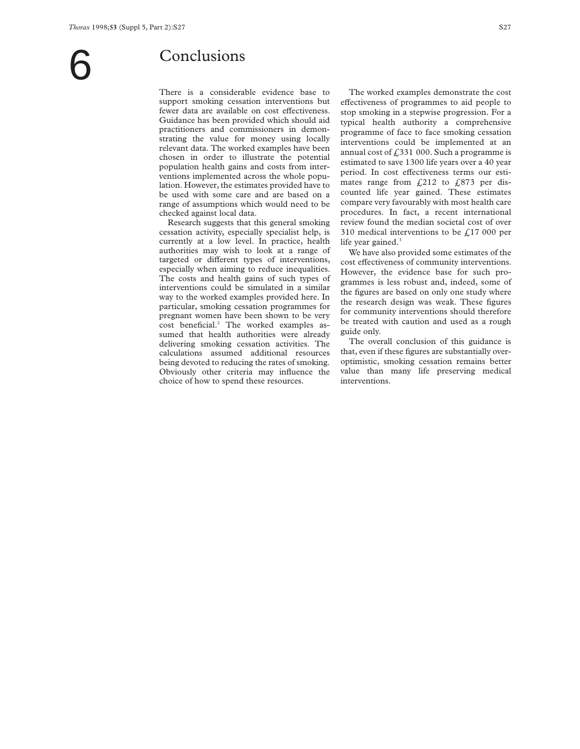# **Conclusions**

There is a considerable evidence base to support smoking cessation interventions but fewer data are available on cost effectiveness. Guidance has been provided which should aid practitioners and commissioners in demonstrating the value for money using locally relevant data. The worked examples have been chosen in order to illustrate the potential population health gains and costs from interventions implemented across the whole population. However, the estimates provided have to be used with some care and are based on a range of assumptions which would need to be checked against local data.

Research suggests that this general smoking cessation activity, especially specialist help, is currently at a low level. In practice, health authorities may wish to look at a range of targeted or different types of interventions, especially when aiming to reduce inequalities. The costs and health gains of such types of interventions could be simulated in a similar way to the worked examples provided here. In particular, smoking cessation programmes for pregnant women have been shown to be very cost beneficial.<sup>2</sup> The worked examples assumed that health authorities were already delivering smoking cessation activities. The calculations assumed additional resources being devoted to reducing the rates of smoking. Obviously other criteria may influence the choice of how to spend these resources.

The worked examples demonstrate the cost effectiveness of programmes to aid people to stop smoking in a stepwise progression. For a typical health authority a comprehensive programme of face to face smoking cessation interventions could be implemented at an annual cost of  $£331000$ . Such a programme is estimated to save 1300 life years over a 40 year period. In cost effectiveness terms our estimates range from  $f(212)$  to  $f(873)$  per discounted life year gained. These estimates compare very favourably with most health care procedures. In fact, a recent international review found the median societal cost of over 310 medical interventions to be  $f<sub>1</sub>17000$  per life year gained. $3$ 

We have also provided some estimates of the cost effectiveness of community interventions. However, the evidence base for such programmes is less robust and, indeed, some of the figures are based on only one study where the research design was weak. These figures for community interventions should therefore be treated with caution and used as a rough guide only.

The overall conclusion of this guidance is that, even if these figures are substantially overoptimistic, smoking cessation remains better value than many life preserving medical interventions.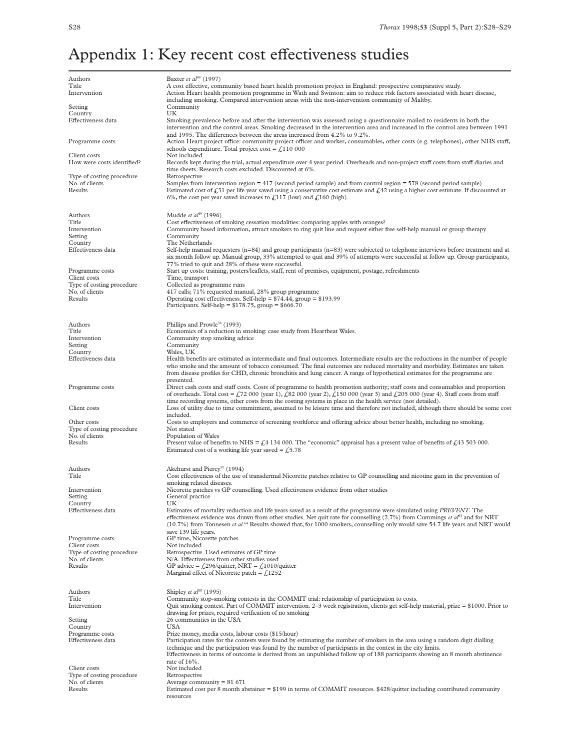# Appendix 1: Key recent cost effectiveness studies

| Authors                                     | Baxter et al <sup>48</sup> (1997)                                                                                                                                                                                                                                                                                                                                                                                                         |
|---------------------------------------------|-------------------------------------------------------------------------------------------------------------------------------------------------------------------------------------------------------------------------------------------------------------------------------------------------------------------------------------------------------------------------------------------------------------------------------------------|
| Title<br>Intervention                       | A cost effective, community based heart health promotion project in England: prospective comparative study.<br>Action Heart health promotion programme in Wath and Swinton: aim to reduce risk factors associated with heart disease,                                                                                                                                                                                                     |
| Setting                                     | including smoking. Compared intervention areas with the non-intervention community of Maltby.<br>Community                                                                                                                                                                                                                                                                                                                                |
| Country                                     | UK                                                                                                                                                                                                                                                                                                                                                                                                                                        |
| Effectiveness data                          | Smoking prevalence before and after the intervention was assessed using a questionnaire mailed to residents in both the<br>intervention and the control areas. Smoking decreased in the intervention area and increased in the control area between 1991<br>and 1995. The differences between the areas increased from 4.2% to 9.2%.                                                                                                      |
| Programme costs                             | Action Heart project office: community project officer and worker, consumables, other costs (e.g. telephones), other NHS staff,<br>schools expenditure. Total project cost = $\text{\textsterling}110~000$                                                                                                                                                                                                                                |
| Client costs<br>How were costs identified?  | Not included<br>Records kept during the trial, actual expenditure over 4 year period. Overheads and non-project staff costs from staff diaries and<br>time sheets. Research costs excluded. Discounted at 6%.                                                                                                                                                                                                                             |
| Type of costing procedure                   | Retrospective                                                                                                                                                                                                                                                                                                                                                                                                                             |
| No. of clients<br>Results                   | Samples from intervention region $=417$ (second period sample) and from control region $=578$ (second period sample)<br>Estimated cost of £31 per life year saved using a conservative cost estimate and £42 using a higher cost estimate. If discounted at<br>6%, the cost per year saved increases to £117 (low) and £160 (high).                                                                                                       |
| Authors<br>Title                            | Mudde et al <sup>19</sup> (1996)<br>Cost effectiveness of smoking cessation modalities: comparing apples with oranges?                                                                                                                                                                                                                                                                                                                    |
| Intervention                                | Community based information, attract smokers to ring quit line and request either free self-help manual or group therapy                                                                                                                                                                                                                                                                                                                  |
| Setting                                     | Community                                                                                                                                                                                                                                                                                                                                                                                                                                 |
| Country                                     | The Netherlands                                                                                                                                                                                                                                                                                                                                                                                                                           |
| Effectiveness data                          | Self-help manual requesters $(n=84)$ and group participants $(n=83)$ were subjected to telephone interviews before treatment and at<br>six month follow up. Manual group, 33% attempted to quit and 39% of attempts were successful at follow up. Group participants,<br>77% tried to quit and 28% of these were successful.                                                                                                              |
| Programme costs                             | Start up costs: training, posters/leaflets, staff, rent of premises, equipment, postage, refreshments                                                                                                                                                                                                                                                                                                                                     |
| Client costs<br>Type of costing procedure   | Time, transport<br>Collected as programme runs                                                                                                                                                                                                                                                                                                                                                                                            |
| No. of clients                              | 417 calls; 71% requested manual, 28% group programme                                                                                                                                                                                                                                                                                                                                                                                      |
| Results                                     | Operating cost effectiveness. Self-help = $$74.44$ , group = $$193.99$<br>Participants. Self-help = $$178.75$ , group = $$666.70$                                                                                                                                                                                                                                                                                                         |
| Authors                                     | Phillips and Prowle <sup>36</sup> (1993)                                                                                                                                                                                                                                                                                                                                                                                                  |
| Title<br>Intervention                       | Economics of a reduction in smoking: case study from Heartbeat Wales.<br>Community stop smoking advice                                                                                                                                                                                                                                                                                                                                    |
| Setting                                     | Community                                                                                                                                                                                                                                                                                                                                                                                                                                 |
| Country                                     | Wales, UK                                                                                                                                                                                                                                                                                                                                                                                                                                 |
| Effectiveness data                          | Health benefits are estimated as intermediate and final outcomes. Intermediate results are the reductions in the number of people<br>who smoke and the amount of tobacco consumed. The final outcomes are reduced mortality and morbidity. Estimates are taken<br>from disease profiles for CHD, chronic bronchitis and lung cancer. A range of hypothetical estimates for the programme are<br>presented.                                |
| Programme costs                             | Direct cash costs and staff costs. Costs of programme to health promotion authority; staff costs and consumables and proportion<br>of overheads. Total cost = £72 000 (year 1), £82 000 (year 2), £150 000 (year 3) and £205 000 (year 4). Staff costs from staff<br>time recording systems, other costs from the costing systems in place in the health service (not detailed).                                                          |
| Client costs                                | Loss of utility due to time commitment, assumed to be leisure time and therefore not included, although there should be some cost<br>included.                                                                                                                                                                                                                                                                                            |
| Other costs                                 | Costs to employers and commerce of screening workforce and offering advice about better health, including no smoking.                                                                                                                                                                                                                                                                                                                     |
| Type of costing procedure<br>No. of clients | Not stated<br>Population of Wales                                                                                                                                                                                                                                                                                                                                                                                                         |
| Results                                     | Present value of benefits to NHS = $\frac{f}{f}$ 4 134 000. The "economic" appraisal has a present value of benefits of $\frac{f}{f}$ 43 503 000.<br>Estimated cost of a working life year saved = $\text{\textsterling}5.78$                                                                                                                                                                                                             |
| Authors                                     | Akehurst and Piercy <sup>50</sup> (1994)                                                                                                                                                                                                                                                                                                                                                                                                  |
| Title                                       | Cost effectiveness of the use of transdermal Nicorette patches relative to GP counselling and nicotine gum in the prevention of<br>smoking related diseases.                                                                                                                                                                                                                                                                              |
| Intervention                                | Nicorette patches vs GP counselling. Used effectiveness evidence from other studies                                                                                                                                                                                                                                                                                                                                                       |
| Setting<br>Country                          | General practice<br>UK                                                                                                                                                                                                                                                                                                                                                                                                                    |
| Effectiveness data                          | Estimates of mortality reduction and life years saved as a result of the programme were simulated using PREVENT. The<br>effectiveness evidence was drawn from other studies. Net quit rate for counselling $(2.7%)$ from Cummings et $a^{63}$ and for NRT<br>$(10.7%)$ from Tonnesen <i>et al.</i> <sup>64</sup> Results showed that, for 1000 smokers, counselling only would save 54.7 life years and NRT would<br>save 139 life years. |
| Programme costs                             | GP time, Nicorette patches                                                                                                                                                                                                                                                                                                                                                                                                                |
| Client costs                                | Not included                                                                                                                                                                                                                                                                                                                                                                                                                              |
| Type of costing procedure<br>No. of clients | Retrospective. Used estimates of GP time<br>N/A. Effectiveness from other studies used                                                                                                                                                                                                                                                                                                                                                    |
| Results                                     | GP advice = £296/quitter, NRT = £1010/quitter<br>Marginal effect of Nicorette patch = $f1252$                                                                                                                                                                                                                                                                                                                                             |
| Authors                                     | Shipley et $al^{35}$ (1995)                                                                                                                                                                                                                                                                                                                                                                                                               |
| Title<br>Intervention                       | Community stop-smoking contests in the COMMIT trial: relationship of participation to costs.<br>Quit smoking contest. Part of COMMIT intervention. 2–3 week registration, clients get self-help material, prize $= $1000$ . Prior to                                                                                                                                                                                                      |
| Setting                                     | drawing for prizes, required verification of no smoking<br>26 communities in the USA                                                                                                                                                                                                                                                                                                                                                      |
| Country                                     | USA                                                                                                                                                                                                                                                                                                                                                                                                                                       |
| Programme costs                             | Prize money, media costs, labour costs (\$15/hour)                                                                                                                                                                                                                                                                                                                                                                                        |
| Effectiveness data                          | Participation rates for the contests were found by estimating the number of smokers in the area using a random digit dialling<br>technique and the participation was found by the number of participants in the contest in the city limits.<br>Effectiveness in terms of outcome is derived from an unpublished follow up of 188 participants showing an 8 month abstinence<br>rate of 16%.                                               |
| Client costs                                | Not included                                                                                                                                                                                                                                                                                                                                                                                                                              |
| Type of costing procedure<br>No. of clients | Retrospective<br>Average community = $81671$                                                                                                                                                                                                                                                                                                                                                                                              |
| Results                                     | Estimated cost per 8 month abstainer = \$199 in terms of COMMIT resources. \$428/quitter including contributed community<br>resources                                                                                                                                                                                                                                                                                                     |
|                                             |                                                                                                                                                                                                                                                                                                                                                                                                                                           |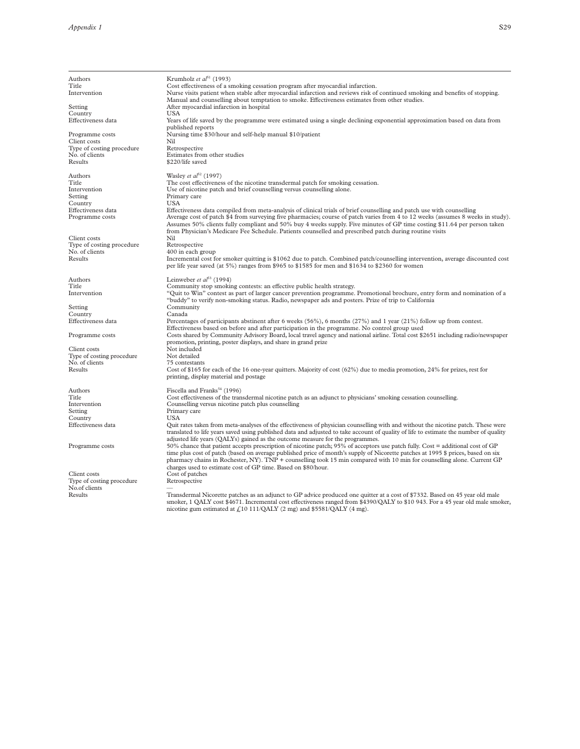| Authors                                    | Krumholz et $a^{f}$ <sup>1</sup> (1993)                                                                                                                                                                                                                                                                                                                                                                                                                                                        |
|--------------------------------------------|------------------------------------------------------------------------------------------------------------------------------------------------------------------------------------------------------------------------------------------------------------------------------------------------------------------------------------------------------------------------------------------------------------------------------------------------------------------------------------------------|
| Title                                      | Cost effectiveness of a smoking cessation program after myocardial infarction.                                                                                                                                                                                                                                                                                                                                                                                                                 |
| Intervention                               | Nurse visits patient when stable after myocardial infarction and reviews risk of continued smoking and benefits of stopping.<br>Manual and counselling about temptation to smoke. Effectiveness estimates from other studies.                                                                                                                                                                                                                                                                  |
| Setting                                    | After myocardial infarction in hospital                                                                                                                                                                                                                                                                                                                                                                                                                                                        |
| Country                                    | USA                                                                                                                                                                                                                                                                                                                                                                                                                                                                                            |
| Effectiveness data                         | Years of life saved by the programme were estimated using a single declining exponential approximation based on data from<br>published reports                                                                                                                                                                                                                                                                                                                                                 |
| Programme costs                            | Nursing time \$30/hour and self-help manual \$10/patient                                                                                                                                                                                                                                                                                                                                                                                                                                       |
| Client costs                               | Nil                                                                                                                                                                                                                                                                                                                                                                                                                                                                                            |
| Type of costing procedure                  | Retrospective                                                                                                                                                                                                                                                                                                                                                                                                                                                                                  |
| No. of clients                             | Estimates from other studies<br>\$220/life saved                                                                                                                                                                                                                                                                                                                                                                                                                                               |
| Results                                    |                                                                                                                                                                                                                                                                                                                                                                                                                                                                                                |
| Authors                                    | Wasley et $a^{52}$ (1997)                                                                                                                                                                                                                                                                                                                                                                                                                                                                      |
| Title                                      | The cost effectiveness of the nicotine transdermal patch for smoking cessation.                                                                                                                                                                                                                                                                                                                                                                                                                |
| Intervention                               | Use of nicotine patch and brief counselling versus counselling alone.                                                                                                                                                                                                                                                                                                                                                                                                                          |
| Setting                                    | Primary care                                                                                                                                                                                                                                                                                                                                                                                                                                                                                   |
| Country                                    | <b>USA</b>                                                                                                                                                                                                                                                                                                                                                                                                                                                                                     |
| Effectiveness data<br>Programme costs      | Effectiveness data compiled from meta-analysis of clinical trials of brief counselling and patch use with counselling<br>Average cost of patch \$4 from surveying five pharmacies; course of patch varies from 4 to 12 weeks (assumes 8 weeks in study).<br>Assumes 50% clients fully compliant and 50% buy 4 weeks supply. Five minutes of GP time costing \$11.64 per person taken<br>from Physician's Medicare Fee Schedule. Patients counselled and prescribed patch during routine visits |
| Client costs                               | Nil                                                                                                                                                                                                                                                                                                                                                                                                                                                                                            |
| Type of costing procedure                  | Retrospective                                                                                                                                                                                                                                                                                                                                                                                                                                                                                  |
| No. of clients                             | 400 in each group                                                                                                                                                                                                                                                                                                                                                                                                                                                                              |
| Results                                    | Incremental cost for smoker quitting is \$1062 due to patch. Combined patch/counselling intervention, average discounted cost<br>per life year saved (at 5%) ranges from \$965 to \$1585 for men and \$1634 to \$2360 for women                                                                                                                                                                                                                                                                |
| Authors                                    | Leinweber et $aI^{53}$ (1994)                                                                                                                                                                                                                                                                                                                                                                                                                                                                  |
| Title                                      | Community stop smoking contests: an effective public health strategy.                                                                                                                                                                                                                                                                                                                                                                                                                          |
| Intervention                               | "Quit to Win" contest as part of larger cancer prevention programme. Promotional brochure, entry form and nomination of a<br>"buddy" to verify non-smoking status. Radio, newspaper ads and posters. Prize of trip to California                                                                                                                                                                                                                                                               |
| Setting                                    | Community                                                                                                                                                                                                                                                                                                                                                                                                                                                                                      |
| Country                                    | Canada                                                                                                                                                                                                                                                                                                                                                                                                                                                                                         |
| Effectiveness data                         | Percentages of participants abstinent after 6 weeks $(56\%)$ , 6 months $(27\%)$ and 1 year $(21\%)$ follow up from contest.<br>Effectiveness based on before and after participation in the programme. No control group used                                                                                                                                                                                                                                                                  |
| Programme costs                            | Costs shared by Community Advisory Board, local travel agency and national airline. Total cost \$2651 including radio/newspaper<br>promotion, printing, poster displays, and share in grand prize                                                                                                                                                                                                                                                                                              |
| Client costs                               | Not included                                                                                                                                                                                                                                                                                                                                                                                                                                                                                   |
| Type of costing procedure                  | Not detailed                                                                                                                                                                                                                                                                                                                                                                                                                                                                                   |
| No. of clients                             | 75 contestants                                                                                                                                                                                                                                                                                                                                                                                                                                                                                 |
| Results                                    | Cost of \$165 for each of the 16 one-year quitters. Majority of cost $(62%)$ due to media promotion, 24% for prizes, rest for<br>printing, display material and postage                                                                                                                                                                                                                                                                                                                        |
| Authors                                    | Fiscella and Franks <sup>54</sup> (1996)                                                                                                                                                                                                                                                                                                                                                                                                                                                       |
| Title                                      | Cost effectiveness of the transdermal nicotine patch as an adjunct to physicians' smoking cessation counselling.                                                                                                                                                                                                                                                                                                                                                                               |
| Intervention                               | Counselling versus nicotine patch plus counselling                                                                                                                                                                                                                                                                                                                                                                                                                                             |
| Setting                                    | Primary care                                                                                                                                                                                                                                                                                                                                                                                                                                                                                   |
| Country                                    | <b>USA</b>                                                                                                                                                                                                                                                                                                                                                                                                                                                                                     |
| Effectiveness data                         | Quit rates taken from meta-analyses of the effectiveness of physician counselling with and without the nicotine patch. These were<br>translated to life years saved using published data and adjusted to take account of quality of life to estimate the number of quality<br>adjusted life years (QALYs) gained as the outcome measure for the programmes.                                                                                                                                    |
| Programme costs                            | 50% chance that patient accepts prescription of nicotine patch; 95% of acceptors use patch fully. Cost = additional cost of GP<br>time plus cost of patch (based on average published price of month's supply of Nicorette patches at 1995 \$ prices, based on six<br>pharmacy chains in Rochester, NY). TNP + counselling took 15 min compared with 10 min for counselling alone. Current GP<br>charges used to estimate cost of GP time. Based on \$80/hour.                                 |
| Client costs                               | Cost of patches                                                                                                                                                                                                                                                                                                                                                                                                                                                                                |
| Type of costing procedure<br>No.of clients | Retrospective                                                                                                                                                                                                                                                                                                                                                                                                                                                                                  |
| Results                                    | Transdermal Nicorette patches as an adjunct to GP advice produced one quitter at a cost of \$7332. Based on 45 year old male<br>smoker, 1 QALY cost \$4671. Incremental cost effectiveness ranged from \$4390/QALY to \$10 943. For a 45 year old male smoker,<br>nicotine gum estimated at $f10$ 111/QALY (2 mg) and \$5581/QALY (4 mg).                                                                                                                                                      |
|                                            |                                                                                                                                                                                                                                                                                                                                                                                                                                                                                                |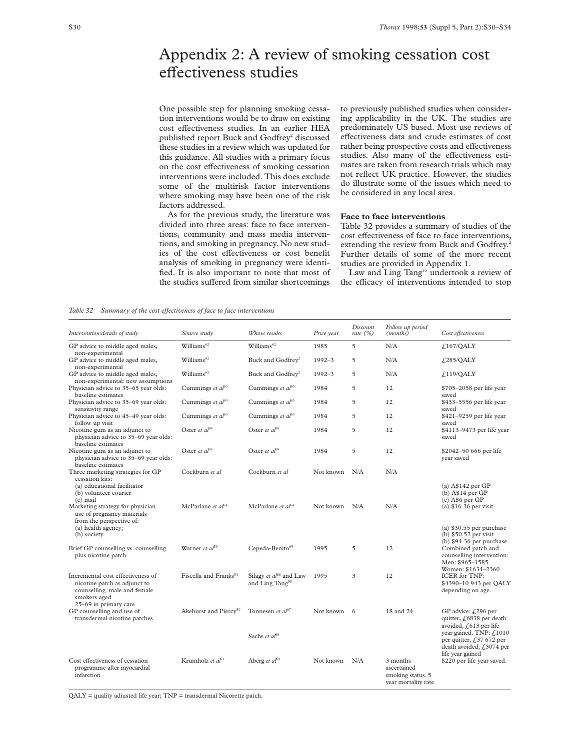# Appendix 2: A review of smoking cessation cost effectiveness studies

One possible step for planning smoking cessation interventions would be to draw on existing cost effectiveness studies. In an earlier HEA published report Buck and Godfrey<sup>2</sup> discussed these studies in a review which was updated for this guidance. All studies with a primary focus on the cost effectiveness of smoking cessation interventions were included. This does exclude some of the multirisk factor interventions where smoking may have been one of the risk factors addressed.

As for the previous study, the literature was divided into three areas: face to face interventions, community and mass media interventions, and smoking in pregnancy. No new studies of the cost effectiveness or cost benefit analysis of smoking in pregnancy were identified. It is also important to note that most of the studies suffered from similar shortcomings

to previously published studies when considering applicability in the UK. The studies are predominately US based. Most use reviews of effectiveness data and crude estimates of cost rather being prospective costs and effectiveness studies. Also many of the effectiveness estimates are taken from research trials which may not reflect UK practice. However, the studies do illustrate some of the issues which need to be considered in any local area.

#### **Face to face interventions**

Table 32 provides a summary of studies of the cost effectiveness of face to face interventions, extending the review from Buck and Godfrey.<sup>2</sup> Further details of some of the more recent studies are provided in Appendix 1.

Law and Ling Tang<sup>55</sup> undertook a review of the efficacy of interventions intended to stop

#### *Table 32 Summary of the cost effectiveness of face to face interventions*

| Intervention/details of study                                                                                                   | Source study                      | Whose results                                                     | Price year    | Discount<br>rate $(%)$ | Follow up period<br>(months)                                        | Cost effectiveness                                                                                           |
|---------------------------------------------------------------------------------------------------------------------------------|-----------------------------------|-------------------------------------------------------------------|---------------|------------------------|---------------------------------------------------------------------|--------------------------------------------------------------------------------------------------------------|
| GP advice to middle aged males,<br>non-experimental                                                                             | Williams <sup>62</sup>            | Williams <sup>62</sup>                                            | 1985          | 5                      | N/A                                                                 | £167/QALY                                                                                                    |
| GP advice to middle aged males,<br>non-experimental                                                                             | Williams <sup>62</sup>            | Buck and Godfrey <sup>2</sup>                                     | $1992 - 3$    | 5                      | N/A                                                                 | $f_{1,285}/QALY$                                                                                             |
| GP advice to middle aged males,<br>non-experimental: new assumptions                                                            | Williams <sup>62</sup>            | Buck and Godfrey <sup>2</sup>                                     | $1992 - 3$    | 5                      | N/A                                                                 | f <sub>119</sub> /QALY                                                                                       |
| Physician advice to 35-65 year olds:<br>baseline estimates                                                                      | Cummings et $a^{63}$              | Cummings et $aI^{63}$                                             | 1984          | 5                      | 12                                                                  | \$705-2058 per life year<br>saved                                                                            |
| Physician advice to 35-69 year olds:<br>sensitivity range                                                                       | Cummings et $a^{63}$              | Cummings et $a^{63}$                                              | 1984          | 5                      | 12                                                                  | \$433–5556 per life year<br>saved                                                                            |
| Physician advice to 45-49 year olds:<br>follow up visit                                                                         | Cummings et $a^{63}$              | Cummings et $a^{63}$                                              | 1984          | 5                      | 12                                                                  | \$421-9259 per life year<br>saved                                                                            |
| Nicotine gum as an adjunct to<br>physician advice to 35-69 year olds:<br>baseline estimates                                     | Oster et $a^{58}$                 | Oster et $aI^{58}$                                                | 1984          | 5                      | 12                                                                  | \$4113-9473 per life year<br>saved                                                                           |
| Nicotine gum as an adjunct to<br>physician advice to 35-69 year olds:<br>baseline estimates                                     | Oster et $a^{f8}$                 | Oster et $aI^{58}$                                                | 1984          | 5                      | 12                                                                  | \$2042-50 666 per life<br>year saved                                                                         |
| Three marketing strategies for GP<br>cessation kits:                                                                            | Cockburn et al                    | Cockburn et al                                                    | Not known     | N/A                    | N/A                                                                 |                                                                                                              |
| (a) educational facilitator<br>(b) volunteer courier<br>$(c)$ mail                                                              | McParlane et al <sup>64</sup>     | McParlane et $aI^{64}$                                            | Not known N/A |                        | N/A                                                                 | (a) $A$142 per GP$<br>$(b)$ A\$14 per GP<br>$(c)$ A\$6 per GP                                                |
| Marketing strategy for physician<br>use of pregnancy materials<br>from the perspective of:<br>(a) health agency;<br>(b) society |                                   |                                                                   |               |                        |                                                                     | (a) $$16.36$ per visit<br>$(a)$ \$30.55 per purchase<br>$(b)$ \$50.52 per visit<br>(b) $$94.36$ per purchase |
| Brief GP counselling vs. counselling<br>plus nicotine patch                                                                     | Warner et $al^{59}$               | Cepeda-Benito65                                                   | 1995          | 5                      | 12                                                                  | Combined patch and<br>counselling intervention:<br>Men: \$965-1585<br>Women: \$1634-2360                     |
| Incremental cost effectiveness of<br>nicotine patch as adjunct to<br>counselling, male and female<br>smokers aged               | Fiscella and Franks <sup>54</sup> | Silagy et al <sup>66</sup> and Law<br>and Ling Tang <sup>55</sup> | 1995          | 3                      | 12                                                                  | <b>ICER</b> for TNP:<br>\$4390-10 943 per QALY<br>depending on age.                                          |
| 25–69 in primary care<br>GP counselling and use of<br>transdermal nicotine patches                                              | Akehurst and Piercy <sup>50</sup> | Tonnesen et al <sup>67</sup>                                      | Not known 6   |                        | 18 and 24                                                           | GP advice: $f(296$ per<br>quitter, £6838 per death<br>avoided, $f(613)$ per life                             |
|                                                                                                                                 |                                   | Sachs et al <sup>68</sup>                                         |               |                        |                                                                     | year gained. TNP: £1010<br>per quitter, $f$ , 37 672 per<br>death avoided, £3074 per                         |
| Cost effectiveness of cessation<br>programme after myocardial<br>infarction                                                     | Krumholz et al <sup>51</sup>      | Aberg et $al^{69}$                                                | Not known     | N/A                    | 3 months<br>ascertained<br>smoking status. 5<br>year mortality rate | life year gained<br>\$220 per life year saved.                                                               |

QALY = quality adjusted life year; TNP = transdermal Nicorette patch.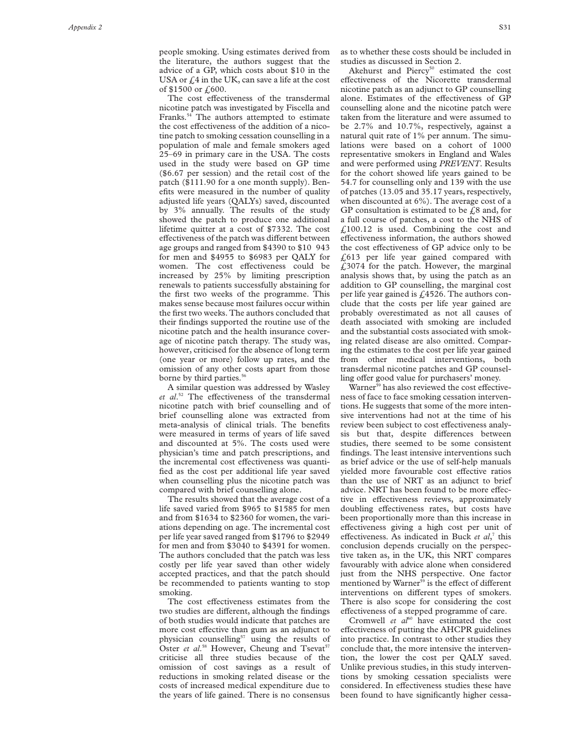The cost effectiveness of the transdermal nicotine patch was investigated by Fiscella and Franks.54 The authors attempted to estimate the cost effectiveness of the addition of a nicotine patch to smoking cessation counselling in a population of male and female smokers aged 25–69 in primary care in the USA. The costs used in the study were based on GP time (\$6.67 per session) and the retail cost of the patch (\$111.90 for a one month supply). Benefits were measured in the number of quality adjusted life years (QALYs) saved, discounted by 3% annually. The results of the study showed the patch to produce one additional lifetime quitter at a cost of \$7332. The cost effectiveness of the patch was different between age groups and ranged from \$4390 to \$10 943 for men and \$4955 to \$6983 per QALY for women. The cost effectiveness could be increased by 25% by limiting prescription renewals to patients successfully abstaining for the first two weeks of the programme. This makes sense because most failures occur within the first two weeks. The authors concluded that their findings supported the routine use of the nicotine patch and the health insurance coverage of nicotine patch therapy. The study was, however, criticised for the absence of long term (one year or more) follow up rates, and the omission of any other costs apart from those borne by third parties.<sup>56</sup>

A similar question was addressed by Wasley et al.<sup>52</sup> The effectiveness of the transdermal nicotine patch with brief counselling and of brief counselling alone was extracted from meta-analysis of clinical trials. The benefits were measured in terms of years of life saved and discounted at 5%. The costs used were physician's time and patch prescriptions, and the incremental cost effectiveness was quantified as the cost per additional life year saved when counselling plus the nicotine patch was compared with brief counselling alone.

The results showed that the average cost of a life saved varied from \$965 to \$1585 for men and from \$1634 to \$2360 for women, the variations depending on age. The incremental cost per life year saved ranged from \$1796 to \$2949 for men and from \$3040 to \$4391 for women. The authors concluded that the patch was less costly per life year saved than other widely accepted practices, and that the patch should be recommended to patients wanting to stop smoking.

The cost effectiveness estimates from the two studies are different, although the findings of both studies would indicate that patches are more cost effective than gum as an adjunct to physician counselling<sup>57</sup> using the results of Oster et al.<sup>58</sup> However, Cheung and Tsevat<sup>57</sup> criticise all three studies because of the omission of cost savings as a result of reductions in smoking related disease or the costs of increased medical expenditure due to the years of life gained. There is no consensus

as to whether these costs should be included in studies as discussed in Section 2.

Akehurst and Piercy<sup>50</sup> estimated the cost effectiveness of the Nicorette transdermal nicotine patch as an adjunct to GP counselling alone. Estimates of the effectiveness of GP counselling alone and the nicotine patch were taken from the literature and were assumed to be 2.7% and 10.7%, respectively, against a natural quit rate of 1% per annum. The simulations were based on a cohort of 1000 representative smokers in England and Wales and were performed using *PREVENT*. Results for the cohort showed life years gained to be 54.7 for counselling only and 139 with the use of patches (13.05 and 35.17 years, respectively, when discounted at 6%). The average cost of a GP consultation is estimated to be  $\text{\emph{L}}8$  and, for a full course of patches, a cost to the NHS of  $£100.12$  is used. Combining the cost and effectiveness information, the authors showed the cost effectiveness of GP advice only to be £613 per life year gained compared with  $£3074$  for the patch. However, the marginal analysis shows that, by using the patch as an addition to GP counselling, the marginal cost per life year gained is  $f<sub>1</sub>4526$ . The authors conclude that the costs per life year gained are probably overestimated as not all causes of death associated with smoking are included and the substantial costs associated with smoking related disease are also omitted. Comparing the estimates to the cost per life year gained from other medical interventions, both transdermal nicotine patches and GP counselling offer good value for purchasers' money.

Warner<sup>59</sup> has also reviewed the cost effectiveness of face to face smoking cessation interventions. He suggests that some of the more intensive interventions had not at the time of his review been subject to cost effectiveness analysis but that, despite differences between studies, there seemed to be some consistent findings. The least intensive interventions such as brief advice or the use of self-help manuals yielded more favourable cost effective ratios than the use of NRT as an adjunct to brief advice. NRT has been found to be more effective in effectiveness reviews, approximately doubling effectiveness rates, but costs have been proportionally more than this increase in effectiveness giving a high cost per unit of effectiveness. As indicated in Buck *et al*,<sup>7</sup> this conclusion depends crucially on the perspective taken as, in the UK, this NRT compares favourably with advice alone when considered just from the NHS perspective. One factor<br>mentioned by Warner<sup>59</sup> is the effect of different interventions on different types of smokers. There is also scope for considering the cost effectiveness of a stepped programme of care.

Cromwell *et al*<sup>60</sup> have estimated the cost effectiveness of putting the AHCPR guidelines into practice. In contrast to other studies they conclude that, the more intensive the intervention, the lower the cost per QALY saved. Unlike previous studies, in this study interventions by smoking cessation specialists were considered. In effectiveness studies these have been found to have significantly higher cessa-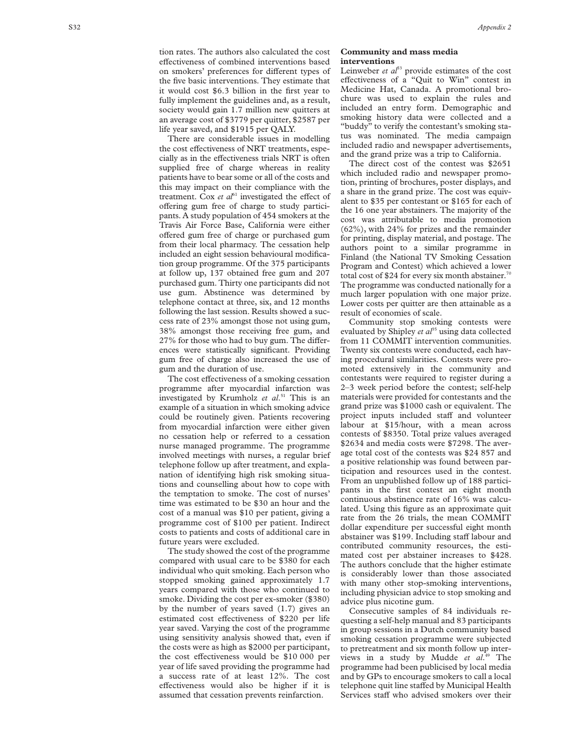tion rates. The authors also calculated the cost effectiveness of combined interventions based on smokers' preferences for different types of the five basic interventions. They estimate that it would cost \$6.3 billion in the first year to fully implement the guidelines and, as a result, society would gain 1.7 million new quitters at an average cost of \$3779 per quitter, \$2587 per life year saved, and \$1915 per QALY.

There are considerable issues in modelling the cost effectiveness of NRT treatments, especially as in the effectiveness trials NRT is often supplied free of charge whereas in reality patients have to bear some or all of the costs and this may impact on their compliance with the treatment. Cox *et al*<sup>61</sup> investigated the effect of offering gum free of charge to study participants. A study population of 454 smokers at the Travis Air Force Base, California were either offered gum free of charge or purchased gum from their local pharmacy. The cessation help included an eight session behavioural modification group programme. Of the 375 participants at follow up, 137 obtained free gum and 207 purchased gum. Thirty one participants did not use gum. Abstinence was determined by telephone contact at three, six, and 12 months following the last session. Results showed a success rate of 23% amongst those not using gum, 38% amongst those receiving free gum, and 27% for those who had to buy gum. The differences were statistically significant. Providing gum free of charge also increased the use of gum and the duration of use.

The cost effectiveness of a smoking cessation programme after myocardial infarction was investigated by Krumholz *et al* . <sup>51</sup> This is an example of a situation in which smoking advice could be routinely given. Patients recovering from myocardial infarction were either given no cessation help or referred to a cessation nurse managed programme. The programme involved meetings with nurses, a regular brief telephone follow up after treatment, and explanation of identifying high risk smoking situations and counselling about how to cope with the temptation to smoke. The cost of nurses' time was estimated to be \$30 an hour and the cost of a manual was \$10 per patient, giving a programme cost of \$100 per patient. Indirect costs to patients and costs of additional care in future years were excluded.

The study showed the cost of the programme compared with usual care to be \$380 for each individual who quit smoking. Each person who stopped smoking gained approximately 1.7 years compared with those who continued to smoke. Dividing the cost per ex-smoker (\$380) by the number of years saved (1.7) gives an estimated cost effectiveness of \$220 per life year saved. Varying the cost of the programme using sensitivity analysis showed that, even if the costs were as high as \$2000 per participant, the cost effectiveness would be \$10 000 per year of life saved providing the programme had a success rate of at least 12%. The cost effectiveness would also be higher if it is assumed that cessation prevents reinfarction.

#### **Community and mass media interventions**

Leinweber *et*  $a^{5}$  provide estimates of the cost effectiveness of a "Quit to Win" contest in Medicine Hat, Canada. A promotional brochure was used to explain the rules and included an entry form. Demographic and smoking history data were collected and a "buddy" to verify the contestant's smoking status was nominated. The media campaign included radio and newspaper advertisements, and the grand prize was a trip to California.

The direct cost of the contest was \$2651 which included radio and newspaper promotion, printing of brochures, poster displays, and a share in the grand prize. The cost was equivalent to \$35 per contestant or \$165 for each of the 16 one year abstainers. The majority of the cost was attributable to media promotion (62%), with 24% for prizes and the remainder for printing, display material, and postage. The authors point to a similar programme in Finland (the National TV Smoking Cessation Program and Contest) which achieved a lower total cost of \$24 for every six month abstainer.<sup>70</sup> The programme was conducted nationally for a much larger population with one major prize. Lower costs per quitter are then attainable as a result of economies of scale.

Community stop smoking contests were evaluated by Shipley *et al*<sup>35</sup> using data collected from 11 COMMIT intervention communities. Twenty six contests were conducted, each having procedural similarities. Contests were promoted extensively in the community and contestants were required to register during a 2–3 week period before the contest; self-help materials were provided for contestants and the grand prize was \$1000 cash or equivalent. The project inputs included staff and volunteer labour at \$15/hour, with a mean across contests of \$8350. Total prize values averaged \$2634 and media costs were \$7298. The average total cost of the contests was \$24 857 and a positive relationship was found between participation and resources used in the contest. From an unpublished follow up of 188 participants in the first contest an eight month continuous abstinence rate of 16% was calculated. Using this figure as an approximate quit rate from the 26 trials, the mean COMMIT dollar expenditure per successful eight month abstainer was \$199. Including staff labour and contributed community resources, the estimated cost per abstainer increases to \$428. The authors conclude that the higher estimate is considerably lower than those associated with many other stop-smoking interventions, including physician advice to stop smoking and advice plus nicotine gum.

Consecutive samples of 84 individuals requesting a self-help manual and 83 participants in group sessions in a Dutch community based smoking cessation programme were subjected to pretreatment and six month follow up interviews in a study by Mudde *et al*. <sup>49</sup> The programme had been publicised by local media and by GPs to encourage smokers to call a local telephone quit line staffed by Municipal Health Services staff who advised smokers over their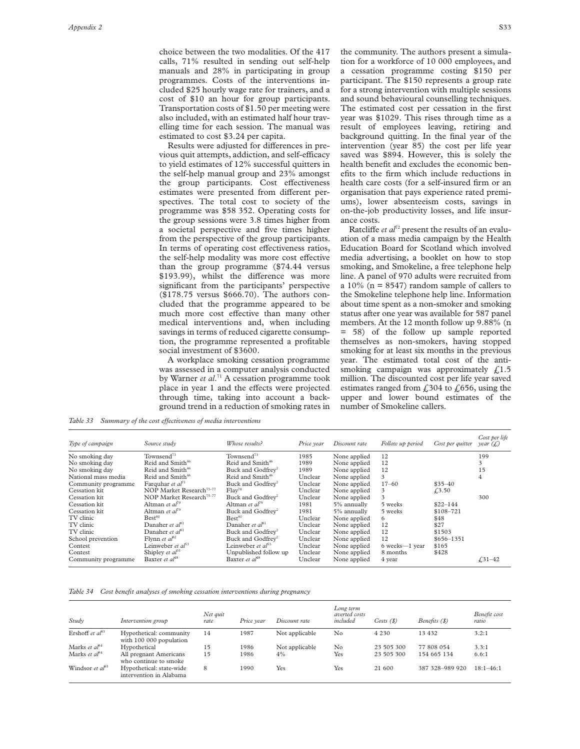choice between the two modalities. Of the 417 calls, 71% resulted in sending out self-help manuals and 28% in participating in group programmes. Costs of the interventions included \$25 hourly wage rate for trainers, and a cost of \$10 an hour for group participants. Transportation costs of \$1.50 per meeting were also included, with an estimated half hour travelling time for each session. The manual was estimated to cost \$3.24 per capita.

Results were adjusted for differences in previous quit attempts, addiction, and self-efficacy to yield estimates of 12% successful quitters in the self-help manual group and 23% amongst the group participants. Cost effectiveness estimates were presented from different perspectives. The total cost to society of the programme was \$58 352. Operating costs for the group sessions were 3.8 times higher from a societal perspective and five times higher from the perspective of the group participants. In terms of operating cost effectiveness ratios, the self-help modality was more cost effective than the group programme (\$74.44 versus \$193.99), whilst the difference was more significant from the participants' perspective (\$178.75 versus \$666.70). The authors concluded that the programme appeared to be much more cost effective than many other medical interventions and, when including savings in terms of reduced cigarette consumption, the programme represented a profitable social investment of \$3600.

A workplace smoking cessation programme was assessed in a computer analysis conducted by Warner *et al*. <sup>71</sup> A cessation programme took place in year 1 and the effects were projected through time, taking into account a background trend in a reduction of smoking rates in

the community. The authors present a simulation for a workforce of 10 000 employees, and a cessation programme costing \$150 per participant. The \$150 represents a group rate for a strong intervention with multiple sessions and sound behavioural counselling techniques. The estimated cost per cessation in the first year was \$1029. This rises through time as a result of employees leaving, retiring and background quitting. In the final year of the intervention (year 85) the cost per life year saved was \$894. However, this is solely the health benefit and excludes the economic benefits to the firm which include reductions in health care costs (for a self-insured firm or an organisation that pays experience rated premiums), lower absenteeism costs, savings in on-the-job productivity losses, and life insurance costs.

Ratcliffe *et al*<sup>72</sup> present the results of an evaluation of a mass media campaign by the Health Education Board for Scotland which involved media advertising, a booklet on how to stop smoking, and Smokeline, a free telephone help line. A panel of 970 adults were recruited from a 10% ( $n = 8547$ ) random sample of callers to the Smokeline telephone help line. Information about time spent as a non-smoker and smoking status after one year was available for 587 panel members. At the 12 month follow up 9.88% (n = 58) of the follow up sample reported themselves as non-smokers, having stopped smoking for at least six months in the previous year. The estimated total cost of the antismoking campaign was approximately  $f<sub>1.5</sub>$ million. The discounted cost per life year saved estimates ranged from  $\text{\textsterling}304$  to  $\text{\textsterling}656$ , using the upper and lower bound estimates of the number of Smokeline callers.

*Table 33 Summary of the cost effectiveness of media interventions* 

| Type of campaign    | Source study                         | Whose results?                | Price year | Discount rate | Follow up period | Cost per quitter | Cost per life<br>year $(f)$ |
|---------------------|--------------------------------------|-------------------------------|------------|---------------|------------------|------------------|-----------------------------|
| No smoking day      | Townsend <sup>73</sup>               | Townsend <sup>73</sup>        | 1985       | None applied  | 12               |                  | 199                         |
| No smoking day      | Reid and Smith <sup>46</sup>         | Reid and Smith <sup>46</sup>  | 1989       | None applied  | 12               |                  | 3                           |
| No smoking day      | Reid and Smith <sup>46</sup>         | Buck and Godfrey <sup>2</sup> | 1989       | None applied  | 12               |                  | 15                          |
| National mass media | Reid and Smith <sup>46</sup>         | Reid and Smith <sup>46</sup>  | Unclear    | None applied  | 3                |                  | 4                           |
| Community programme | Farquhar et $al^{n_1}$               | Buck and Godfrev <sup>2</sup> | Unclear    | None applied  | $17 - 60$        | $$35 - 40$       |                             |
| Cessation kit       | NOP Market Research <sup>75-77</sup> | Flav <sup>78</sup>            | Unclear    | None applied  | 3                | £3.50            |                             |
| Cessation kit       | NOP Market Research <sup>75-77</sup> | Buck and Godfrev <sup>2</sup> | Unclear    | None applied  | 3                |                  | 300                         |
| Cessation kit       | Altman et $al^{q_9}$                 | Altman et $al^{79}$           | 1981       | 5% annually   | 5 weeks          | $$22 - 144$      |                             |
| Cessation kit       | Altman et $al^{q_9}$                 | Buck and Godfrev <sup>2</sup> | 1981       | 5% annually   | 5 weeks          | \$108-721        |                             |
| TV clinic           | $\text{Best}^{80}$                   | Best <sup>80</sup>            | Unclear    | None applied  | 6                | \$48             |                             |
| TV clinic           | Danaher et al <sup>81</sup>          | Danaher et al <sup>81</sup>   | Unclear    | None applied  | 12               | \$27             |                             |
| TV clinic           | Danaher et al <sup>81</sup>          | Buck and Godfrev <sup>2</sup> | Unclear    | None applied  | 12               | \$1503           |                             |
| School prevention   | Flynn et $al^{82}$                   | Buck and Godfrev <sup>2</sup> | Unclear    | None applied  | 12               | \$656-1351       |                             |
| Contest             | Leinweber et $a^{53}$                | Leinweber et $a^{53}$         | Unclear    | None applied  | 6 weeks-1 year   | \$165            |                             |
| Contest             | Shipley et $a^{35}$                  | Unpublished follow up         | Unclear    | None applied  | 8 months         | \$428            |                             |
| Community programme | Baxter et al <sup>48</sup>           | Baxter et al <sup>48</sup>    | Unclear    | None applied  | 4 year           |                  | $f31-42$                    |

*Table 34 Cost benefit analyses of smoking cessation interventions during pregnancy*

| Study                              | Intervention group                                  | Net quit<br>rate | Price year | Discount rate  | Long term<br>averted costs<br>included | Costs(S)   | Benefits (\$)   | Benefit cost<br>ratio |
|------------------------------------|-----------------------------------------------------|------------------|------------|----------------|----------------------------------------|------------|-----------------|-----------------------|
| Ershoff et $al^{83}$               | Hypothetical: community<br>with 100 000 population  | 14               | 1987       | Not applicable | No                                     | 4 2 3 0    | 13 4 32         | 3.2:1                 |
| Marks et $a^{84}$                  | Hypothetical                                        | 15               | 1986       | Not applicable | No                                     | 23 505 300 | 77 808 054      | 3.3:1                 |
| Marks et $a^{84}$                  | All pregnant Americans<br>who continue to smoke     | 15               | 1986       | 4%             | Yes                                    | 23 505 300 | 154 665 134     | 6.6:1                 |
| Windsor <i>et al</i> <sup>85</sup> | Hypothetical: state-wide<br>intervention in Alabama | 8                | 1990       | Yes            | Yes                                    | 21 600     | 387 328-989 920 | $18:1 - 46:1$         |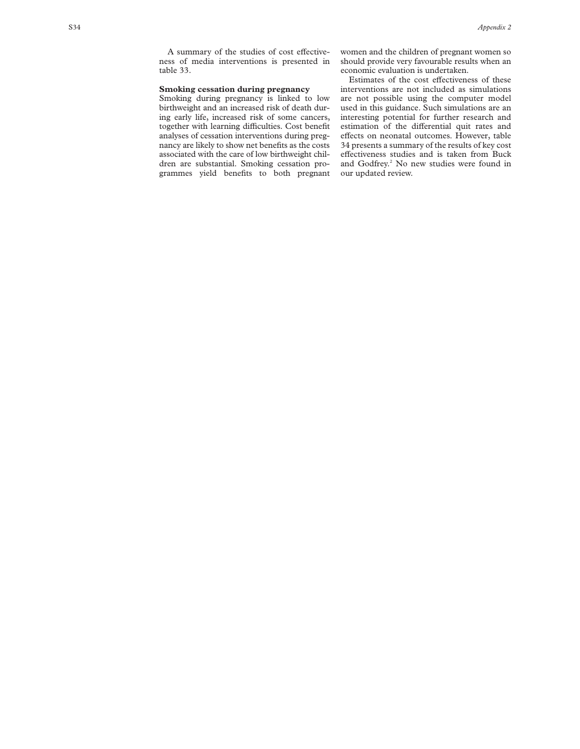A summary of the studies of cost effectiveness of media interventions is presented in table 33.

#### **Smoking cessation during pregnancy**

Smoking during pregnancy is linked to low birthweight and an increased risk of death during early life, increased risk of some cancers, together with learning difficulties. Cost benefit analyses of cessation interventions during pregnancy are likely to show net benefits as the costs associated with the care of low birthweight children are substantial. Smoking cessation programmes yield benefits to both pregnant

women and the children of pregnant women so should provide very favourable results when an economic evaluation is undertaken.

Estimates of the cost effectiveness of these interventions are not included as simulations are not possible using the computer model used in this guidance. Such simulations are an interesting potential for further research and estimation of the differential quit rates and effects on neonatal outcomes. However, table 34 presents a summary of the results of key cost effectiveness studies and is taken from Buck and Godfrey.<sup>2</sup> No new studies were found in our updated review.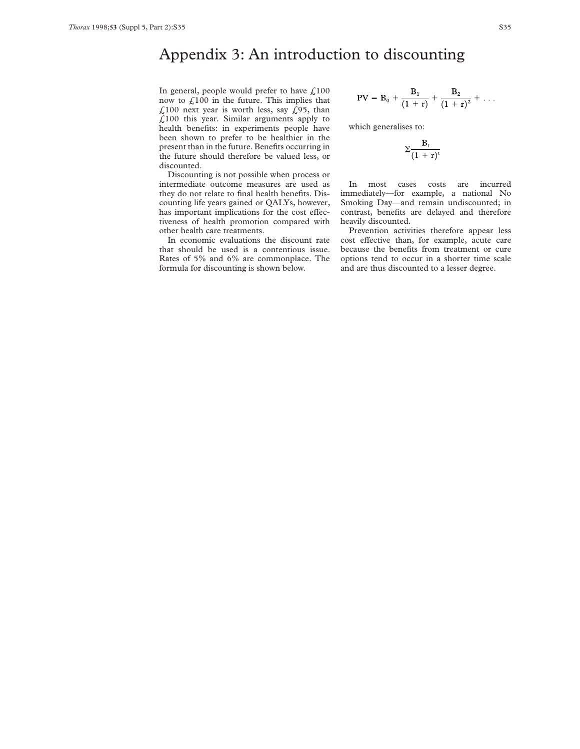# Appendix 3: An introduction to discounting

In general, people would prefer to have  $\text{\textsterling}100$ now to  $f100$  in the future. This implies that £100 next year is worth less, say  $\hat{L}$ 95, than  $£100$  this year. Similar arguments apply to health benefits: in experiments people have been shown to prefer to be healthier in the present than in the future. Benefits occurring in the future should therefore be valued less, or discounted.

Discounting is not possible when process or intermediate outcome measures are used as they do not relate to final health benefits. Discounting life years gained or QALYs, however, has important implications for the cost effectiveness of health promotion compared with other health care treatments.

In economic evaluations the discount rate that should be used is a contentious issue. Rates of 5% and 6% are commonplace. The formula for discounting is shown below.

$$
PV = B_0 + \frac{B_1}{(1+r)} + \frac{B_2}{(1+r)^2} + \ldots
$$

which generalises to:

$$
\Sigma \frac{B_t}{(1+r)^t}
$$

In most cases costs are incurred immediately—for example, a national No Smoking Day—and remain undiscounted; in contrast, benefits are delayed and therefore heavily discounted.

Prevention activities therefore appear less cost effective than, for example, acute care because the benefits from treatment or cure options tend to occur in a shorter time scale and are thus discounted to a lesser degree.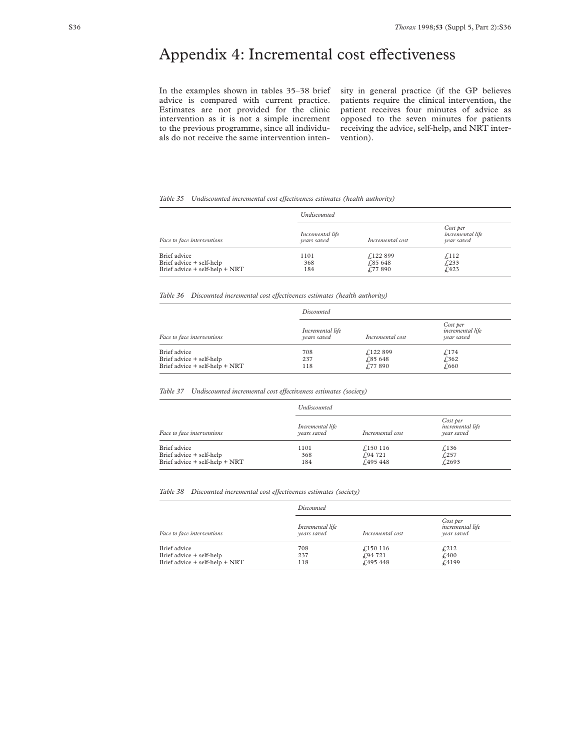# Appendix 4: Incremental cost effectiveness

In the examples shown in tables 35–38 brief advice is compared with current practice. Estimates are not provided for the clinic intervention as it is not a simple increment to the previous programme, since all individuals do not receive the same intervention intensity in general practice (if the GP believes patients require the clinical intervention, the patient receives four minutes of advice as opposed to the seven minutes for patients receiving the advice, self-help, and NRT intervention).

#### *Table 35 Undiscounted incremental cost effectiveness estimates (health authority)*

| Face to face interventions                                                 | Undiscounted                    |                                        |                                                   |  |
|----------------------------------------------------------------------------|---------------------------------|----------------------------------------|---------------------------------------------------|--|
|                                                                            | Incremental life<br>vears saved | Incremental cost                       | Cost per<br><i>incremental life</i><br>vear saved |  |
| Brief advice<br>Brief advice + self-help<br>Brief advice + self-help + NRT | 1101<br>368<br>184              | £122 899<br>$\sqrt{.85648}$<br>£77 890 | f <sub>112</sub><br>£233<br>f.423                 |  |

*Table 36 Discounted incremental cost effectiveness estimates (health authority)* 

|                                                                            | Discounted                      |                                       |                                                   |  |
|----------------------------------------------------------------------------|---------------------------------|---------------------------------------|---------------------------------------------------|--|
| Face to face interventions                                                 | Incremental life<br>vears saved | Incremental cost                      | Cost per<br><i>incremental life</i><br>vear saved |  |
| Brief advice<br>Brief advice + self-help<br>Brief advice + self-help + NRT | 708<br>237<br>118               | £122 899<br>£85 648<br>$\sqrt{77890}$ | £174<br>£362<br>£,660                             |  |

#### *Table 37 Undiscounted incremental cost effectiveness estimates (society)*

| Face to face interventions                                                 | <i><u><b>Undiscounted</b></u></i> |                               |                                                   |  |
|----------------------------------------------------------------------------|-----------------------------------|-------------------------------|---------------------------------------------------|--|
|                                                                            | Incremental life<br>vears saved   | Incremental cost              | Cost per<br><i>incremental life</i><br>vear saved |  |
| Brief advice<br>Brief advice + self-help<br>Brief advice + self-help + NRT | 1101<br>368<br>184                | £150 116<br>f94721<br>f495448 | $\sqrt{136}$<br>£257<br>f.2693                    |  |

#### *Table 38 Discounted incremental cost effectiveness estimates (society)*

| Face to face interventions                                                 | Discounted                      |                               |                                                   |  |
|----------------------------------------------------------------------------|---------------------------------|-------------------------------|---------------------------------------------------|--|
|                                                                            | Incremental life<br>vears saved | Incremental cost              | Cost per<br><i>incremental life</i><br>vear saved |  |
| Brief advice<br>Brief advice + self-help<br>Brief advice + self-help + NRT | 708<br>237<br>118               | £150 116<br>f94721<br>f495448 | £212<br>$\text{\textsterling}400$<br>£4199        |  |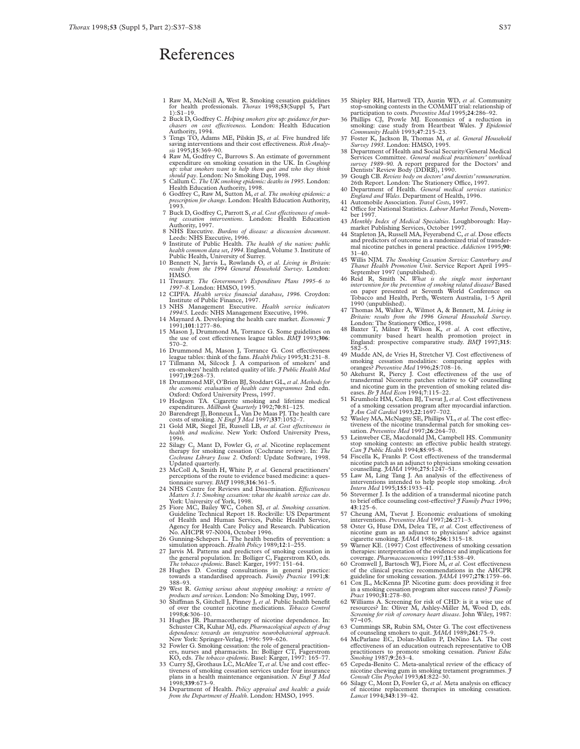### References

- 1 Raw M, McNeill A, West R. Smoking cessation guidelines for health professionals. *Thorax* 1998;**53**(Suppl 5, Part  $1) \cdot S1 - 19$
- 2 Buck D, Godfrey C. *Helping smokers give up: guidance for pur-chasers on cost effectiveness.* London: Health Education Authority, 1994.<br>3 Tengs TO, Adams ME, Pilskin JS, *et al.* Five hundred life
- saving interventions and their cost effectiveness. *Risk Analy-*<br> *sis* 1995;15:369–90.
- 4 Raw M, Godfrey C, Burrows S. An estimate of government expenditure on smoking cessation in the UK. In Coughing up: what smokers want to help them quit and who they think should pay. London: No Smoking Day, 1998.
- 5 Callum C. *The UK smoking epidemic:deaths in 1995*. London:
- Health Education Authority, 1998. 6 Godfrey C, Raw M, Sutton M, *et al*. *The smoking epidemic: a prescription for change*. London: Health Education Authority, 1993.
- 7 Buck D, Godfrey C, Parrott S, et al. Cost effectiveness of smok-<br> *ing cessation interventions*. London: Health Education<br>
Authority, 1997.
- 8 NHS Executive. *Burdens of disease: a discussion document*. Leeds: NHS Executive, 1996.
- 9 Institute of Public Health. *The health of the nation: public health common data set,1994*. England, Volume 3. Institute of
- Public Health, University of Surrey. 10 Bennett N, Jarvis L, Rowlands O, *et al*. *Living in Britain: results from the 1994 General Household Survey*. London: HMSO.
- 11 Treasury. *The Government's Expenditure Plans 1995–6 to 1997–8*. London: HMSO, 1995.
- 12 CIPFA. *Health service financial database, 1996*. Croydon: Institute of Public Finance, 1997.
- 13 NHS Management Executive. *Health service indicators 1994/5.* Leeds: NHS Management Executive, 1996. 14 Maynard A. Developing the health care market. *Economic J* 1991;**101**:1277–86.
- 15 Mason J, Drummond M, Torrance G. Some guidelines on the use of cost effectiveness league tables. *BMJ* 1993;306: 570–2.
- 16 Drummond M, Mason J, Torrance G. Cost effectiveness league tables: think of the fans. *Health Policy* 1995;31:231–8.
- 17 Tillmann M, Silcock J. A comparison of smokers' and ex-smokers' health related quality of life. *J Public Health Med* 1997;**19**:268–73.
- 18 Drummond MF, O'Brien BJ, Stoddart GL,*et al*. *Methods for the economic evaluation of health care programmes* 2nd edn. Oxford: Oxford University Press, 1997.
- 19 Hodgson TA. Cigarette smoking and lifetime medical<br>expenditures. *Millbank Quarterly* 1992;70:81–125.<br>20 Barendregt JJ, Bonneux L<sub>y</sub> Van De Maas PJ. The health care<br>costs of smoking. *N Engl JJ Med* 1997;3**3**7:1052–7.
- 
- 21 Gold MR, Siegel JE, Russell LB, et al. Cost effectiveness in *health and medicine*. New York: Oxford University Press, 1996.
- 22 Silagy C, Mant D, Fowler G, *et al*. Nicotine replacement therapy for smoking cessation (Cochrane review). In: *The Cochrane Library Issue 2*. Oxford: Update Software, 1998. Updated quarterly.
- 23 McColl A, Smith H, White P, *et al.* General practitioners' perceptions of the route to evidence based medicine: a ques-tionnaire survey. *BMJ* 1998;**316**:361–5.
- 24 NHS Centre for Reviews and Dissemination. *Effectiveness Matters 3.1: Smoking cessation: what the health service can do*. York: University of York, 1998.
- 25 Fiore MC, Bailey WC, Cohen SJ, et al. Smoking cessation.<br>
Guideline Technical Report 18. Rockville: US Department<br>
of Health and Human Services, Public Health Service,<br>
Agency for Health Care Policy and Research. Public
- 
- 27 Jarvis M. Patterns and predictors of smoking cessation in the general population. In: Bolliger C, Fagerstrom KO, eds. *The tobacco epidemic*. Basel: Karger, 1997: 151–64.
- 28 Hughes D. Costing consultations in general practice: towards a standardised approach. *Family Practice* 1991;**8**: 388–93.
- 29 West R. *Getting serious about stopping smoking: a review of*<br> *products and services*. London: No Smoking Day, 1997.<br>
30 Shiffman S, Gitchell J, Pinney J, *et al*. Public health benefit
- of over the counter nicotine medications. *Tobacco Control* 1998;**6**:306–10.
- 31 Hughes JR. Pharmacotherapy of nicotine dependence. In:<br>Schuster CR, Kuhar MJ, eds. Pharmacological aspects of drug<br>dependence: towards an integrative neurobehavioral approach.<br>New York: Springer-Verlag, 1996: 599-626.
- 32 Fowler G. Smoking cessation: the role of general practition-ers, nurses and pharmacists. In: Bolliger CT, Fagerstrom
- KO, eds. *The tobacco epidemic*. Basel: Karger, 1997: 165–77.<br>33 Curry SJ, Grothaus LC, McAfee T, *et al*. Use and cost effect-<br>tiveness of smoking cesastion services under four insurance<br>plans in a health maintenance org 1998;**339**:673–9.
- 34 Department of Health. *Policy appraisal and health: a guide from the Department of Health*. London: HMSO, 1995.
- 35 Shipley RH, Hartwell TD, Austin WD, *et al*. Community stop-smoking contests in the COMMIT trial: relationship of participation to costs. *Preventive Med* 1995;**24**:286–92.
- 36 Phillips CJ, Prowle MJ. Economics of a reduction in smoking: case study from Heartbeat Wales. *J Epidemiol* Community Health 1993;47:215-23.<br>Community Health 1993;47:215-23.<br>37 Foster K, Jackson B, Thomas M, *et al. Gen*
- 
- 38 Department of Health and Social Security/General Medical Services Committee. *General medical practitioners' workload survey 1989–90.* A report prepared for the Doctors' and Dentists' Review Body (DDRB), 1990.
- 39 Gough CB. *Review body on doctors' and dentists' remuneration*.<br>26th Report. London: The Stationery Office, 1997. 40 Department of Health. *General medical services statistics:*
- *England and Wales*. Department of Health, 1996. 41 Automobile Association. *Travel Costs*, 1997.
- 42 Office for National Statistics. *Labour Market Trends*, November 1997.
- 43 Monthly Index of Medical Specialties. Loughborough: Hay-<br>market Publishing Services, October 1997.<br>44 Stapleton JA, Russell MA, Feyerabend C, *et al*. Dose effects
- and predictors of outcome in a randomized trial of transdermal nicotine patches in general practice. *Addiction* 1995;**90**: 31–40.
- 45 Willis NJM. *The Smoking Cessation Service: Canterbury and*
- Thanet Health Promotion Unit. Service Report April 1995–<br>September 1997 (unpublished).<br>46 Reid R, Smith N. What is the single most important<br>intervention for the prevention of smoking related disease? Based on paper presented at Seventh World Conference on Tobacco and Health, Perth, Western Australia, 1–5 April 1990 (unpublished).
- 47 Thomas M, Walker A, Wilmot A, & Bennett, M. *Living in Britain: results from the 1996 General Household Survey*. London: The Stationery OYce, 1998.
- 48 Baxter T, Milner P, Wilson K, *et al*. A cost effective, community based heart health promotion project in England: prospective comparative study. *BMJ* 1997;315: 582–5.
- 49 Mudde AN, de Vries H, Stretcher VJ. Cost effectiveness of smoking cessation modalities: comparing apples with oranges? *Preventive Med* 1996;**25**:708–16.
- 50 Akehurst R, Piercy J. Cost effectiveness of the use of transdermal Nicorette patches relative to GP counselling and nicotine gum in the prevention of smoking related dis-eases. *Br J Med Econ* 1994;7:115–22.
- 51 Krumholz HM, Cohen BJ, Tsevat J, *et al.* Cost effectiveness of a smoking cessation program after myocardial infarction. *J Am Coll Cardiol* 1993;**22**:1697–702.
- 52 Wasley MA, McNagny SE, Phillips VL, et al. The cost effectiveness of the nicotine transdermal patch for smoking ces-
- sation. *Preventive Med* 1997;26:264–70.<br>
53 Leinweber CE, Macdonald JM, Campbell HS. Community<br>
stop smoking contests: an effective public health strategy.<br> *Can J Public Health* 1994;85:95–8.
- 54 Fiscella K, Franks P. Cost effectiveness of the transdermal nicotine patch as an adjunct to physicians smoking cessation counselling. *JAMA* 1996;**275**:1247–51.
- 55 Law M, Ling Tang J. An analysis of the effectiveness of interventions intended to help people stop smoking. *Arch Intern Med* 1995;**155**:1933–41.
- 56 Stevermer J. Is the addition of a transdermal nicotine patch to brief office counseling cost-effective? *J Family Pract* 1996; **43**:125–6.
- 57 Cheung AM, Tsevat J. Economic evaluations of smoking interventions. *Preventive Med* 1997;**26**:271–3.
- 58 Oster G, Huse DM, Delea TE, et al. Cost effectiveness of
- nicotine gum as an adjunct to physicians' advice against<br>cigarette smoking .  $\frac{3AMA}{19862256:1315-18}$ .<br>59 Warner KE. (1997) Cost effectiveness of smoking cessation<br>therapies: interpretation of the evidence and implicatio
- 60 Cromwell J, Bartosch WJ, Fiore M, *et al.* Cost effectiveness
- % of the clinical practice recommendations in the AHCPR guideline for smoking cessation.  $\frac{34MA}{1997;278:1759-66}$ .<br>61 Cox JL, McKenna JP. Nicotine gum: does providing it free in a smoking cessation program alter succes
- 62 Williams A. Screening for risk of CHD: is it a wise use of resources? In: Oliver M, Ashley-Miller M, Wood D, eds. *Screening for risk of coronary heart disease*. John Wiley, 1987: 97−105.
- 
- 63 Cummings SR, Rubin SM, Oster G. The cost effectiveness<br>of counseling smokers to quit. *JAMA* 1989;261:75–9.<br>64 McParlane EC, Dolan-Mullen P, DeNino LA. The cost effectiveness of an education outreach representative to OB practitioners to promote smoking cessation. *Patient Educ Smoking* 1987;**9**:263–4.
- Cepeda-Benito C. Meta-analytical review of the efficacy of nicotine chewing gum in smoking tretament programmes. *J Consult Clin Psychol* 1993;**61**:822–30.
- 66 Silagy C, Mont D, Fowler G, et al. Meta analysis on efficacy of nicotine replacement therapies in smoking cessation. *Lancet* 1994;**343**:139–42.